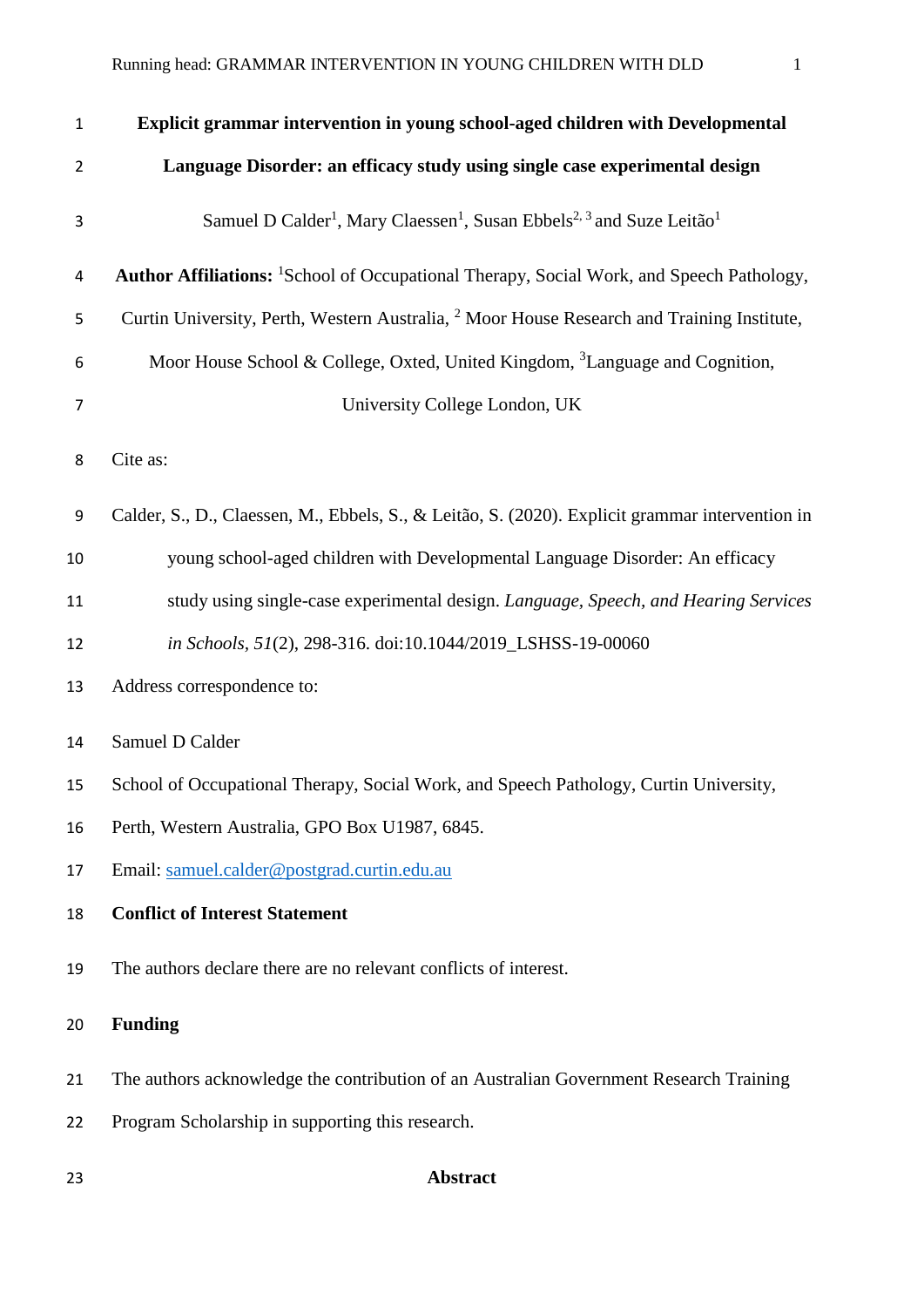| $\mathbf{1}$     | Explicit grammar intervention in young school-aged children with Developmental                                        |
|------------------|-----------------------------------------------------------------------------------------------------------------------|
| $\overline{2}$   | Language Disorder: an efficacy study using single case experimental design                                            |
| 3                | Samuel D Calder <sup>1</sup> , Mary Claessen <sup>1</sup> , Susan Ebbels <sup>2, 3</sup> and Suze Leitão <sup>1</sup> |
| 4                | <b>Author Affiliations:</b> <sup>1</sup> School of Occupational Therapy, Social Work, and Speech Pathology,           |
| 5                | Curtin University, Perth, Western Australia, <sup>2</sup> Moor House Research and Training Institute,                 |
| 6                | Moor House School & College, Oxted, United Kingdom, <sup>3</sup> Language and Cognition,                              |
| $\overline{7}$   | University College London, UK                                                                                         |
| 8                | Cite as:                                                                                                              |
| $\boldsymbol{9}$ | Calder, S., D., Claessen, M., Ebbels, S., & Leitão, S. (2020). Explicit grammar intervention in                       |
| 10               | young school-aged children with Developmental Language Disorder: An efficacy                                          |
| 11               | study using single-case experimental design. Language, Speech, and Hearing Services                                   |
| 12               | in Schools, 51(2), 298-316. doi:10.1044/2019_LSHSS-19-00060                                                           |
| 13               | Address correspondence to:                                                                                            |
| 14               | Samuel D Calder                                                                                                       |
| 15               | School of Occupational Therapy, Social Work, and Speech Pathology, Curtin University,                                 |
| 16               | Perth, Western Australia, GPO Box U1987, 6845.                                                                        |
| 17               | Email: samuel.calder@postgrad.curtin.edu.au                                                                           |
| 18               | <b>Conflict of Interest Statement</b>                                                                                 |
| 19               | The authors declare there are no relevant conflicts of interest.                                                      |
| 20               | <b>Funding</b>                                                                                                        |
| 21               | The authors acknowledge the contribution of an Australian Government Research Training                                |
| 22               | Program Scholarship in supporting this research.                                                                      |
| 23               | <b>Abstract</b>                                                                                                       |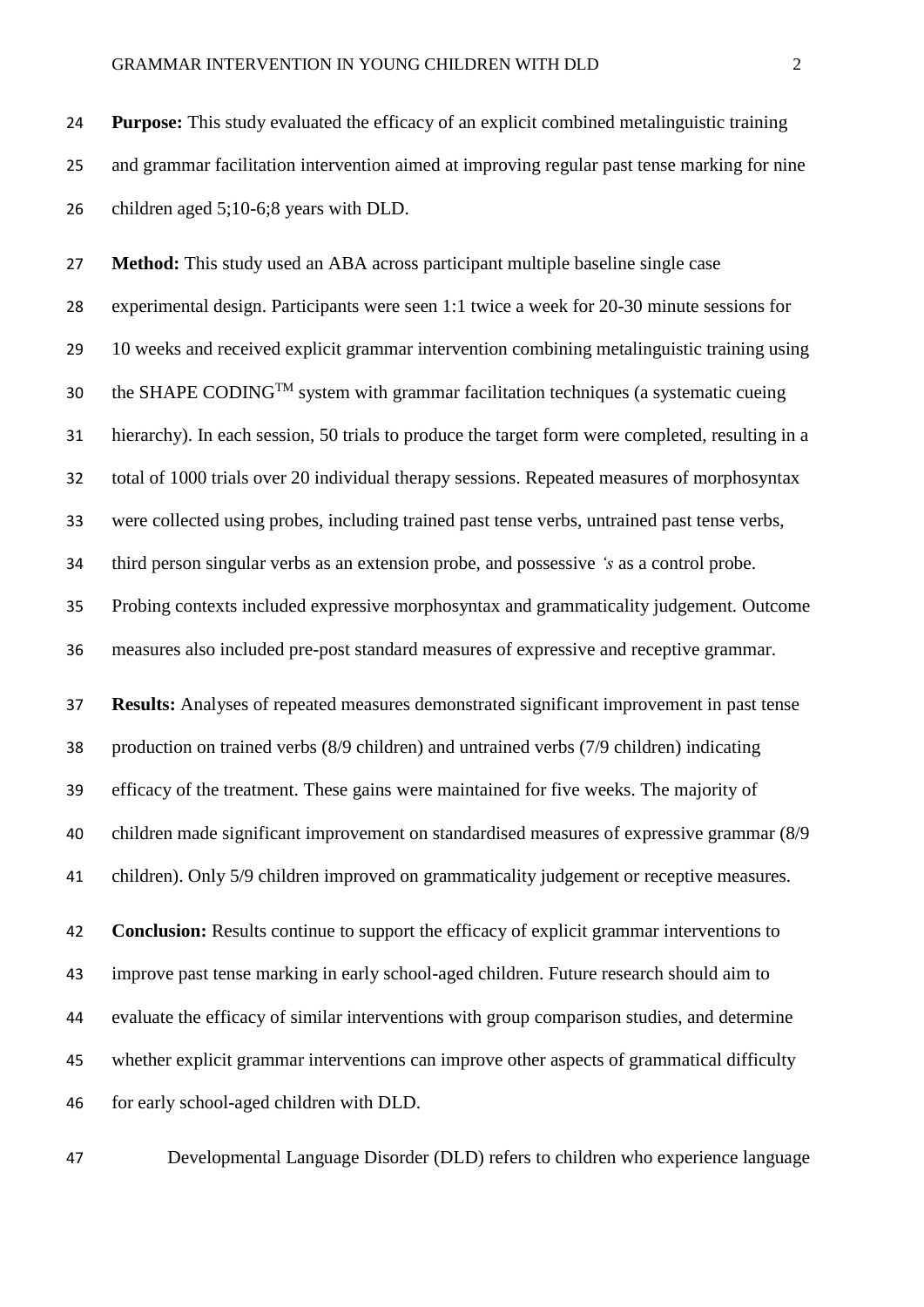**Purpose:** This study evaluated the efficacy of an explicit combined metalinguistic training and grammar facilitation intervention aimed at improving regular past tense marking for nine children aged 5;10-6;8 years with DLD.

 **Method:** This study used an ABA across participant multiple baseline single case experimental design. Participants were seen 1:1 twice a week for 20-30 minute sessions for 10 weeks and received explicit grammar intervention combining metalinguistic training using 30 the SHAPE CODING<sup>TM</sup> system with grammar facilitation techniques (a systematic cueing hierarchy). In each session, 50 trials to produce the target form were completed, resulting in a total of 1000 trials over 20 individual therapy sessions. Repeated measures of morphosyntax were collected using probes, including trained past tense verbs, untrained past tense verbs, third person singular verbs as an extension probe, and possessive *'s* as a control probe. Probing contexts included expressive morphosyntax and grammaticality judgement. Outcome measures also included pre-post standard measures of expressive and receptive grammar. **Results:** Analyses of repeated measures demonstrated significant improvement in past tense production on trained verbs (8/9 children) and untrained verbs (7/9 children) indicating efficacy of the treatment. These gains were maintained for five weeks. The majority of children made significant improvement on standardised measures of expressive grammar (8/9

children). Only 5/9 children improved on grammaticality judgement or receptive measures.

 **Conclusion:** Results continue to support the efficacy of explicit grammar interventions to improve past tense marking in early school-aged children. Future research should aim to evaluate the efficacy of similar interventions with group comparison studies, and determine whether explicit grammar interventions can improve other aspects of grammatical difficulty for early school-aged children with DLD.

Developmental Language Disorder (DLD) refers to children who experience language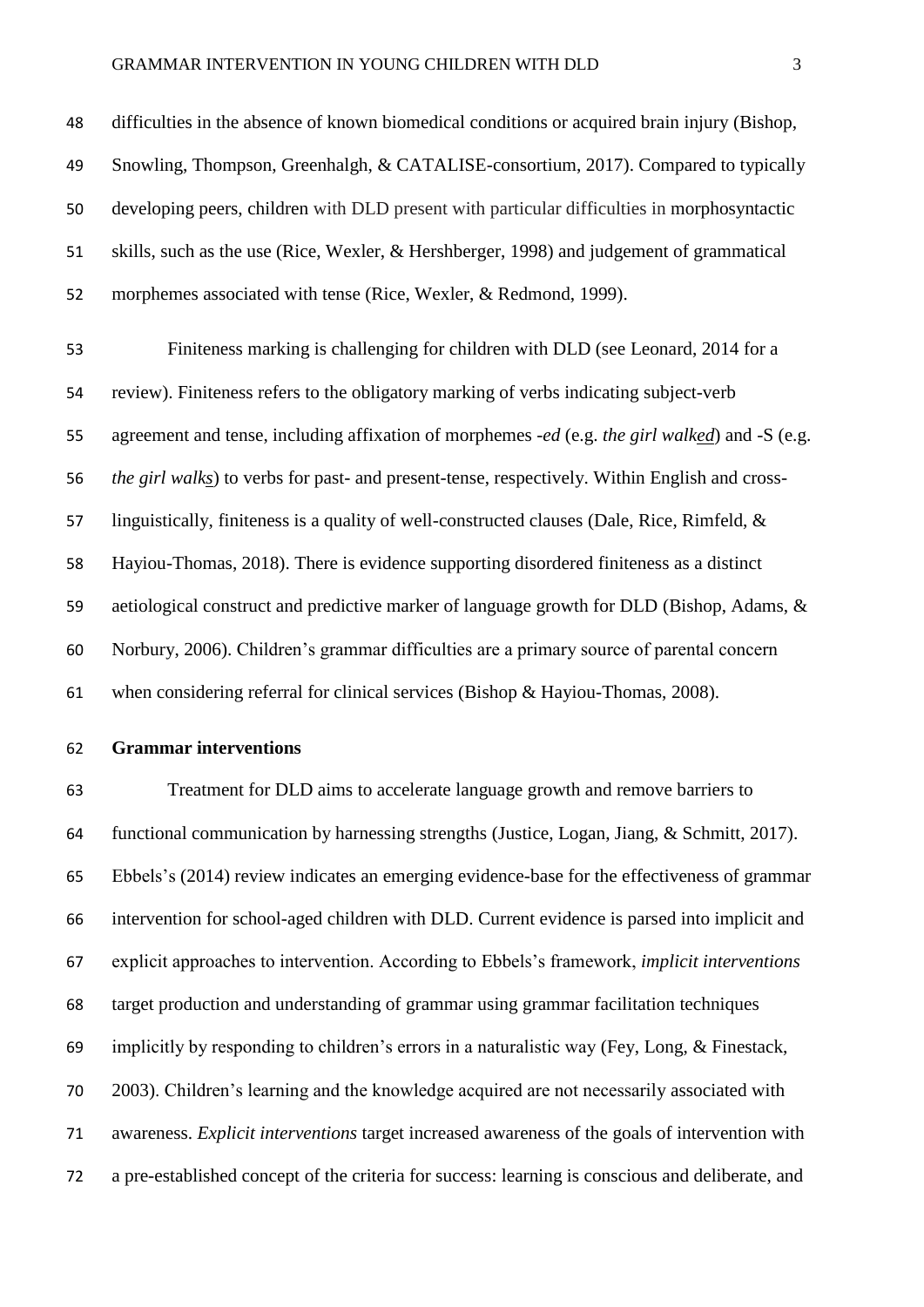#### GRAMMAR INTERVENTION IN YOUNG CHILDREN WITH DLD 3

 difficulties in the absence of known biomedical conditions or acquired brain injury (Bishop, Snowling, Thompson, Greenhalgh, & CATALISE-consortium, 2017). Compared to typically developing peers, children with DLD present with particular difficulties in morphosyntactic skills, such as the use (Rice, Wexler, & Hershberger, 1998) and judgement of grammatical morphemes associated with tense (Rice, Wexler, & Redmond, 1999).

 Finiteness marking is challenging for children with DLD (see Leonard, 2014 for a review). Finiteness refers to the obligatory marking of verbs indicating subject-verb agreement and tense, including affixation of morphemes -*ed* (e.g. *the girl walked*) and -S (e.g. *the girl walks*) to verbs for past- and present-tense, respectively. Within English and cross- linguistically, finiteness is a quality of well-constructed clauses (Dale, Rice, Rimfeld, & Hayiou-Thomas, 2018). There is evidence supporting disordered finiteness as a distinct aetiological construct and predictive marker of language growth for DLD (Bishop, Adams, & Norbury, 2006). Children's grammar difficulties are a primary source of parental concern when considering referral for clinical services (Bishop & Hayiou-Thomas, 2008).

**Grammar interventions**

 Treatment for DLD aims to accelerate language growth and remove barriers to functional communication by harnessing strengths (Justice, Logan, Jiang, & Schmitt, 2017). Ebbels's (2014) review indicates an emerging evidence-base for the effectiveness of grammar intervention for school-aged children with DLD. Current evidence is parsed into implicit and explicit approaches to intervention. According to Ebbels's framework, *implicit interventions* target production and understanding of grammar using grammar facilitation techniques implicitly by responding to children's errors in a naturalistic way (Fey, Long, & Finestack, 2003). Children's learning and the knowledge acquired are not necessarily associated with awareness. *Explicit interventions* target increased awareness of the goals of intervention with a pre-established concept of the criteria for success: learning is conscious and deliberate, and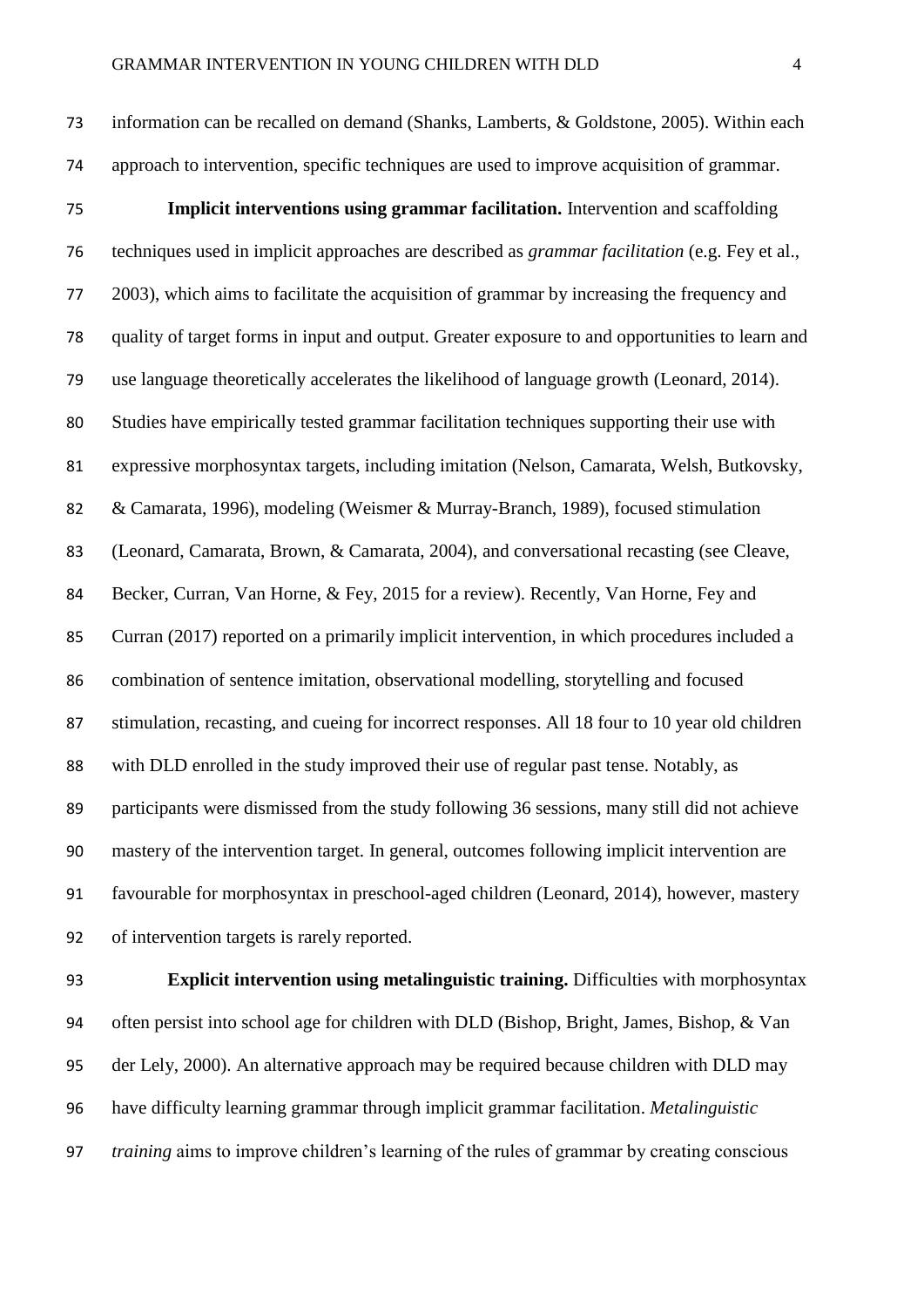information can be recalled on demand (Shanks, Lamberts, & Goldstone, 2005). Within each approach to intervention, specific techniques are used to improve acquisition of grammar.

 **Implicit interventions using grammar facilitation.** Intervention and scaffolding techniques used in implicit approaches are described as *grammar facilitation* (e.g. Fey et al., 2003), which aims to facilitate the acquisition of grammar by increasing the frequency and quality of target forms in input and output. Greater exposure to and opportunities to learn and use language theoretically accelerates the likelihood of language growth (Leonard, 2014). Studies have empirically tested grammar facilitation techniques supporting their use with expressive morphosyntax targets, including imitation (Nelson, Camarata, Welsh, Butkovsky, & Camarata, 1996), modeling (Weismer & Murray-Branch, 1989), focused stimulation (Leonard, Camarata, Brown, & Camarata, 2004), and conversational recasting (see Cleave, Becker, Curran, Van Horne, & Fey, 2015 for a review). Recently, Van Horne, Fey and Curran (2017) reported on a primarily implicit intervention, in which procedures included a combination of sentence imitation, observational modelling, storytelling and focused stimulation, recasting, and cueing for incorrect responses. All 18 four to 10 year old children with DLD enrolled in the study improved their use of regular past tense. Notably, as participants were dismissed from the study following 36 sessions, many still did not achieve mastery of the intervention target. In general, outcomes following implicit intervention are favourable for morphosyntax in preschool-aged children (Leonard, 2014), however, mastery of intervention targets is rarely reported.

 **Explicit intervention using metalinguistic training.** Difficulties with morphosyntax often persist into school age for children with DLD (Bishop, Bright, James, Bishop, & Van der Lely, 2000). An alternative approach may be required because children with DLD may have difficulty learning grammar through implicit grammar facilitation. *Metalinguistic training* aims to improve children's learning of the rules of grammar by creating conscious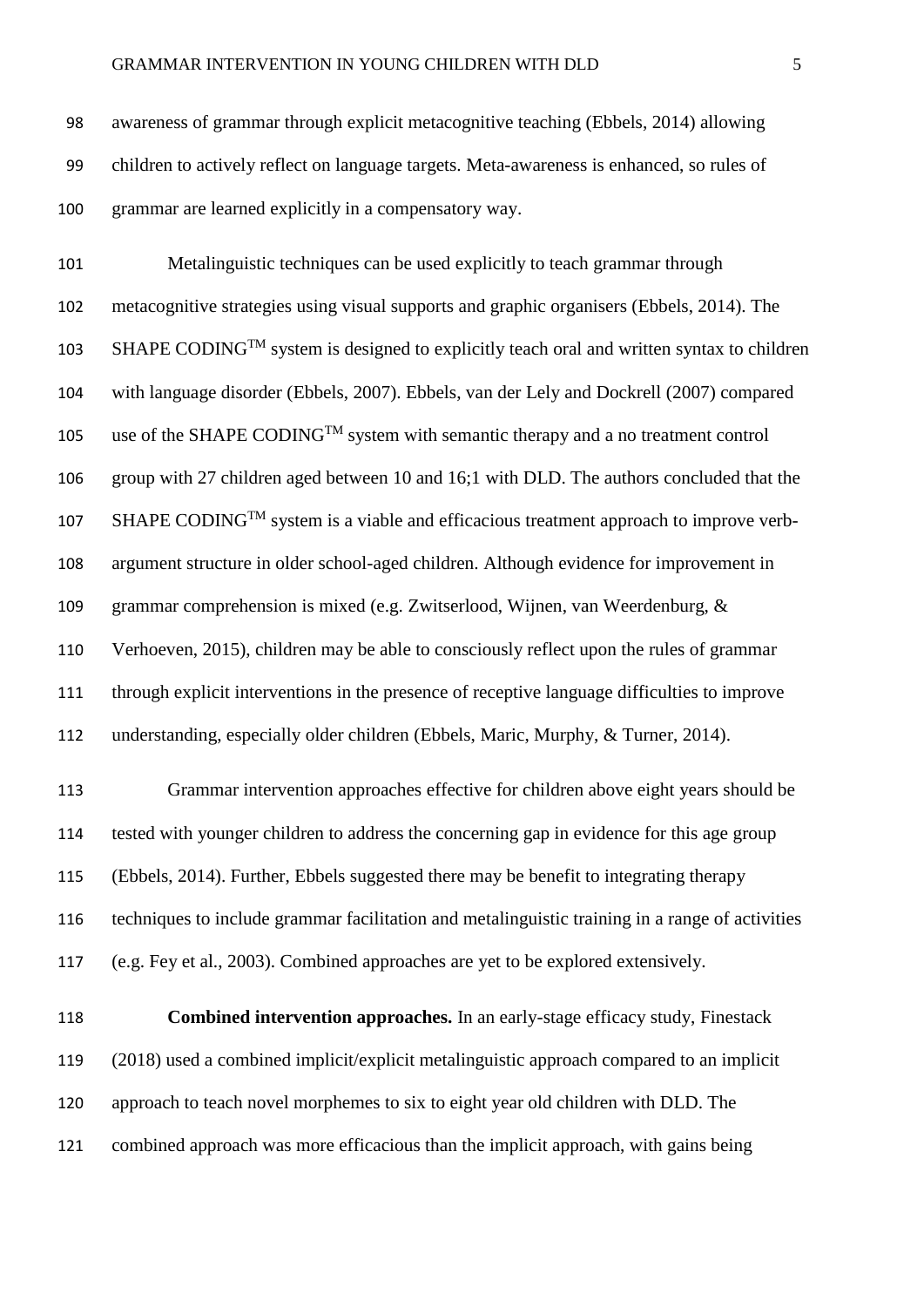Metalinguistic techniques can be used explicitly to teach grammar through metacognitive strategies using visual supports and graphic organisers (Ebbels, 2014). The  $SHAPE CODING<sup>TM</sup> system is designed to explicitly teach oral and written syntax to children$  with language disorder (Ebbels, 2007). Ebbels, van der Lely and Dockrell (2007) compared 105 use of the SHAPE CODING<sup>TM</sup> system with semantic therapy and a no treatment control group with 27 children aged between 10 and 16;1 with DLD. The authors concluded that the  $SHAPE CODING<sup>TM</sup>$  system is a viable and efficacious treatment approach to improve verb- argument structure in older school-aged children. Although evidence for improvement in grammar comprehension is mixed (e.g. Zwitserlood, Wijnen, van Weerdenburg, & Verhoeven, 2015), children may be able to consciously reflect upon the rules of grammar through explicit interventions in the presence of receptive language difficulties to improve understanding, especially older children (Ebbels, Maric, Murphy, & Turner, 2014).

 Grammar intervention approaches effective for children above eight years should be tested with younger children to address the concerning gap in evidence for this age group (Ebbels, 2014). Further, Ebbels suggested there may be benefit to integrating therapy techniques to include grammar facilitation and metalinguistic training in a range of activities (e.g. Fey et al., 2003). Combined approaches are yet to be explored extensively.

 **Combined intervention approaches.** In an early-stage efficacy study, Finestack (2018) used a combined implicit/explicit metalinguistic approach compared to an implicit approach to teach novel morphemes to six to eight year old children with DLD. The combined approach was more efficacious than the implicit approach, with gains being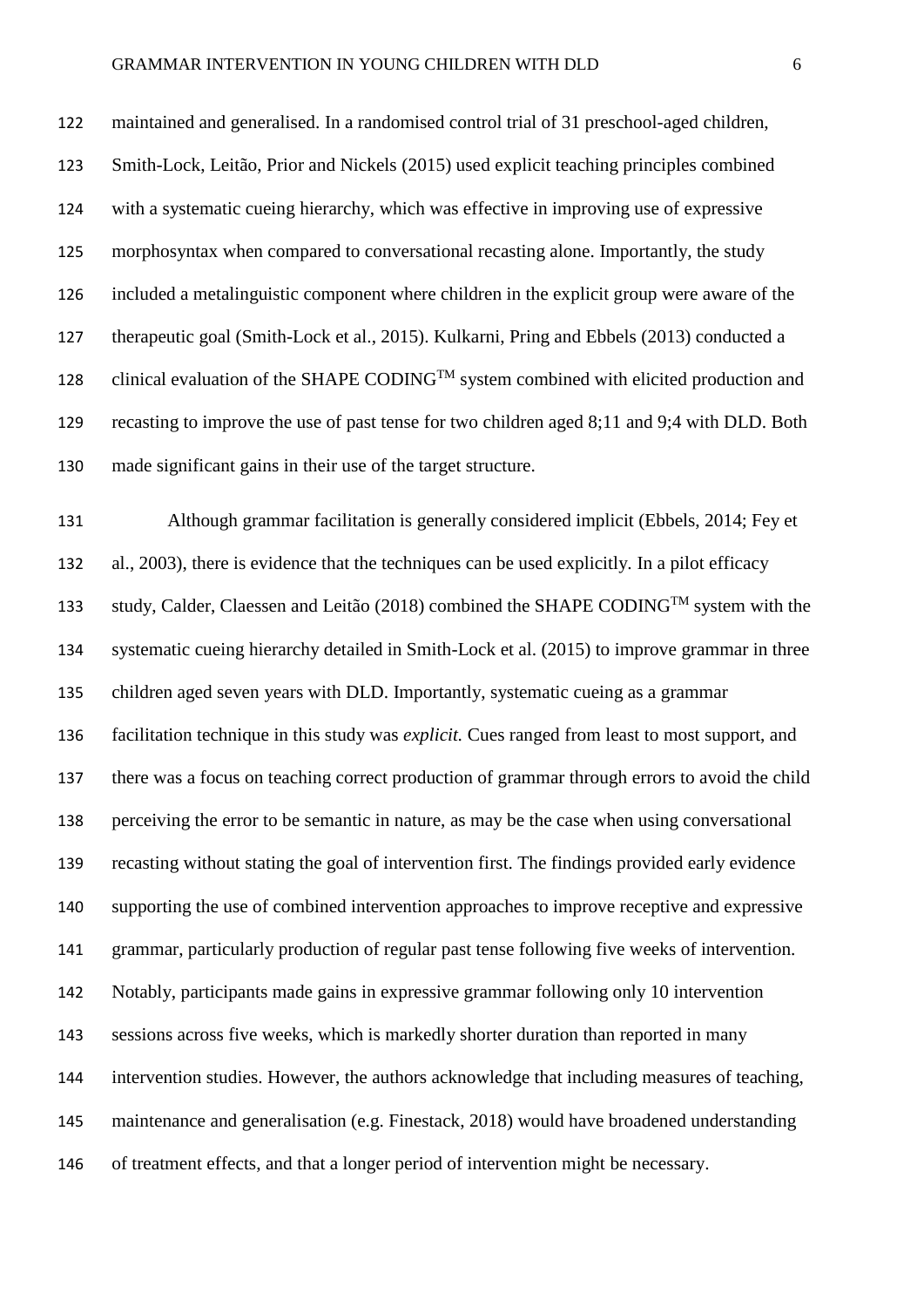maintained and generalised. In a randomised control trial of 31 preschool-aged children, Smith-Lock, Leitão, Prior and Nickels (2015) used explicit teaching principles combined with a systematic cueing hierarchy, which was effective in improving use of expressive morphosyntax when compared to conversational recasting alone. Importantly, the study included a metalinguistic component where children in the explicit group were aware of the therapeutic goal (Smith-Lock et al., 2015). Kulkarni, Pring and Ebbels (2013) conducted a 128 clinical evaluation of the SHAPE CODING<sup>TM</sup> system combined with elicited production and recasting to improve the use of past tense for two children aged 8;11 and 9;4 with DLD. Both made significant gains in their use of the target structure.

 Although grammar facilitation is generally considered implicit (Ebbels, 2014; Fey et al., 2003), there is evidence that the techniques can be used explicitly. In a pilot efficacy study, Calder, Claessen and Leitão (2018) combined the SHAPE CODING<sup>TM</sup> system with the systematic cueing hierarchy detailed in Smith-Lock et al. (2015) to improve grammar in three children aged seven years with DLD. Importantly, systematic cueing as a grammar facilitation technique in this study was *explicit.* Cues ranged from least to most support, and there was a focus on teaching correct production of grammar through errors to avoid the child perceiving the error to be semantic in nature, as may be the case when using conversational recasting without stating the goal of intervention first. The findings provided early evidence supporting the use of combined intervention approaches to improve receptive and expressive grammar, particularly production of regular past tense following five weeks of intervention. Notably, participants made gains in expressive grammar following only 10 intervention sessions across five weeks, which is markedly shorter duration than reported in many intervention studies. However, the authors acknowledge that including measures of teaching, maintenance and generalisation (e.g. Finestack, 2018) would have broadened understanding of treatment effects, and that a longer period of intervention might be necessary.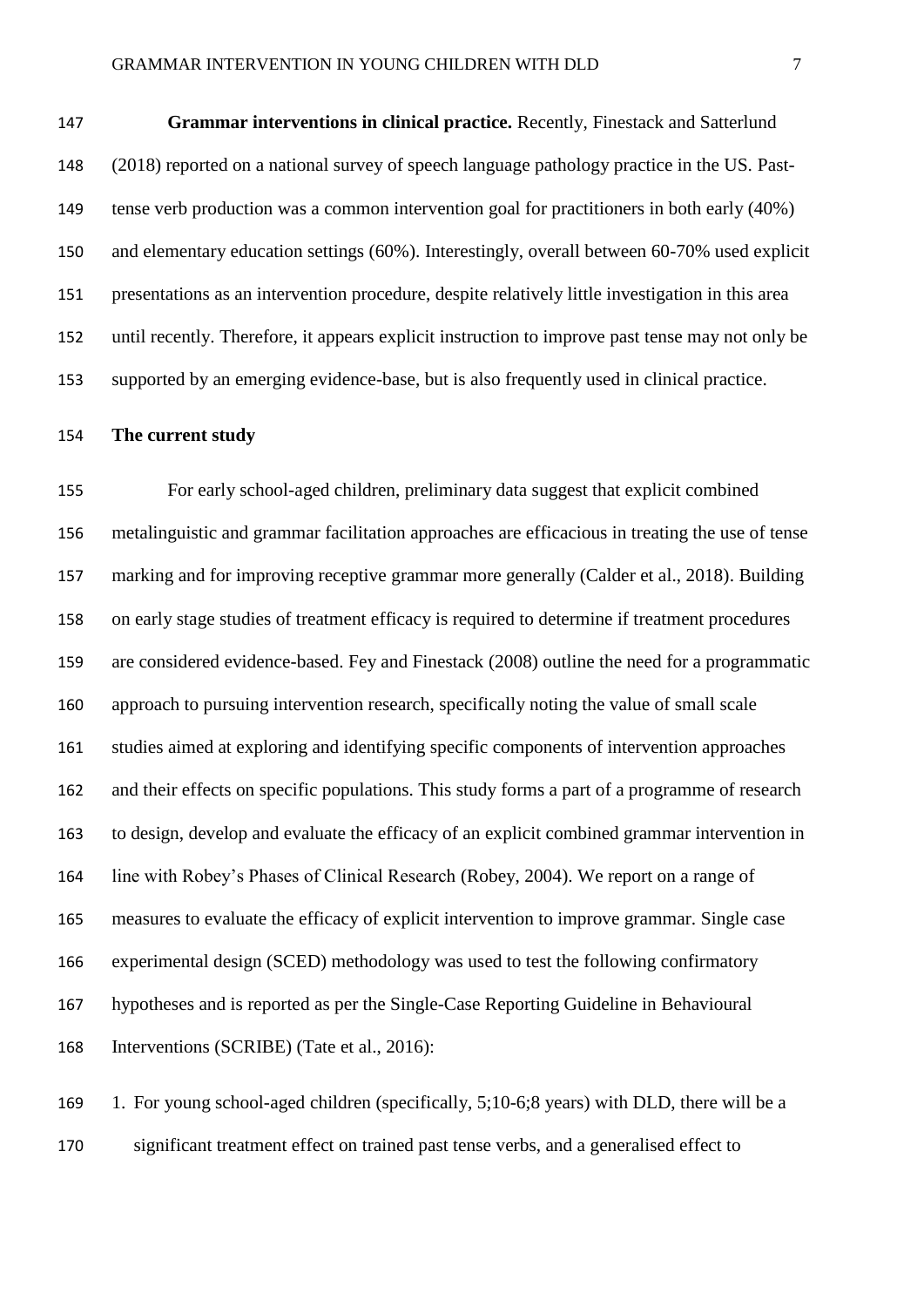**Grammar interventions in clinical practice.** Recently, Finestack and Satterlund (2018) reported on a national survey of speech language pathology practice in the US. Past- tense verb production was a common intervention goal for practitioners in both early (40%) and elementary education settings (60%). Interestingly, overall between 60-70% used explicit presentations as an intervention procedure, despite relatively little investigation in this area until recently. Therefore, it appears explicit instruction to improve past tense may not only be supported by an emerging evidence-base, but is also frequently used in clinical practice.

#### **The current study**

 For early school-aged children, preliminary data suggest that explicit combined metalinguistic and grammar facilitation approaches are efficacious in treating the use of tense marking and for improving receptive grammar more generally (Calder et al., 2018). Building on early stage studies of treatment efficacy is required to determine if treatment procedures are considered evidence-based. Fey and Finestack (2008) outline the need for a programmatic approach to pursuing intervention research, specifically noting the value of small scale studies aimed at exploring and identifying specific components of intervention approaches and their effects on specific populations. This study forms a part of a programme of research to design, develop and evaluate the efficacy of an explicit combined grammar intervention in line with Robey's Phases of Clinical Research (Robey, 2004). We report on a range of measures to evaluate the efficacy of explicit intervention to improve grammar. Single case experimental design (SCED) methodology was used to test the following confirmatory hypotheses and is reported as per the Single-Case Reporting Guideline in Behavioural Interventions (SCRIBE) (Tate et al., 2016):

 1. For young school-aged children (specifically, 5;10-6;8 years) with DLD, there will be a significant treatment effect on trained past tense verbs, and a generalised effect to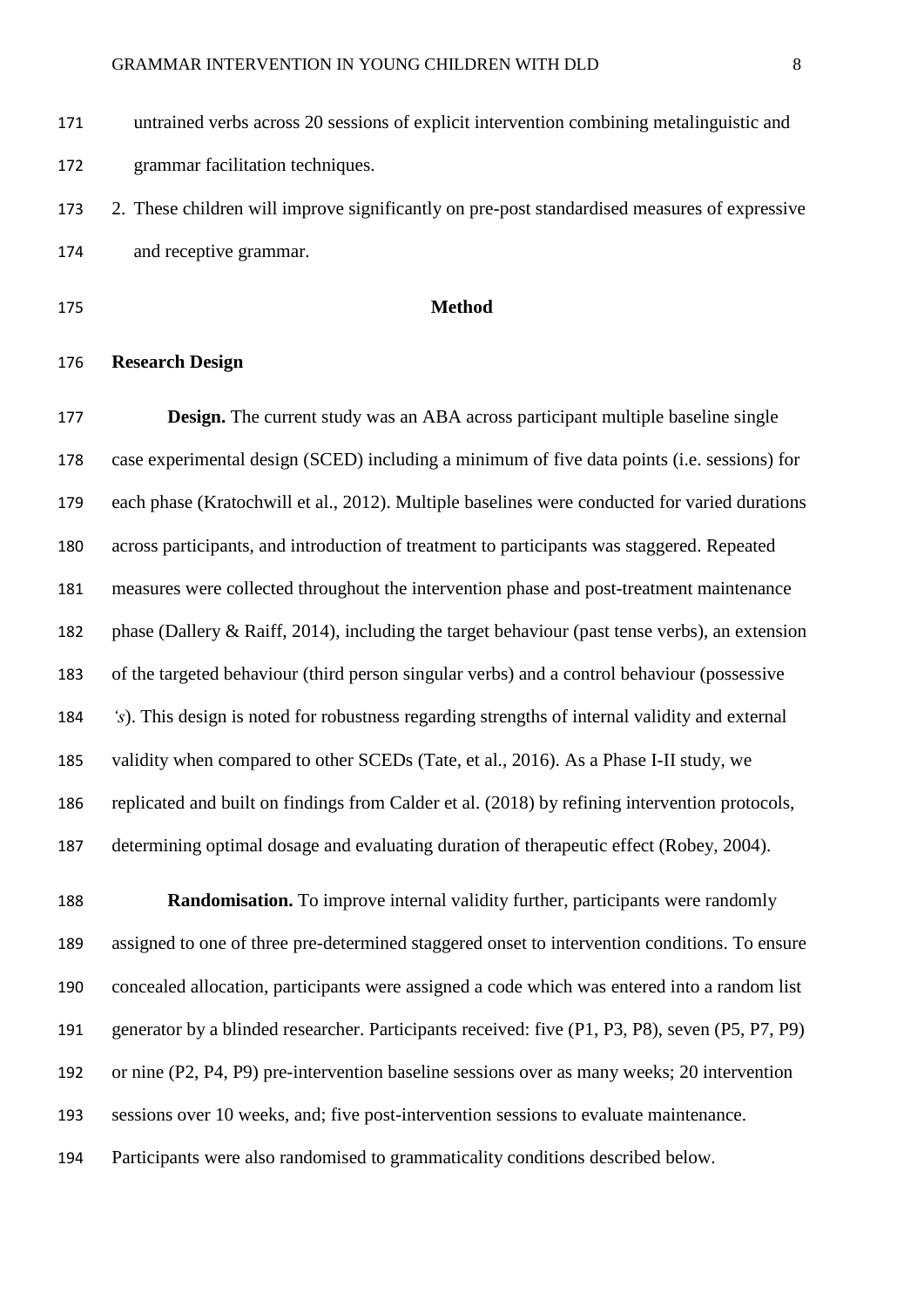untrained verbs across 20 sessions of explicit intervention combining metalinguistic and grammar facilitation techniques.

 2. These children will improve significantly on pre-post standardised measures of expressive and receptive grammar.

### **Method**

#### **Research Design**

 **Design.** The current study was an ABA across participant multiple baseline single case experimental design (SCED) including a minimum of five data points (i.e. sessions) for each phase (Kratochwill et al., 2012). Multiple baselines were conducted for varied durations across participants, and introduction of treatment to participants was staggered. Repeated measures were collected throughout the intervention phase and post-treatment maintenance phase (Dallery & Raiff, 2014), including the target behaviour (past tense verbs), an extension of the targeted behaviour (third person singular verbs) and a control behaviour (possessive *'s*). This design is noted for robustness regarding strengths of internal validity and external validity when compared to other SCEDs (Tate, et al., 2016). As a Phase I-II study, we replicated and built on findings from Calder et al. (2018) by refining intervention protocols, determining optimal dosage and evaluating duration of therapeutic effect (Robey, 2004).

 **Randomisation.** To improve internal validity further, participants were randomly assigned to one of three pre-determined staggered onset to intervention conditions. To ensure concealed allocation, participants were assigned a code which was entered into a random list generator by a blinded researcher. Participants received: five (P1, P3, P8), seven (P5, P7, P9) or nine (P2, P4, P9) pre-intervention baseline sessions over as many weeks; 20 intervention sessions over 10 weeks, and; five post-intervention sessions to evaluate maintenance. Participants were also randomised to grammaticality conditions described below.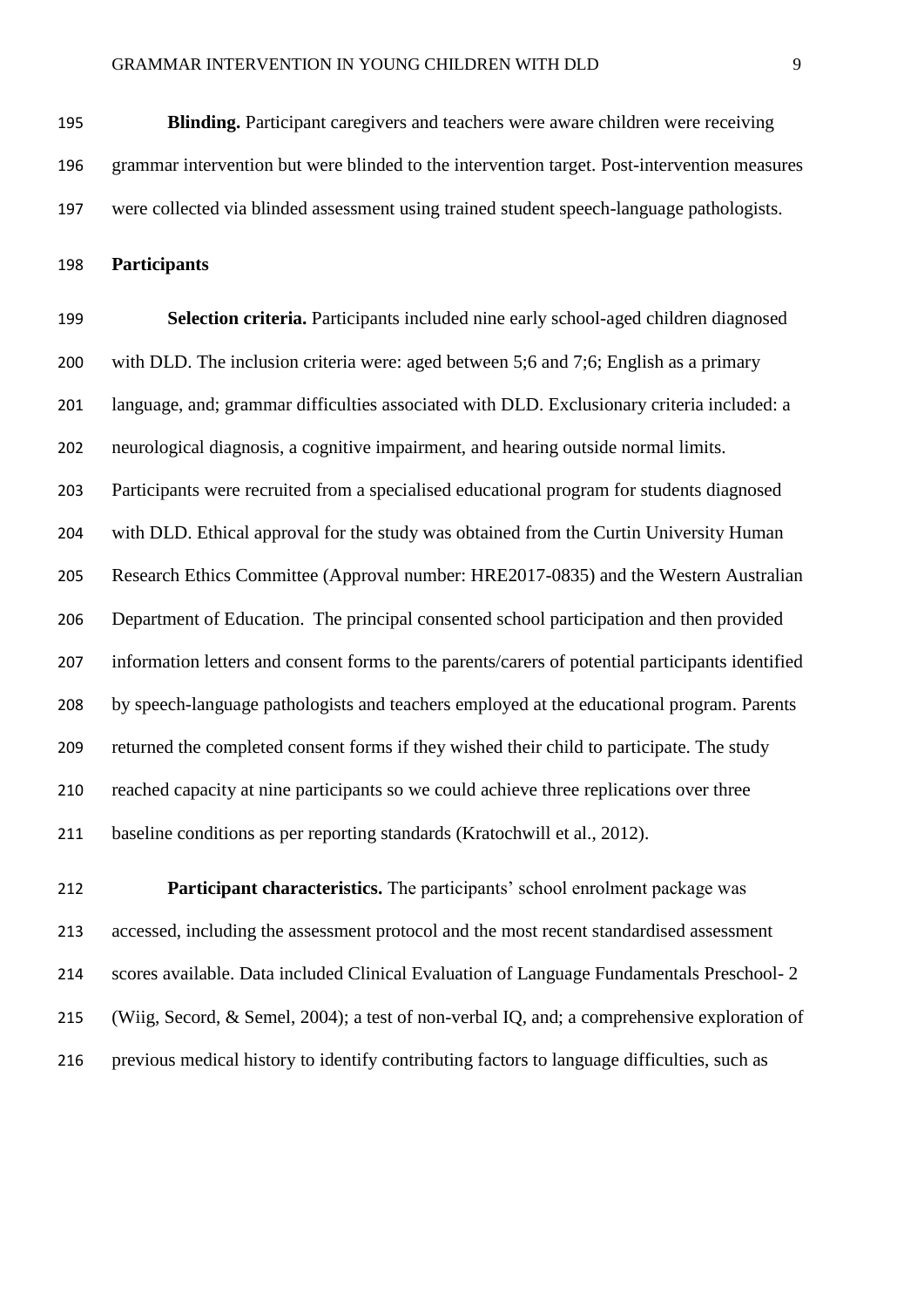**Blinding.** Participant caregivers and teachers were aware children were receiving grammar intervention but were blinded to the intervention target. Post-intervention measures were collected via blinded assessment using trained student speech-language pathologists.

**Participants**

 **Selection criteria.** Participants included nine early school-aged children diagnosed with DLD. The inclusion criteria were: aged between 5;6 and 7;6; English as a primary language, and; grammar difficulties associated with DLD. Exclusionary criteria included: a neurological diagnosis, a cognitive impairment, and hearing outside normal limits. Participants were recruited from a specialised educational program for students diagnosed with DLD. Ethical approval for the study was obtained from the Curtin University Human Research Ethics Committee (Approval number: HRE2017-0835) and the Western Australian Department of Education. The principal consented school participation and then provided information letters and consent forms to the parents/carers of potential participants identified by speech-language pathologists and teachers employed at the educational program. Parents returned the completed consent forms if they wished their child to participate. The study reached capacity at nine participants so we could achieve three replications over three baseline conditions as per reporting standards (Kratochwill et al., 2012).

 **Participant characteristics.** The participants' school enrolment package was accessed, including the assessment protocol and the most recent standardised assessment scores available. Data included Clinical Evaluation of Language Fundamentals Preschool- 2 (Wiig, Secord, & Semel, 2004); a test of non-verbal IQ, and; a comprehensive exploration of previous medical history to identify contributing factors to language difficulties, such as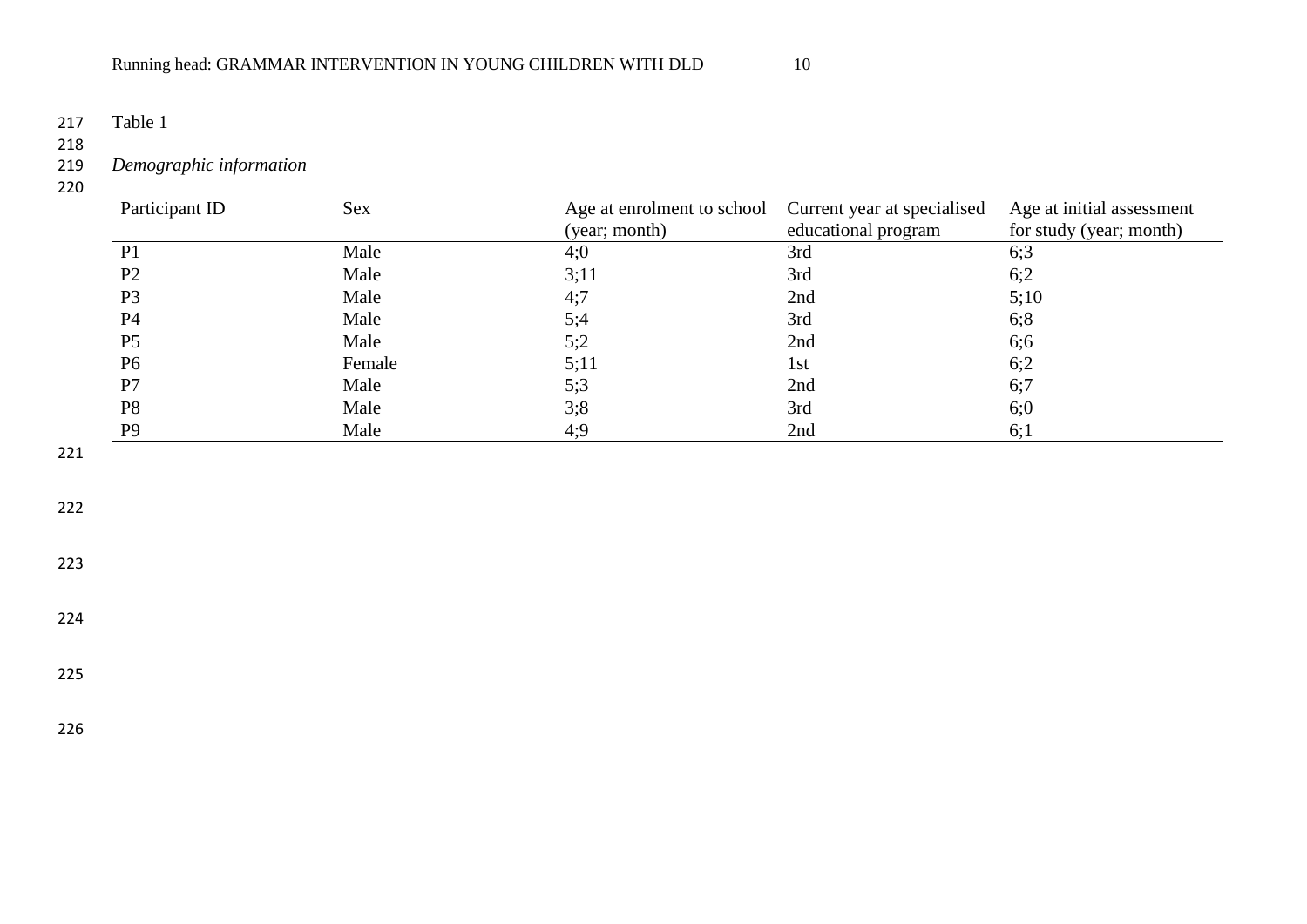217 Table 1

218<br>219 219 *Demographic information*

220

| Participant ID | <b>Sex</b> | Age at enrolment to school<br>(year; month) | Current year at specialised<br>educational program | Age at initial assessment<br>for study (year; month) |
|----------------|------------|---------------------------------------------|----------------------------------------------------|------------------------------------------------------|
| P <sub>1</sub> | Male       | 4;0                                         | 3rd                                                | 6;3                                                  |
| P <sub>2</sub> | Male       | 3;11                                        | 3rd                                                | 6:2                                                  |
| P <sub>3</sub> | Male       | 4:7                                         | 2nd                                                | 5;10                                                 |
| <b>P4</b>      | Male       | 5;4                                         | 3rd                                                | 6;8                                                  |
| P <sub>5</sub> | Male       | 5:2                                         | 2nd                                                | 6;6                                                  |
| P <sub>6</sub> | Female     | 5:11                                        | 1st                                                | 6;2                                                  |
| P7             | Male       | 5:3                                         | 2nd                                                | 6;7                                                  |
| P <sub>8</sub> | Male       | 3;8                                         | 3rd                                                | 6;0                                                  |
| P <sub>9</sub> | Male       | 4:9                                         | 2nd                                                | 6;1                                                  |

221

222

223

224

225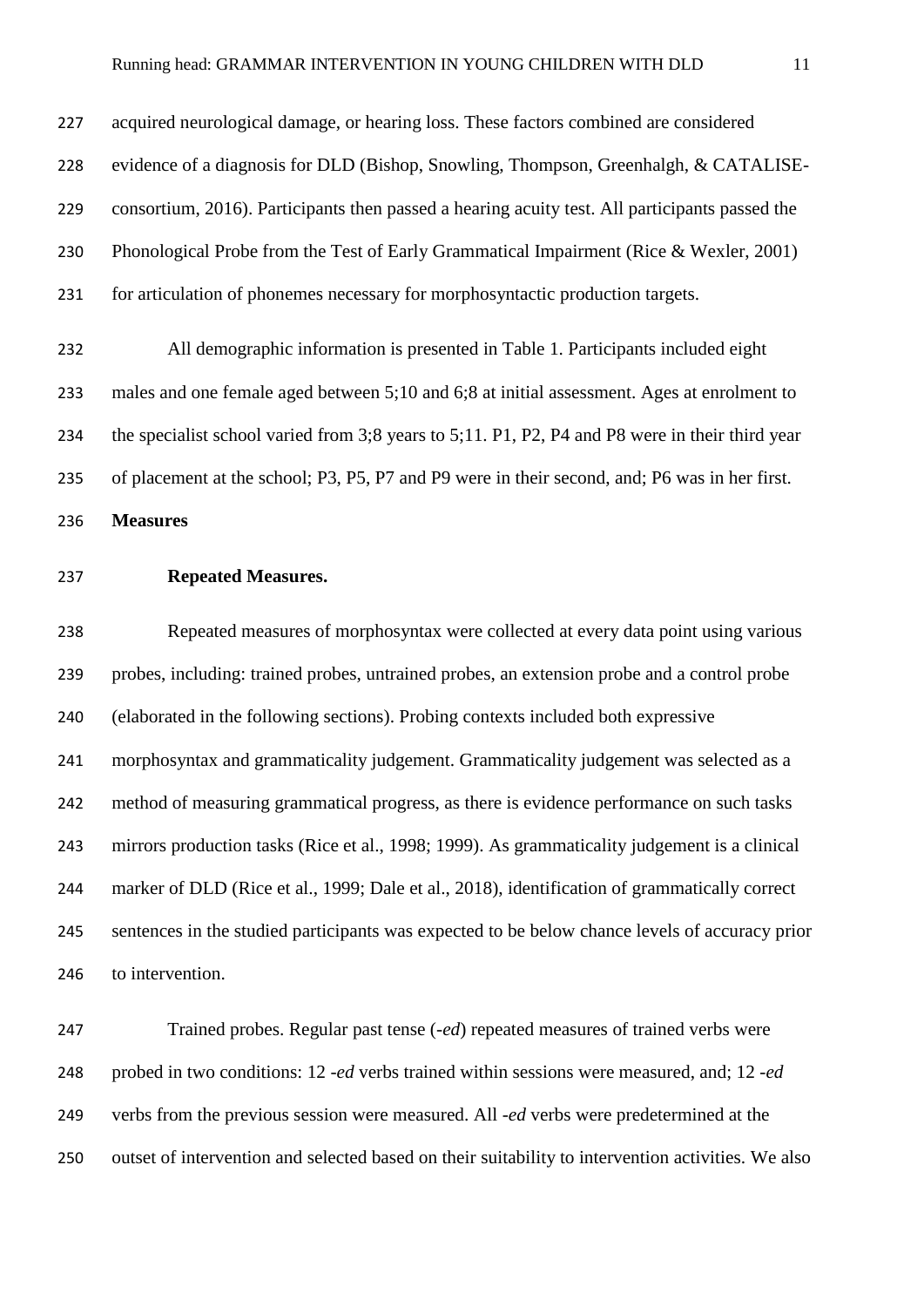acquired neurological damage, or hearing loss. These factors combined are considered evidence of a diagnosis for DLD (Bishop, Snowling, Thompson, Greenhalgh, & CATALISE- consortium, 2016). Participants then passed a hearing acuity test. All participants passed the Phonological Probe from the Test of Early Grammatical Impairment (Rice & Wexler, 2001) for articulation of phonemes necessary for morphosyntactic production targets.

 All demographic information is presented in Table 1. Participants included eight males and one female aged between 5;10 and 6;8 at initial assessment. Ages at enrolment to the specialist school varied from 3;8 years to 5;11. P1, P2, P4 and P8 were in their third year of placement at the school; P3, P5, P7 and P9 were in their second, and; P6 was in her first.

**Measures** 

**Repeated Measures.**

 Repeated measures of morphosyntax were collected at every data point using various probes, including: trained probes, untrained probes, an extension probe and a control probe (elaborated in the following sections). Probing contexts included both expressive morphosyntax and grammaticality judgement. Grammaticality judgement was selected as a method of measuring grammatical progress, as there is evidence performance on such tasks mirrors production tasks (Rice et al., 1998; 1999). As grammaticality judgement is a clinical marker of DLD (Rice et al., 1999; Dale et al., 2018), identification of grammatically correct sentences in the studied participants was expected to be below chance levels of accuracy prior to intervention.

 Trained probes. Regular past tense (*-ed*) repeated measures of trained verbs were probed in two conditions: 12 *-ed* verbs trained within sessions were measured, and; 12 *-ed* verbs from the previous session were measured. All -*ed* verbs were predetermined at the outset of intervention and selected based on their suitability to intervention activities. We also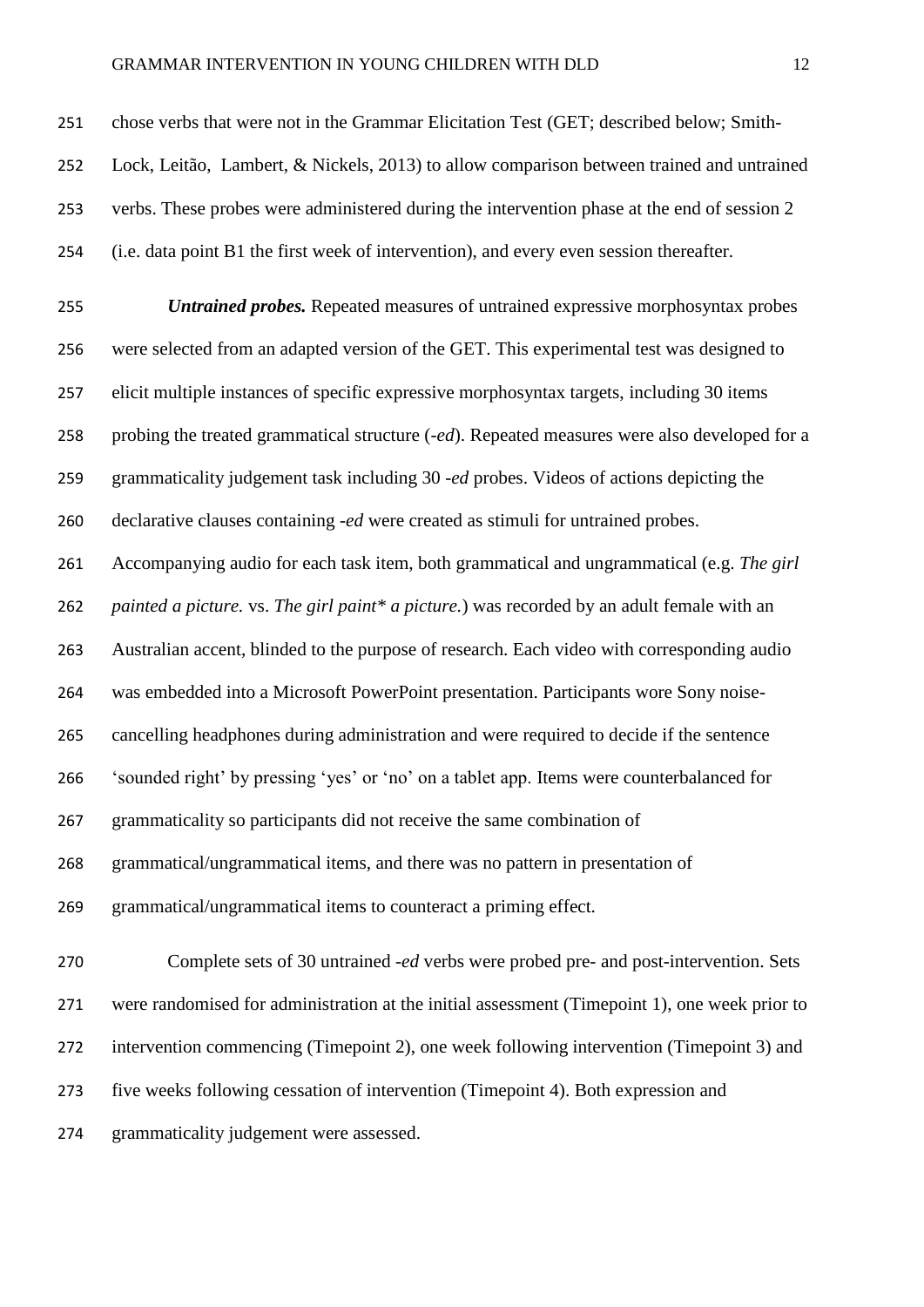#### GRAMMAR INTERVENTION IN YOUNG CHILDREN WITH DLD 12

 *Untrained probes.* Repeated measures of untrained expressive morphosyntax probes were selected from an adapted version of the GET. This experimental test was designed to elicit multiple instances of specific expressive morphosyntax targets, including 30 items probing the treated grammatical structure (*-ed*). Repeated measures were also developed for a grammaticality judgement task including 30 *-ed* probes. Videos of actions depicting the declarative clauses containing -*ed* were created as stimuli for untrained probes. Accompanying audio for each task item, both grammatical and ungrammatical (e.g. *The girl painted a picture.* vs. *The girl paint\* a picture.*) was recorded by an adult female with an Australian accent, blinded to the purpose of research. Each video with corresponding audio was embedded into a Microsoft PowerPoint presentation. Participants wore Sony noise- cancelling headphones during administration and were required to decide if the sentence 'sounded right' by pressing 'yes' or 'no' on a tablet app. Items were counterbalanced for grammaticality so participants did not receive the same combination of grammatical/ungrammatical items, and there was no pattern in presentation of grammatical/ungrammatical items to counteract a priming effect.

 Complete sets of 30 untrained *-ed* verbs were probed pre- and post-intervention. Sets were randomised for administration at the initial assessment (Timepoint 1), one week prior to intervention commencing (Timepoint 2), one week following intervention (Timepoint 3) and five weeks following cessation of intervention (Timepoint 4). Both expression and grammaticality judgement were assessed.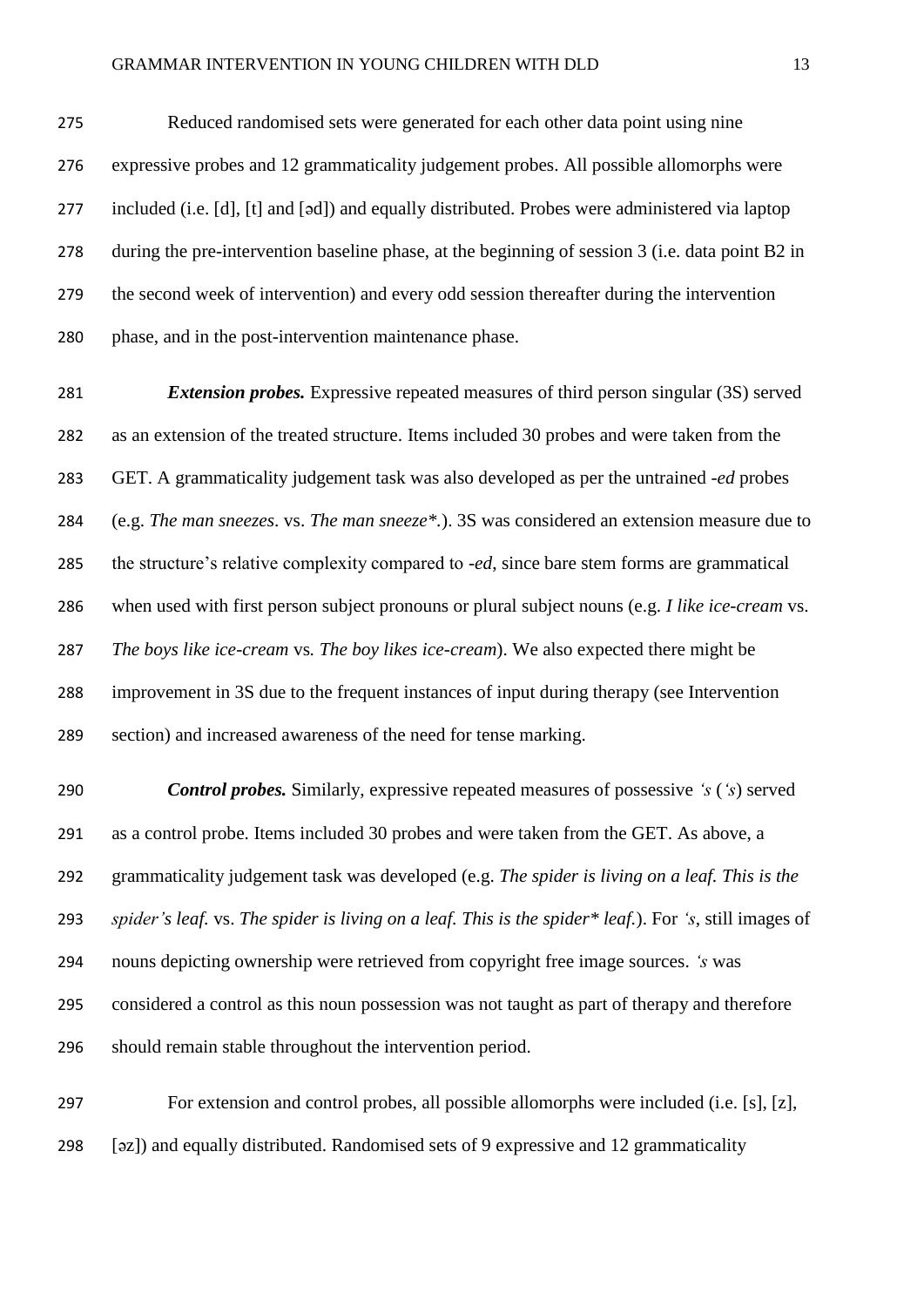Reduced randomised sets were generated for each other data point using nine expressive probes and 12 grammaticality judgement probes. All possible allomorphs were included (i.e. [d], [t] and [əd]) and equally distributed. Probes were administered via laptop during the pre-intervention baseline phase, at the beginning of session 3 (i.e. data point B2 in the second week of intervention) and every odd session thereafter during the intervention phase, and in the post-intervention maintenance phase.

 *Extension probes.* Expressive repeated measures of third person singular (3S) served as an extension of the treated structure. Items included 30 probes and were taken from the GET. A grammaticality judgement task was also developed as per the untrained -*ed* probes (e.g. *The man sneezes*. vs. *The man sneeze\*.*). 3S was considered an extension measure due to the structure's relative complexity compared to -*ed*, since bare stem forms are grammatical when used with first person subject pronouns or plural subject nouns (e.g. *I like ice-cream* vs. *The boys like ice-cream* vs*. The boy likes ice-cream*). We also expected there might be improvement in 3S due to the frequent instances of input during therapy (see Intervention section) and increased awareness of the need for tense marking.

 *Control probes.* Similarly, expressive repeated measures of possessive *'s* (*'s*) served as a control probe. Items included 30 probes and were taken from the GET. As above, a grammaticality judgement task was developed (e.g. *The spider is living on a leaf. This is the spider's leaf.* vs. *The spider is living on a leaf. This is the spider\* leaf.*). For *'s*, still images of nouns depicting ownership were retrieved from copyright free image sources. *'s* was considered a control as this noun possession was not taught as part of therapy and therefore should remain stable throughout the intervention period.

 For extension and control probes, all possible allomorphs were included (i.e. [s], [z], [əz]) and equally distributed. Randomised sets of 9 expressive and 12 grammaticality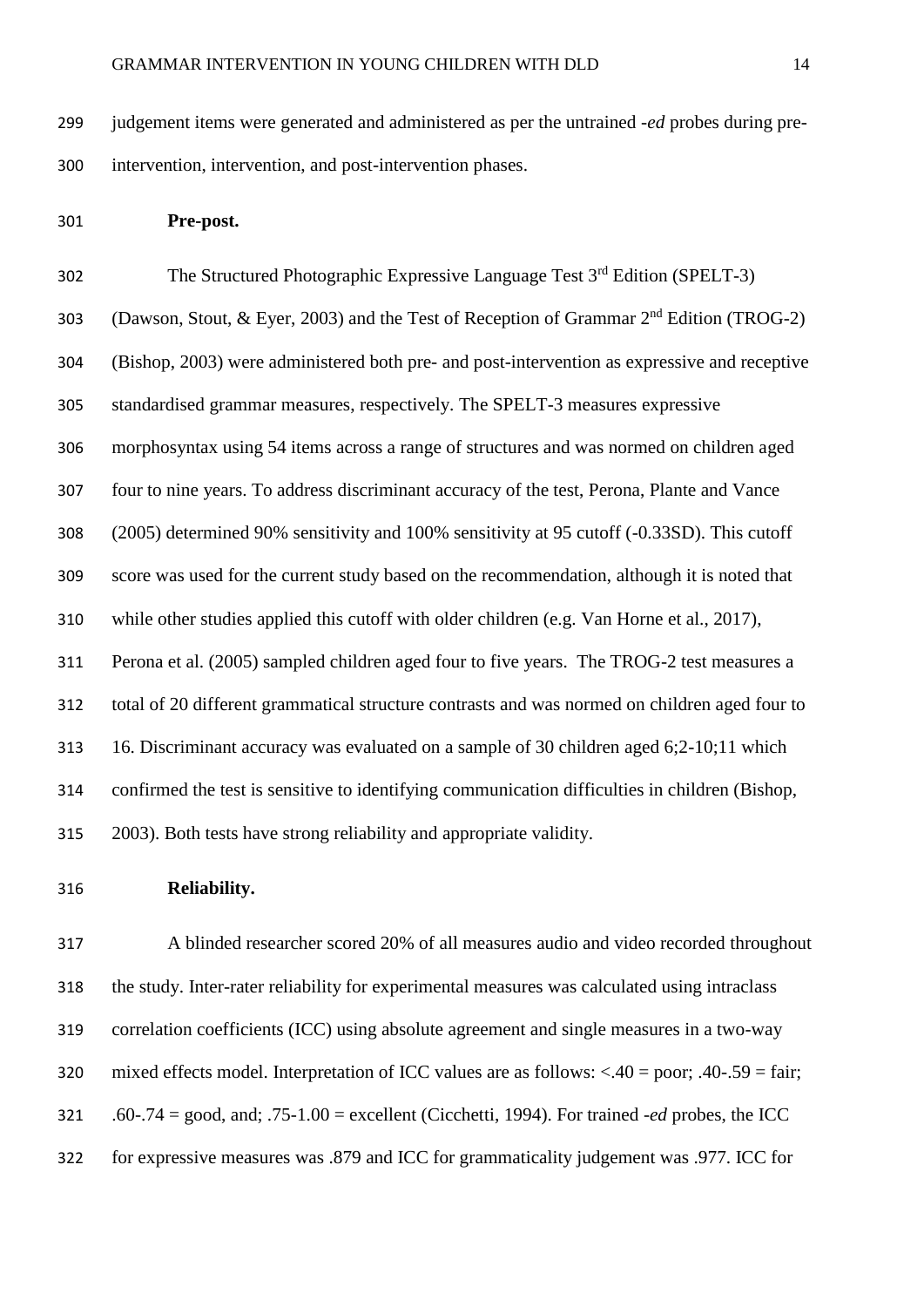judgement items were generated and administered as per the untrained -*ed* probes during pre-intervention, intervention, and post-intervention phases.

**Pre-post.**

302 The Structured Photographic Expressive Language Test  $3<sup>rd</sup>$  Edition (SPELT-3) 303 (Dawson, Stout, & Eyer, 2003) and the Test of Reception of Grammar  $2<sup>nd</sup>$  Edition (TROG-2) (Bishop, 2003) were administered both pre- and post-intervention as expressive and receptive standardised grammar measures, respectively. The SPELT-3 measures expressive morphosyntax using 54 items across a range of structures and was normed on children aged four to nine years. To address discriminant accuracy of the test, Perona, Plante and Vance (2005) determined 90% sensitivity and 100% sensitivity at 95 cutoff (-0.33SD). This cutoff score was used for the current study based on the recommendation, although it is noted that while other studies applied this cutoff with older children (e.g. Van Horne et al., 2017), Perona et al. (2005) sampled children aged four to five years. The TROG-2 test measures a total of 20 different grammatical structure contrasts and was normed on children aged four to 16. Discriminant accuracy was evaluated on a sample of 30 children aged 6;2-10;11 which confirmed the test is sensitive to identifying communication difficulties in children (Bishop, 2003). Both tests have strong reliability and appropriate validity.

**Reliability.** 

 A blinded researcher scored 20% of all measures audio and video recorded throughout the study. Inter-rater reliability for experimental measures was calculated using intraclass correlation coefficients (ICC) using absolute agreement and single measures in a two-way mixed effects model. Interpretation of ICC values are as follows: <.40 = poor; .40-.59 = fair; .60-.74 = good, and; .75-1.00 = excellent (Cicchetti, 1994). For trained -*ed* probes, the ICC for expressive measures was .879 and ICC for grammaticality judgement was .977. ICC for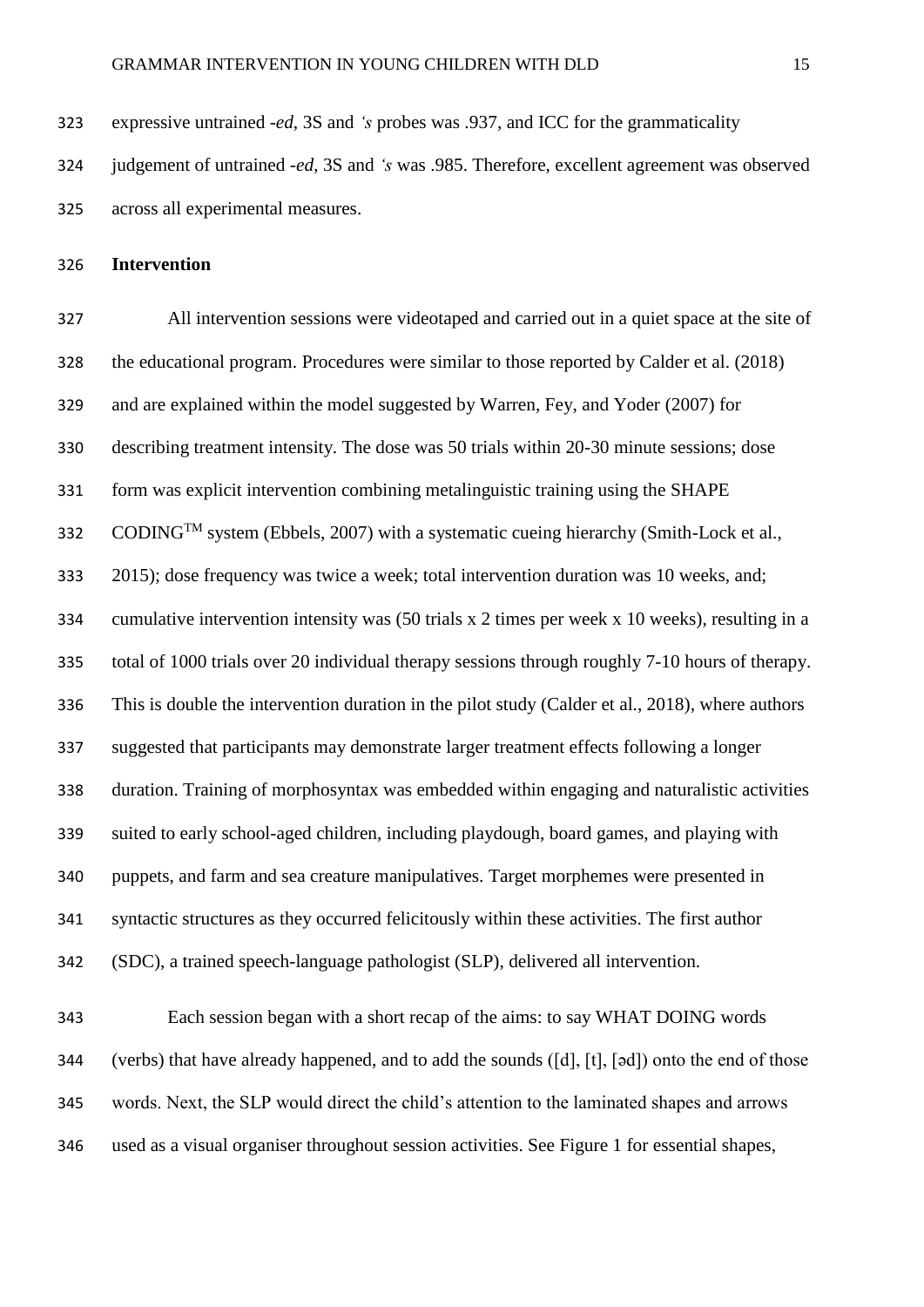expressive untrained *-ed*, 3S and *'s* probes was .937, and ICC for the grammaticality

 judgement of untrained *-ed*, 3S and *'s* was .985. Therefore, excellent agreement was observed across all experimental measures.

### **Intervention**

 All intervention sessions were videotaped and carried out in a quiet space at the site of the educational program. Procedures were similar to those reported by Calder et al. (2018) and are explained within the model suggested by Warren, Fey, and Yoder (2007) for describing treatment intensity. The dose was 50 trials within 20-30 minute sessions; dose form was explicit intervention combining metalinguistic training using the SHAPE  $S<sub>332</sub>$  CODING<sup>TM</sup> system (Ebbels, 2007) with a systematic cueing hierarchy (Smith-Lock et al., 2015); dose frequency was twice a week; total intervention duration was 10 weeks, and; cumulative intervention intensity was (50 trials x 2 times per week x 10 weeks), resulting in a total of 1000 trials over 20 individual therapy sessions through roughly 7-10 hours of therapy. This is double the intervention duration in the pilot study (Calder et al., 2018), where authors suggested that participants may demonstrate larger treatment effects following a longer duration. Training of morphosyntax was embedded within engaging and naturalistic activities suited to early school-aged children, including playdough, board games, and playing with puppets, and farm and sea creature manipulatives. Target morphemes were presented in syntactic structures as they occurred felicitously within these activities. The first author (SDC), a trained speech-language pathologist (SLP), delivered all intervention.

 Each session began with a short recap of the aims: to say WHAT DOING words 344 (verbs) that have already happened, and to add the sounds ([d], [t], [əd]) onto the end of those words. Next, the SLP would direct the child's attention to the laminated shapes and arrows used as a visual organiser throughout session activities. See Figure 1 for essential shapes,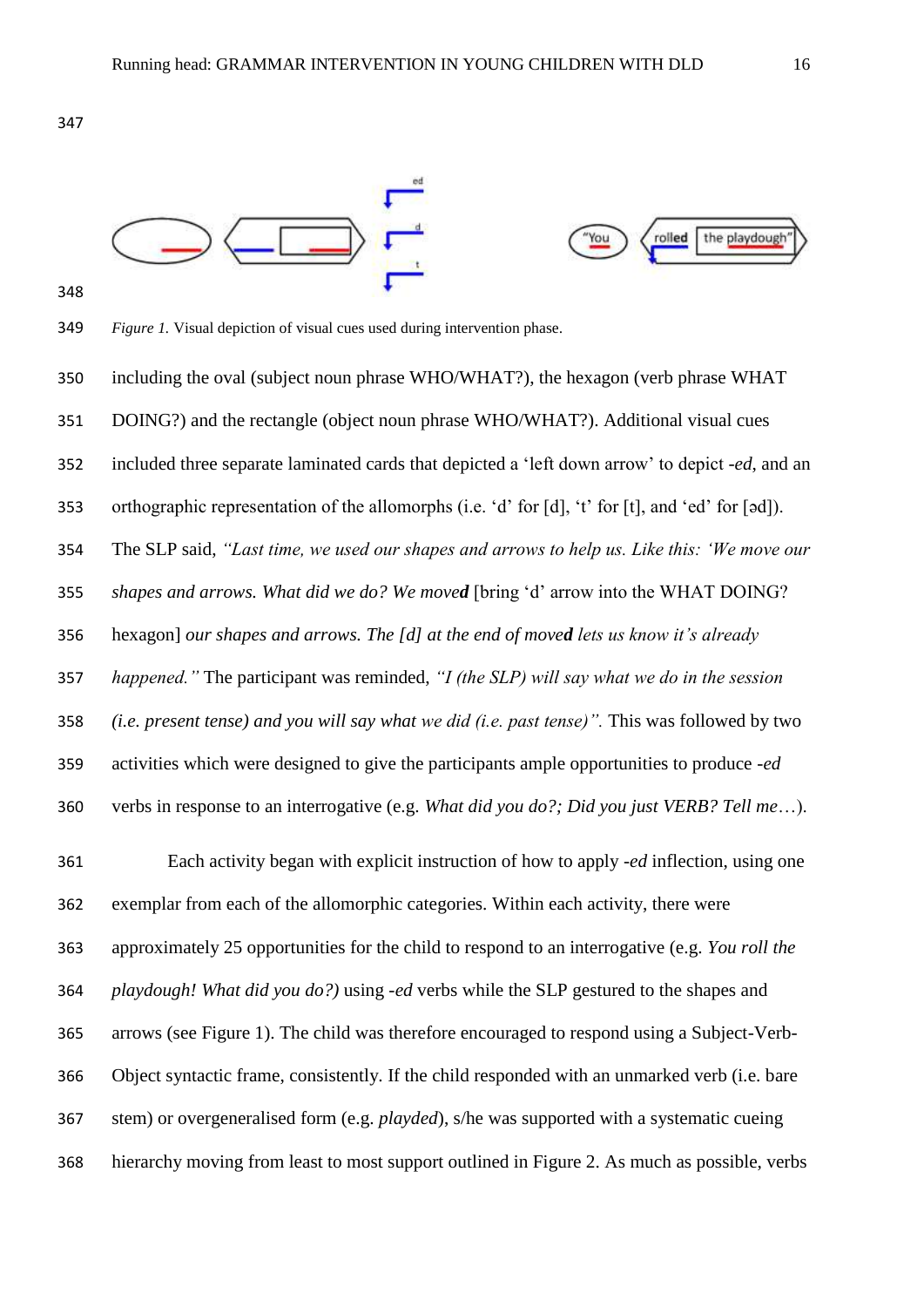



*Figure 1.* Visual depiction of visual cues used during intervention phase.

including the oval (subject noun phrase WHO/WHAT?), the hexagon (verb phrase WHAT

DOING?) and the rectangle (object noun phrase WHO/WHAT?). Additional visual cues

included three separate laminated cards that depicted a 'left down arrow' to depict *-ed*, and an

orthographic representation of the allomorphs (i.e. 'd' for [d], 't' for [t], and 'ed' for [ǝd]).

The SLP said, *"Last time, we used our shapes and arrows to help us. Like this: 'We move our* 

*shapes and arrows. What did we do? We moved* [bring 'd' arrow into the WHAT DOING?

hexagon] *our shapes and arrows. The [d] at the end of moved lets us know it's already* 

*happened."* The participant was reminded, *"I (the SLP) will say what we do in the session* 

*(i.e. present tense) and you will say what we did (i.e. past tense)".* This was followed by two

activities which were designed to give the participants ample opportunities to produce *-ed*

verbs in response to an interrogative (e.g. *What did you do?; Did you just VERB? Tell me*…).

 Each activity began with explicit instruction of how to apply *-ed* inflection, using one exemplar from each of the allomorphic categories. Within each activity, there were approximately 25 opportunities for the child to respond to an interrogative (e.g. *You roll the playdough! What did you do?)* using -*ed* verbs while the SLP gestured to the shapes and arrows (see Figure 1). The child was therefore encouraged to respond using a Subject-Verb- Object syntactic frame, consistently. If the child responded with an unmarked verb (i.e. bare stem) or overgeneralised form (e.g. *playded*), s/he was supported with a systematic cueing hierarchy moving from least to most support outlined in Figure 2. As much as possible, verbs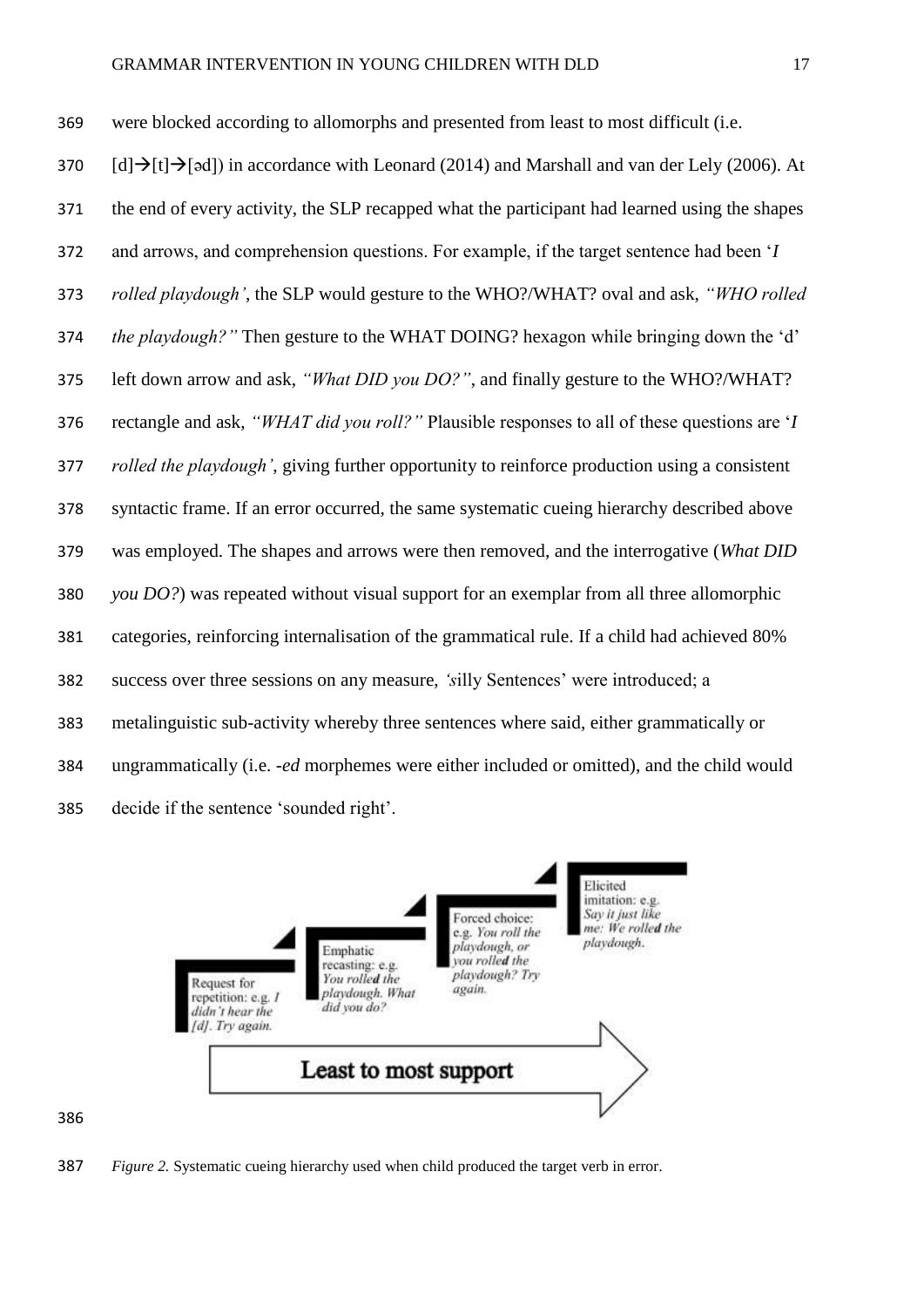were blocked according to allomorphs and presented from least to most difficult (i.e. [d] $\rightarrow$ [t] $\rightarrow$ [əd]) in accordance with Leonard (2014) and Marshall and van der Lely (2006). At the end of every activity, the SLP recapped what the participant had learned using the shapes and arrows, and comprehension questions. For example, if the target sentence had been '*I rolled playdough'*, the SLP would gesture to the WHO?/WHAT? oval and ask, *"WHO rolled the playdough?"* Then gesture to the WHAT DOING? hexagon while bringing down the 'd' left down arrow and ask, *"What DID you DO?"*, and finally gesture to the WHO?/WHAT? rectangle and ask, *"WHAT did you roll?"* Plausible responses to all of these questions are '*I rolled the playdough'*, giving further opportunity to reinforce production using a consistent syntactic frame. If an error occurred, the same systematic cueing hierarchy described above was employed. The shapes and arrows were then removed, and the interrogative (*What DID you DO?*) was repeated without visual support for an exemplar from all three allomorphic categories, reinforcing internalisation of the grammatical rule. If a child had achieved 80% success over three sessions on any measure, *'s*illy Sentences' were introduced; a metalinguistic sub-activity whereby three sentences where said, either grammatically or ungrammatically (i.e. *-ed* morphemes were either included or omitted), and the child would decide if the sentence 'sounded right'.



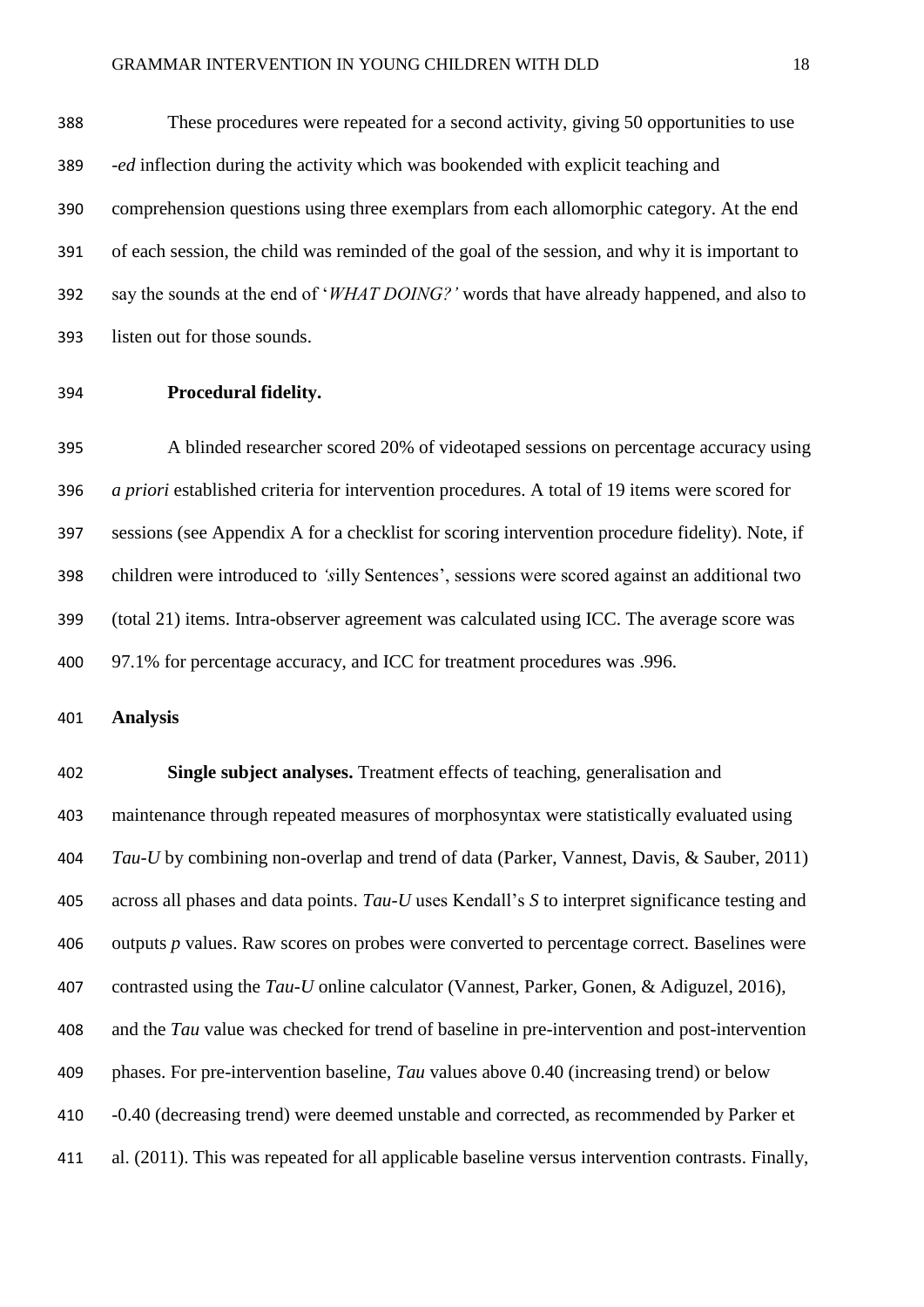These procedures were repeated for a second activity, giving 50 opportunities to use *-ed* inflection during the activity which was bookended with explicit teaching and comprehension questions using three exemplars from each allomorphic category. At the end of each session, the child was reminded of the goal of the session, and why it is important to say the sounds at the end of '*WHAT DOING?'* words that have already happened, and also to listen out for those sounds.

**Procedural fidelity.** 

 A blinded researcher scored 20% of videotaped sessions on percentage accuracy using *a priori* established criteria for intervention procedures. A total of 19 items were scored for sessions (see Appendix A for a checklist for scoring intervention procedure fidelity). Note, if children were introduced to *'s*illy Sentences', sessions were scored against an additional two (total 21) items. Intra-observer agreement was calculated using ICC. The average score was 97.1% for percentage accuracy, and ICC for treatment procedures was .996.

**Analysis**

 **Single subject analyses.** Treatment effects of teaching, generalisation and maintenance through repeated measures of morphosyntax were statistically evaluated using *Tau-U* by combining non-overlap and trend of data (Parker, Vannest, Davis, & Sauber, 2011) across all phases and data points. *Tau-U* uses Kendall's *S* to interpret significance testing and outputs *p* values. Raw scores on probes were converted to percentage correct. Baselines were contrasted using the *Tau-U* online calculator (Vannest, Parker, Gonen, & Adiguzel, 2016), and the *Tau* value was checked for trend of baseline in pre-intervention and post-intervention phases. For pre-intervention baseline, *Tau* values above 0.40 (increasing trend) or below -0.40 (decreasing trend) were deemed unstable and corrected, as recommended by Parker et al. (2011). This was repeated for all applicable baseline versus intervention contrasts. Finally,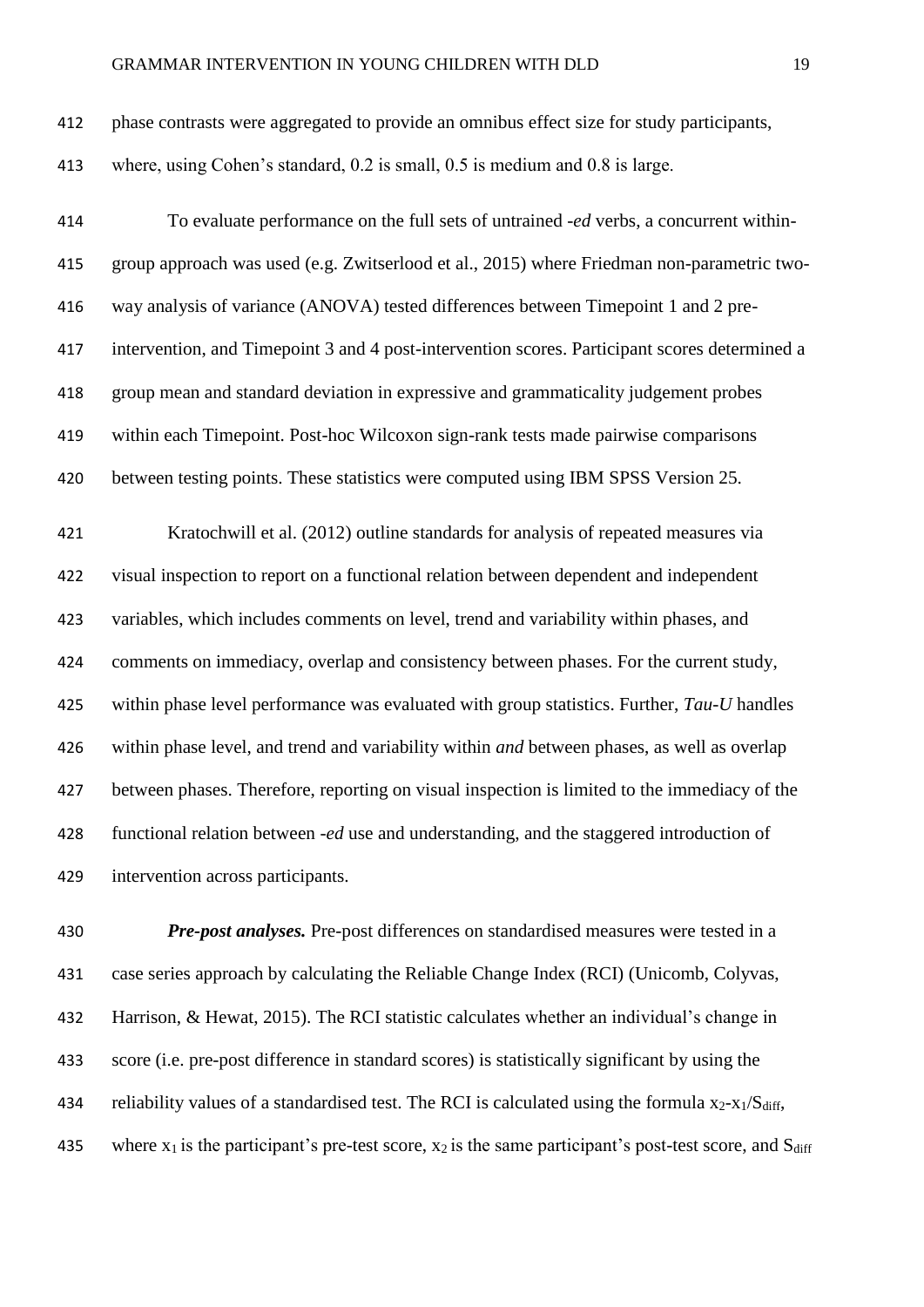| 412 | phase contrasts were aggregated to provide an omnibus effect size for study participants, |
|-----|-------------------------------------------------------------------------------------------|
| 413 | where, using Cohen's standard, 0.2 is small, 0.5 is medium and 0.8 is large.              |

 To evaluate performance on the full sets of untrained *-ed* verbs, a concurrent within- group approach was used (e.g. Zwitserlood et al., 2015) where Friedman non-parametric two- way analysis of variance (ANOVA) tested differences between Timepoint 1 and 2 pre- intervention, and Timepoint 3 and 4 post-intervention scores. Participant scores determined a group mean and standard deviation in expressive and grammaticality judgement probes within each Timepoint. Post-hoc Wilcoxon sign-rank tests made pairwise comparisons between testing points. These statistics were computed using IBM SPSS Version 25. Kratochwill et al. (2012) outline standards for analysis of repeated measures via visual inspection to report on a functional relation between dependent and independent variables, which includes comments on level, trend and variability within phases, and comments on immediacy, overlap and consistency between phases. For the current study, within phase level performance was evaluated with group statistics. Further, *Tau-U* handles within phase level, and trend and variability within *and* between phases, as well as overlap between phases. Therefore, reporting on visual inspection is limited to the immediacy of the functional relation between *-ed* use and understanding, and the staggered introduction of intervention across participants.

 *Pre-post analyses.* Pre-post differences on standardised measures were tested in a case series approach by calculating the Reliable Change Index (RCI) (Unicomb, Colyvas, Harrison, & Hewat, 2015). The RCI statistic calculates whether an individual's change in score (i.e. pre-post difference in standard scores) is statistically significant by using the 434 reliability values of a standardised test. The RCI is calculated using the formula  $x_2-x_1/S_{diff}$ , 435 where  $x_1$  is the participant's pre-test score,  $x_2$  is the same participant's post-test score, and  $S_{diff}$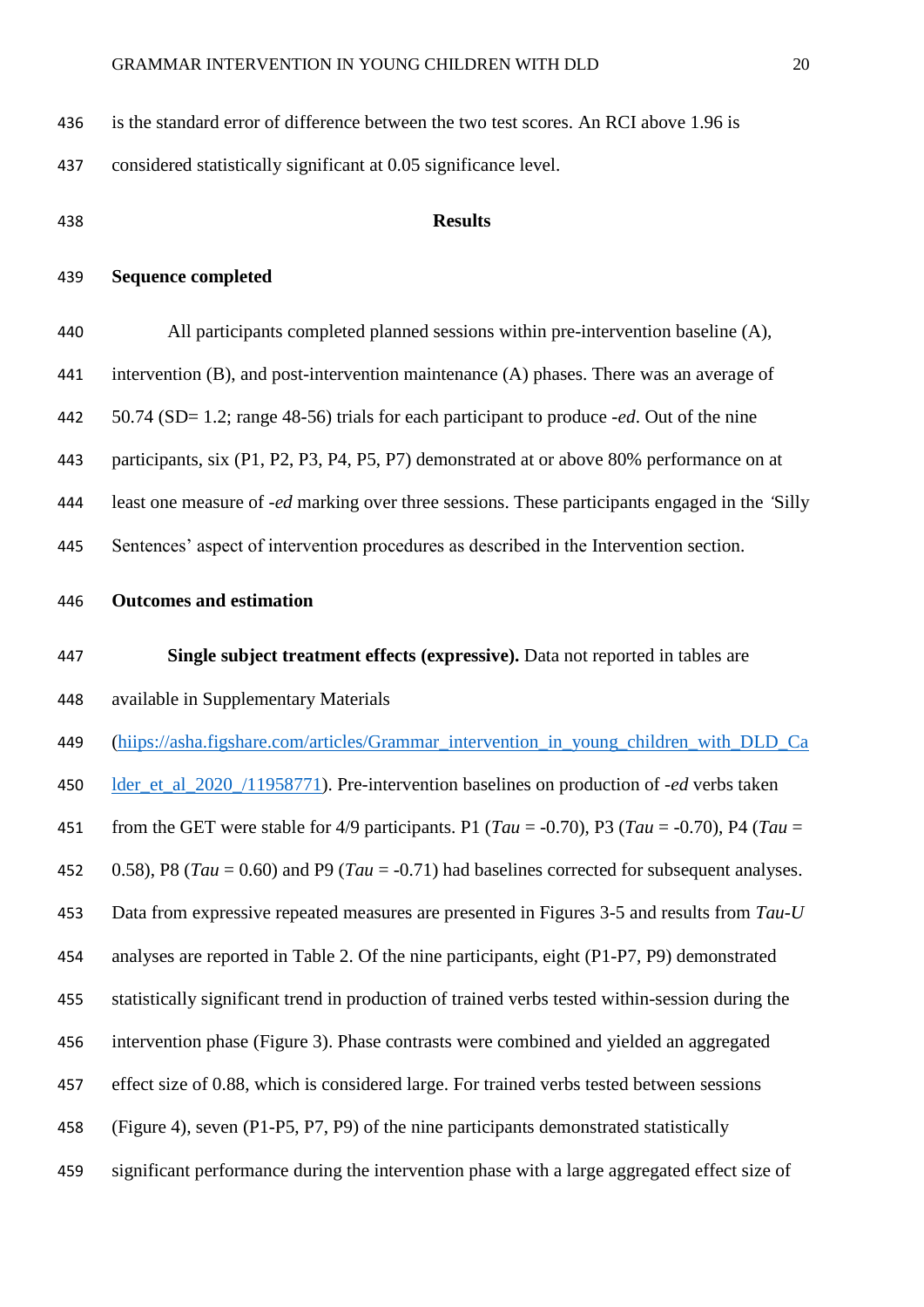| 436 | is the standard error of difference between the two test scores. An RCI above 1.96 is                 |
|-----|-------------------------------------------------------------------------------------------------------|
| 437 | considered statistically significant at 0.05 significance level.                                      |
| 438 | <b>Results</b>                                                                                        |
| 439 | <b>Sequence completed</b>                                                                             |
| 440 | All participants completed planned sessions within pre-intervention baseline (A),                     |
| 441 | intervention $(B)$ , and post-intervention maintenance $(A)$ phases. There was an average of          |
| 442 | 50.74 (SD= 1.2; range 48-56) trials for each participant to produce <i>-ed</i> . Out of the nine      |
| 443 | participants, six (P1, P2, P3, P4, P5, P7) demonstrated at or above 80% performance on at             |
| 444 | least one measure of <i>-ed</i> marking over three sessions. These participants engaged in the 'Silly |
| 445 | Sentences' aspect of intervention procedures as described in the Intervention section.                |
| 446 | <b>Outcomes and estimation</b>                                                                        |
| 447 | Single subject treatment effects (expressive). Data not reported in tables are                        |
| 448 | available in Supplementary Materials                                                                  |
| 449 | (hiips://asha.figshare.com/articles/Grammar_intervention_in_young_children_with_DLD_Ca                |
| 450 | lder_et_al_2020_/11958771). Pre-intervention baselines on production of -ed verbs taken               |
| 451 | from the GET were stable for 4/9 participants. P1 (Tau = -0.70), P3 (Tau = -0.70), P4 (Tau =          |
| 452 | 0.58), P8 (Tau = 0.60) and P9 (Tau = -0.71) had baselines corrected for subsequent analyses.          |
| 453 | Data from expressive repeated measures are presented in Figures 3-5 and results from Tau-U            |
| 454 | analyses are reported in Table 2. Of the nine participants, eight (P1-P7, P9) demonstrated            |
| 455 | statistically significant trend in production of trained verbs tested within-session during the       |
| 456 | intervention phase (Figure 3). Phase contrasts were combined and yielded an aggregated                |
| 457 | effect size of 0.88, which is considered large. For trained verbs tested between sessions             |
| 458 | (Figure 4), seven (P1-P5, P7, P9) of the nine participants demonstrated statistically                 |
| 459 | significant performance during the intervention phase with a large aggregated effect size of          |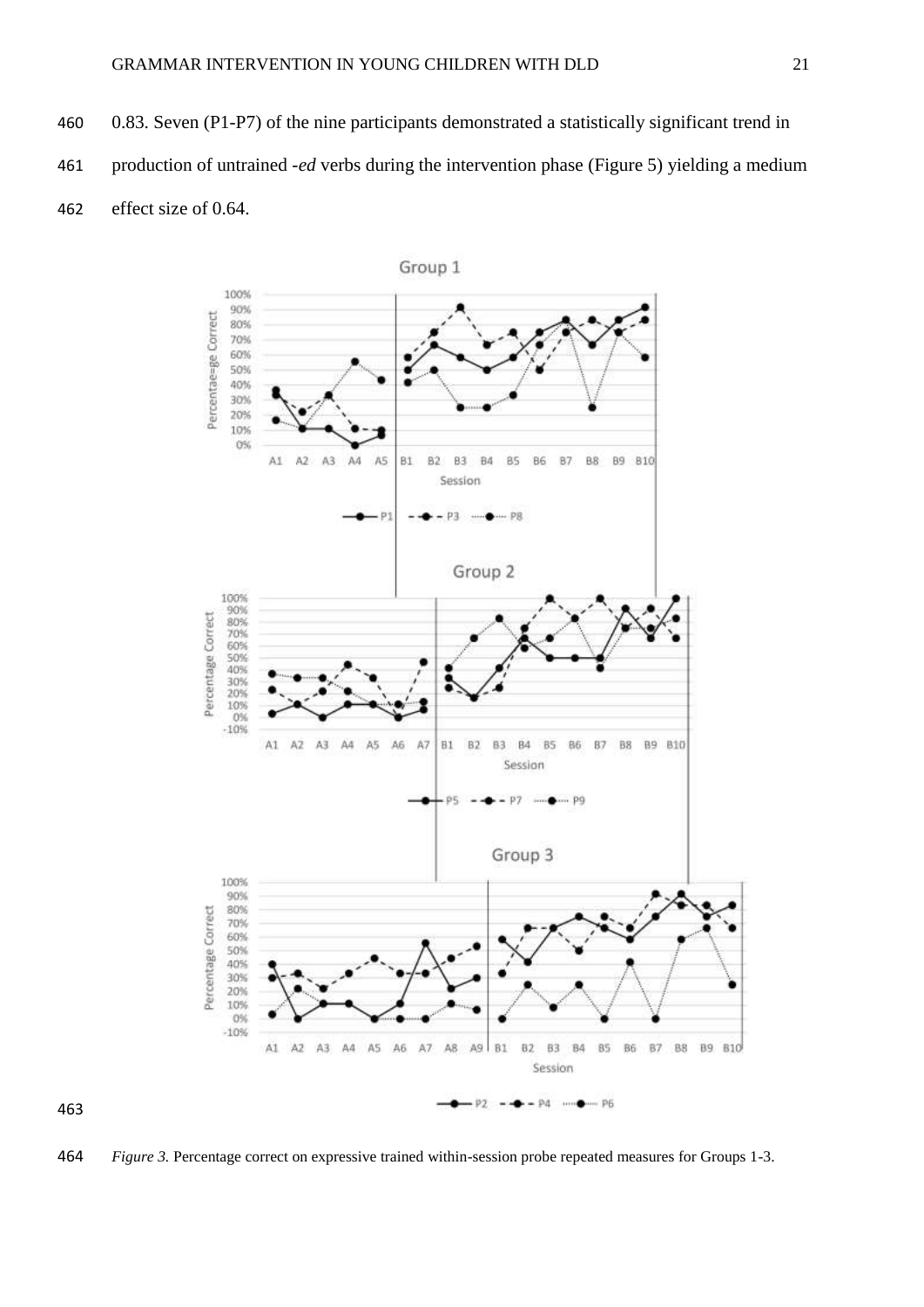0.83. Seven (P1-P7) of the nine participants demonstrated a statistically significant trend in production of untrained *-ed* verbs during the intervention phase (Figure 5) yielding a medium effect size of 0.64.



*Figure 3.* Percentage correct on expressive trained within-session probe repeated measures for Groups 1-3.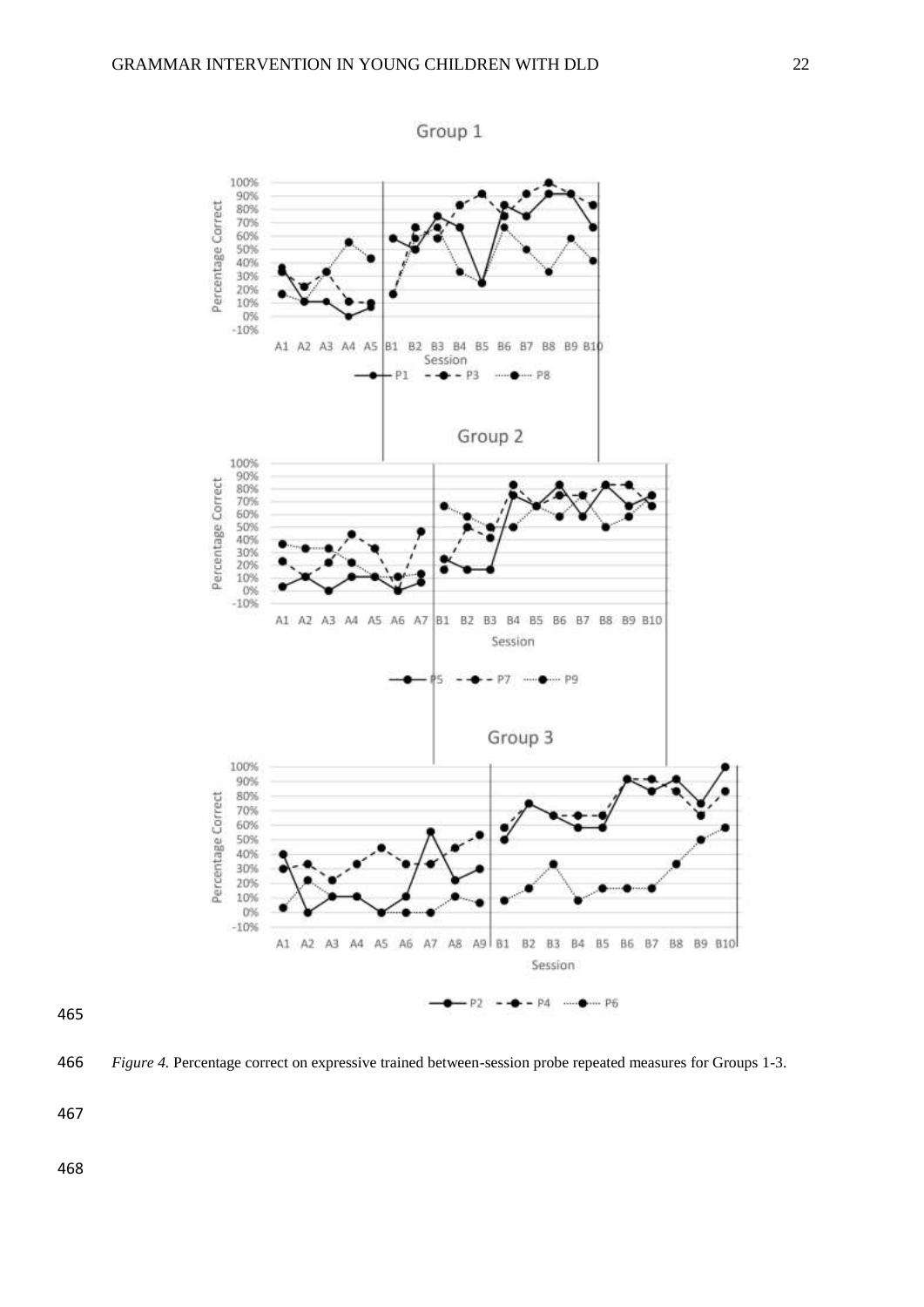

Group 1

#### 

*Figure 4.* Percentage correct on expressive trained between-session probe repeated measures for Groups 1-3.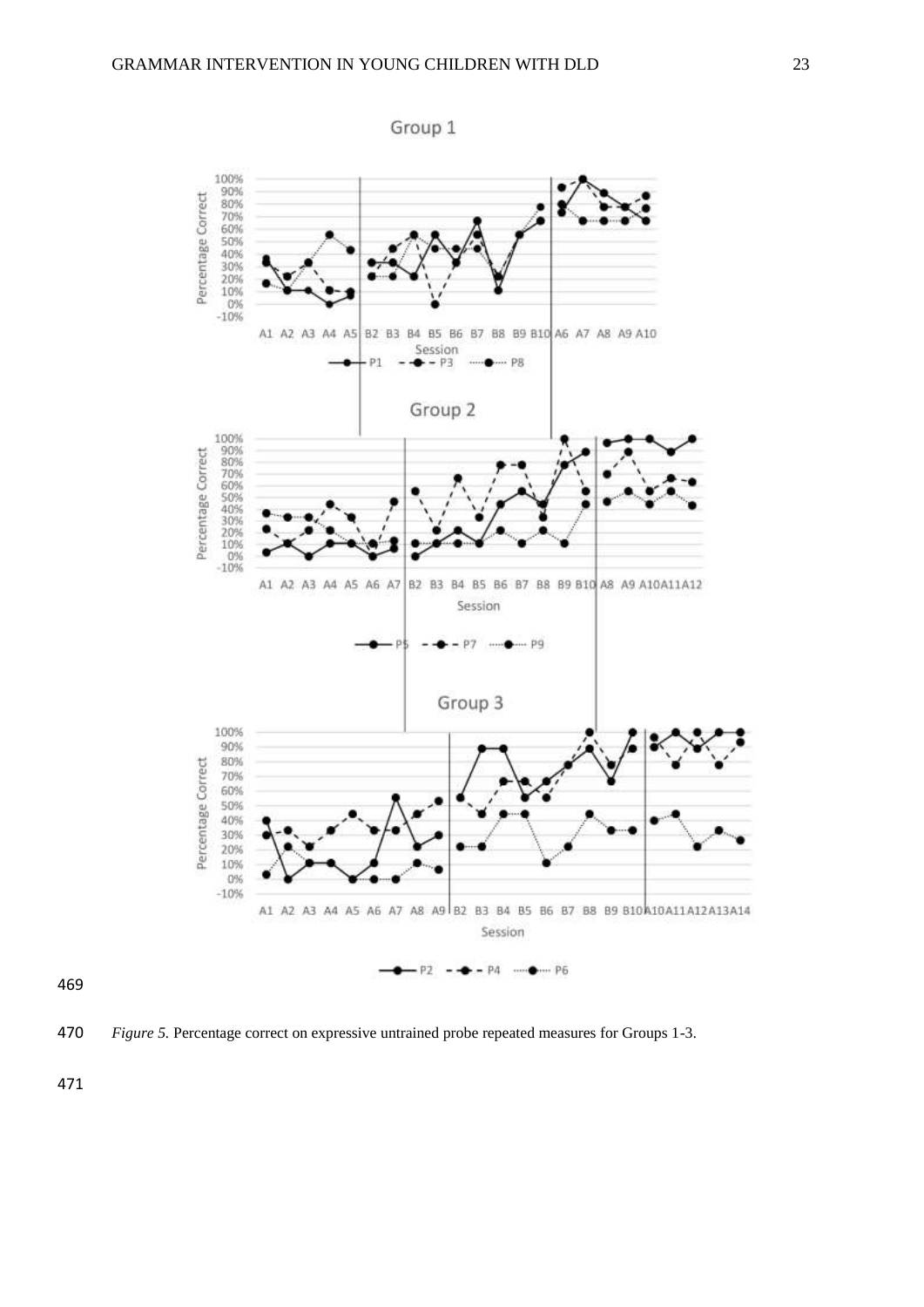

*Figure 5.* Percentage correct on expressive untrained probe repeated measures for Groups 1-3.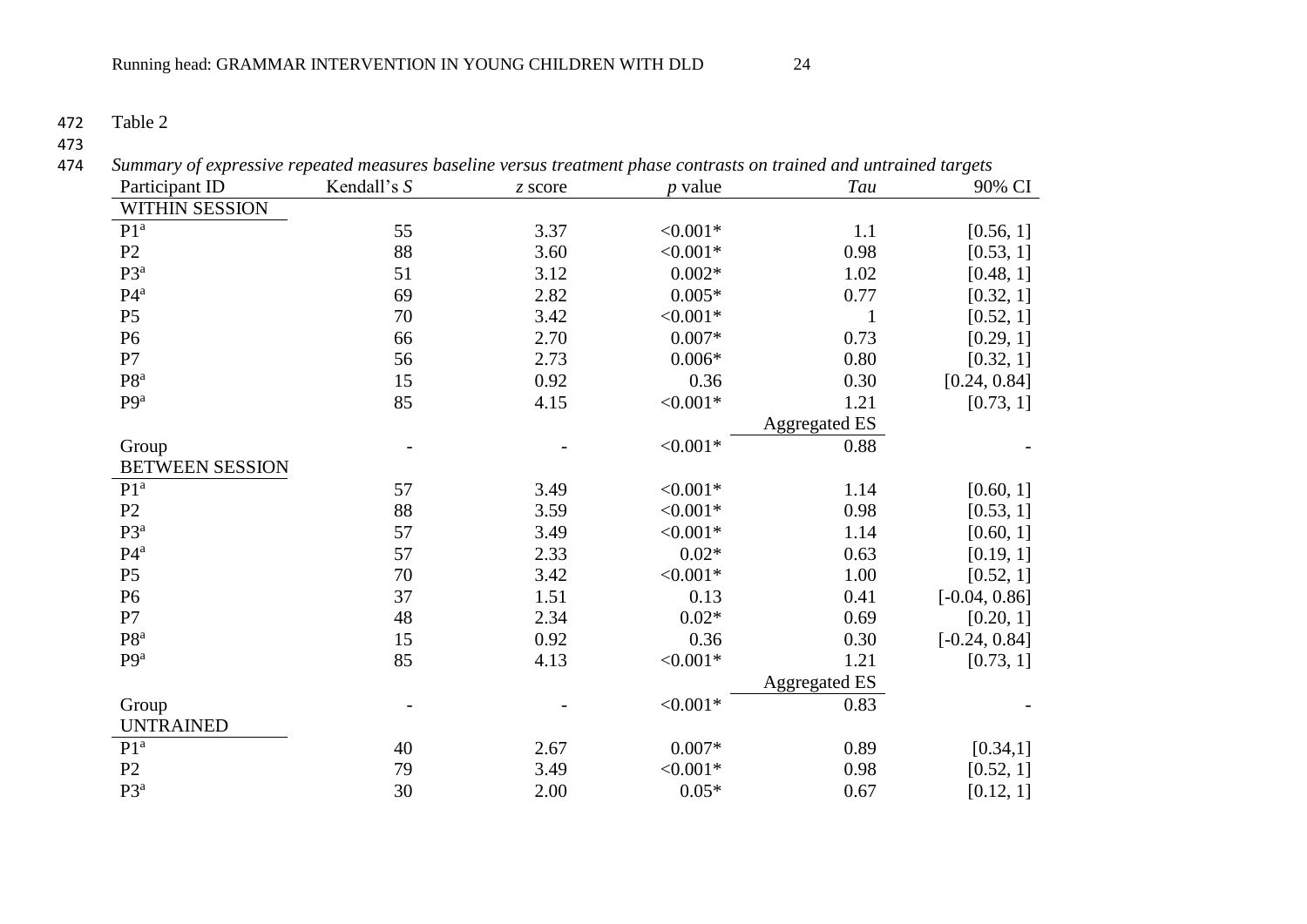472 Table 2

| Participant ID         | Kendall's S | z score | <i>p</i> value | Tau                  | 90% CI          |
|------------------------|-------------|---------|----------------|----------------------|-----------------|
| <b>WITHIN SESSION</b>  |             |         |                |                      |                 |
| P1 <sup>a</sup>        | 55          | 3.37    | $< 0.001*$     | 1.1                  | [0.56, 1]       |
| P2                     | 88          | 3.60    | $< 0.001*$     | 0.98                 | [0.53, 1]       |
| P3 <sup>a</sup>        | 51          | 3.12    | $0.002*$       | 1.02                 | [0.48, 1]       |
| $P4^a$                 | 69          | 2.82    | $0.005*$       | 0.77                 | [0.32, 1]       |
| $\mathbf{P}5$          | 70          | 3.42    | $< 0.001*$     | $\mathbf{1}$         | [0.52, 1]       |
| P <sub>6</sub>         | 66          | 2.70    | $0.007*$       | 0.73                 | [0.29, 1]       |
| P7                     | 56          | 2.73    | $0.006*$       | 0.80                 | [0.32, 1]       |
| $P8^a$                 | 15          | 0.92    | 0.36           | 0.30                 | [0.24, 0.84]    |
| P <sub>9a</sub>        | 85          | 4.15    | $< 0.001*$     | 1.21                 | [0.73, 1]       |
|                        |             |         |                | <b>Aggregated ES</b> |                 |
| Group                  |             |         | $< 0.001*$     | 0.88                 |                 |
| <b>BETWEEN SESSION</b> |             |         |                |                      |                 |
| P1 <sup>a</sup>        | 57          | 3.49    | $< 0.001*$     | 1.14                 | [0.60, 1]       |
| P2                     | 88          | 3.59    | $< 0.001*$     | 0.98                 | [0.53, 1]       |
| $P3^a$                 | 57          | 3.49    | $< 0.001*$     | 1.14                 | [0.60, 1]       |
| $P4^a$                 | 57          | 2.33    | $0.02*$        | 0.63                 | [0.19, 1]       |
| P <sub>5</sub>         | 70          | 3.42    | $< 0.001*$     | 1.00                 | [0.52, 1]       |
| P <sub>6</sub>         | 37          | 1.51    | 0.13           | 0.41                 | $[-0.04, 0.86]$ |
| P7                     | $\sqrt{48}$ | 2.34    | $0.02*$        | 0.69                 | [0.20, 1]       |
| $P8^a$                 | 15          | 0.92    | 0.36           | 0.30                 | $[-0.24, 0.84]$ |
| P <sub>9a</sub>        | 85          | 4.13    | $< 0.001*$     | 1.21                 | [0.73, 1]       |
|                        |             |         |                | <b>Aggregated ES</b> |                 |
| Group                  |             |         | $< 0.001*$     | 0.83                 |                 |
| <b>UNTRAINED</b>       |             |         |                |                      |                 |
| P1 <sup>a</sup>        | 40          | 2.67    | $0.007*$       | 0.89                 | [0.34, 1]       |
| P2                     | 79          | 3.49    | $< 0.001*$     | 0.98                 | [0.52, 1]       |
| P3 <sup>a</sup>        | 30          | 2.00    | $0.05*$        | 0.67                 | [0.12, 1]       |

473<br>474 474 *Summary of expressive repeated measures baseline versus treatment phase contrasts on trained and untrained targets*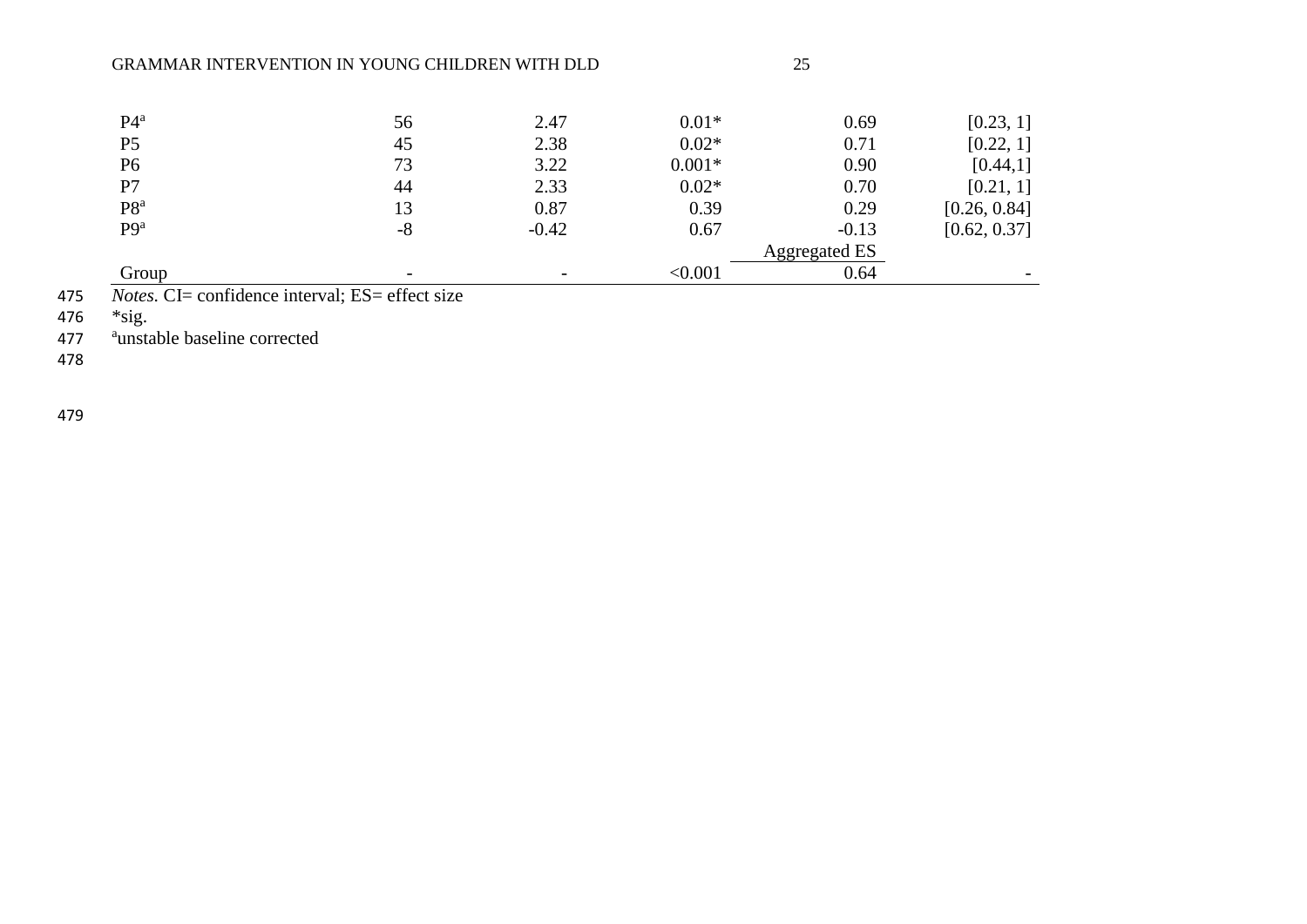### GRAMMAR INTERVENTION IN YOUNG CHILDREN WITH DLD 25

| $P4^a$          | 56   | 2.47    | $0.01*$  | 0.69                 | [0.23, 1]    |
|-----------------|------|---------|----------|----------------------|--------------|
| P <sub>5</sub>  | 45   | 2.38    | $0.02*$  | 0.71                 | [0.22, 1]    |
| P <sub>6</sub>  | 73   | 3.22    | $0.001*$ | 0.90                 | [0.44, 1]    |
| P7              | 44   | 2.33    | $0.02*$  | 0.70                 | [0.21, 1]    |
| P8 <sup>a</sup> | 13   | 0.87    | 0.39     | 0.29                 | [0.26, 0.84] |
| P <sub>9a</sub> | $-8$ | $-0.42$ | 0.67     | $-0.13$              | [0.62, 0.37] |
|                 |      |         |          | <b>Aggregated ES</b> |              |
| Group           |      |         | < 0.001  | 0.64                 |              |

475 *Notes.* CI= confidence interval; ES= effect size  $*$  sig.

476 \*sig.

477 aunstable baseline corrected

478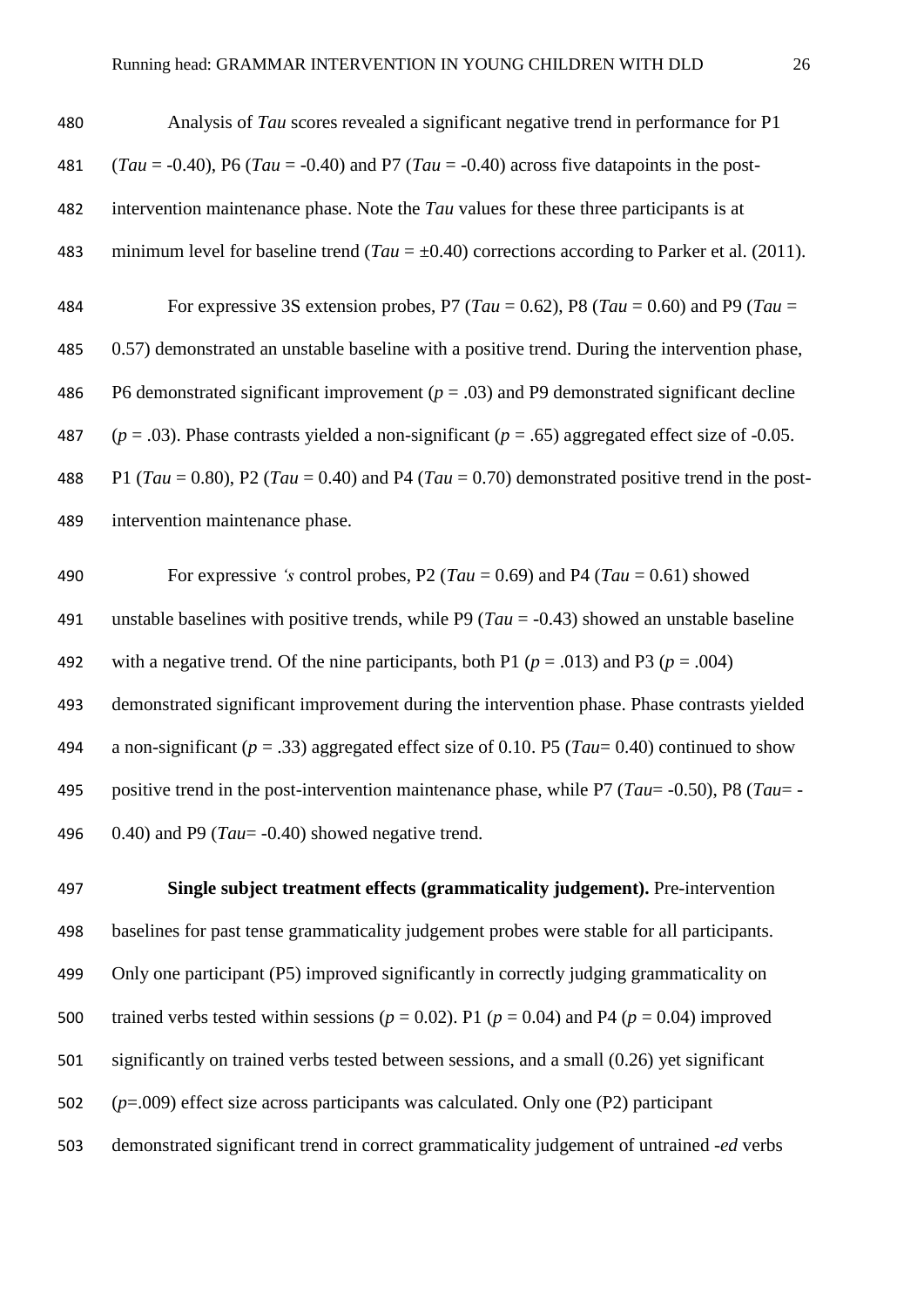| 480 | Analysis of Tau scores revealed a significant negative trend in performance for P1                   |
|-----|------------------------------------------------------------------------------------------------------|
| 481 | $(Tau = -0.40)$ , P6 (Tau = -0.40) and P7 (Tau = -0.40) across five datapoints in the post-          |
| 482 | intervention maintenance phase. Note the Tau values for these three participants is at               |
| 483 | minimum level for baseline trend (Tau = $\pm$ 0.40) corrections according to Parker et al. (2011).   |
| 484 | For expressive 3S extension probes, P7 (Tau = 0.62), P8 (Tau = 0.60) and P9 (Tau =                   |
| 485 | 0.57) demonstrated an unstable baseline with a positive trend. During the intervention phase,        |
| 486 | P6 demonstrated significant improvement ( $p = .03$ ) and P9 demonstrated significant decline        |
| 487 | $(p = .03)$ . Phase contrasts yielded a non-significant $(p = .65)$ aggregated effect size of -0.05. |
| 488 | P1 (Tau = 0.80), P2 (Tau = 0.40) and P4 (Tau = 0.70) demonstrated positive trend in the post-        |
| 489 | intervention maintenance phase.                                                                      |
| 490 | For expressive 's control probes, P2 (Tau = 0.69) and P4 (Tau = 0.61) showed                         |

 unstable baselines with positive trends, while P9 (*Tau* = -0.43) showed an unstable baseline 492 with a negative trend. Of the nine participants, both P1 ( $p = .013$ ) and P3 ( $p = .004$ ) demonstrated significant improvement during the intervention phase. Phase contrasts yielded a non-significant (*p* = .33) aggregated effect size of 0.10. P5 (*Tau*= 0.40) continued to show positive trend in the post-intervention maintenance phase, while P7 (*Tau*= -0.50), P8 (*Tau*= - 0.40) and P9 (*Tau*= -0.40) showed negative trend.

 **Single subject treatment effects (grammaticality judgement).** Pre-intervention baselines for past tense grammaticality judgement probes were stable for all participants. Only one participant (P5) improved significantly in correctly judging grammaticality on 500 trained verbs tested within sessions ( $p = 0.02$ ). P1 ( $p = 0.04$ ) and P4 ( $p = 0.04$ ) improved significantly on trained verbs tested between sessions, and a small (0.26) yet significant (*p*=.009) effect size across participants was calculated. Only one (P2) participant demonstrated significant trend in correct grammaticality judgement of untrained *-ed* verbs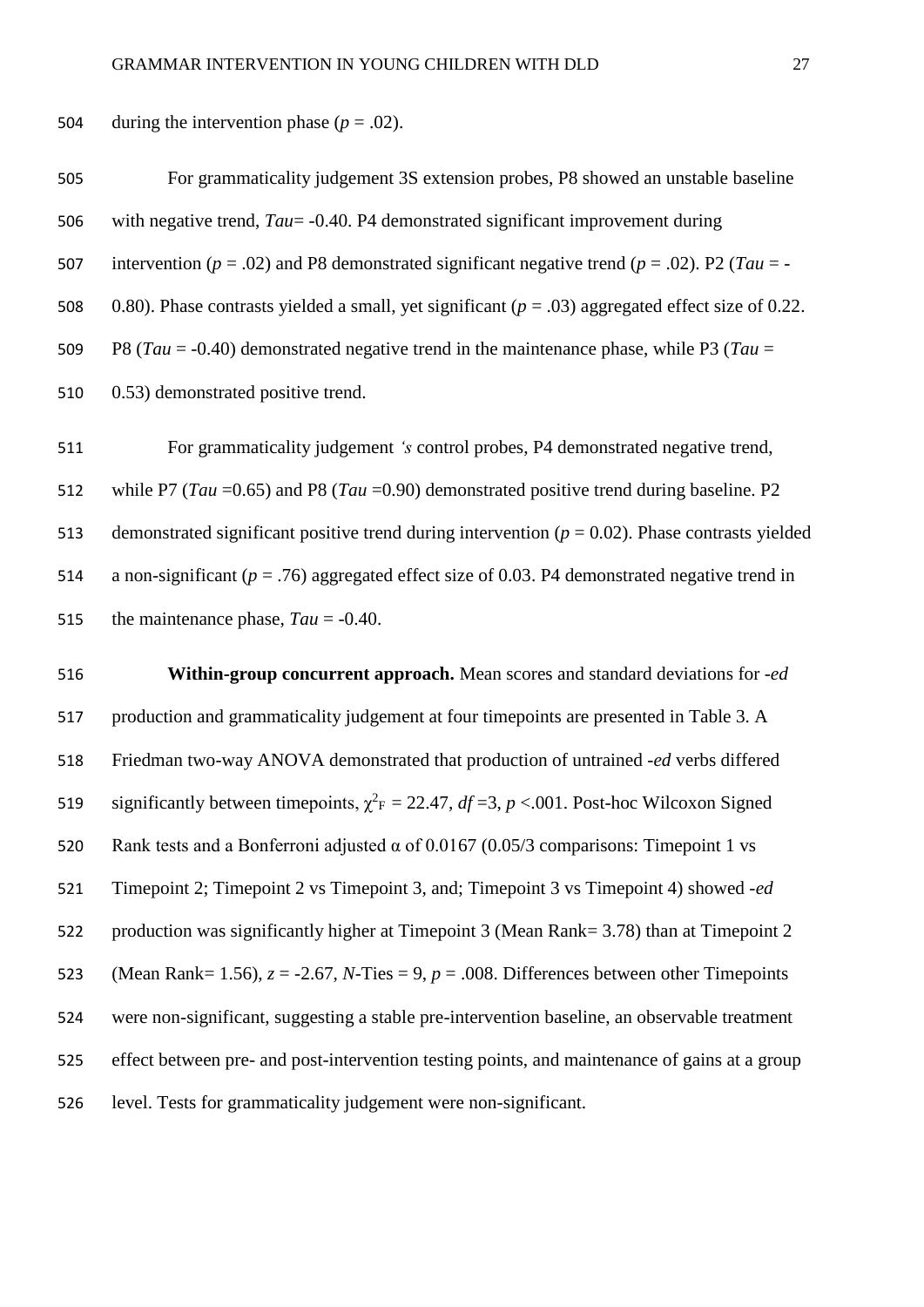504 during the intervention phase  $(p = .02)$ .

| 505 | For grammaticality judgement 3S extension probes, P8 showed an unstable baseline                      |
|-----|-------------------------------------------------------------------------------------------------------|
| 506 | with negative trend, $Tau = -0.40$ . P4 demonstrated significant improvement during                   |
| 507 | intervention ( $p = .02$ ) and P8 demonstrated significant negative trend ( $p = .02$ ). P2 (Tau = -  |
| 508 | 0.80). Phase contrasts yielded a small, yet significant ( $p = .03$ ) aggregated effect size of 0.22. |
| 509 | P8 (Tau = -0.40) demonstrated negative trend in the maintenance phase, while P3 (Tau =                |
| 510 | 0.53) demonstrated positive trend.                                                                    |

 For grammaticality judgement *'s* control probes, P4 demonstrated negative trend, while P7 (*Tau* =0.65) and P8 (*Tau* =0.90) demonstrated positive trend during baseline. P2 513 demonstrated significant positive trend during intervention  $(p = 0.02)$ . Phase contrasts yielded a non-significant (*p* = .76) aggregated effect size of 0.03. P4 demonstrated negative trend in the maintenance phase, *Tau* = -0.40.

 **Within-group concurrent approach.** Mean scores and standard deviations for *-ed* production and grammaticality judgement at four timepoints are presented in Table 3. A Friedman two-way ANOVA demonstrated that production of untrained *-ed* verbs differed 519 significantly between timepoints,  $\chi^2$ <sub>F</sub> = 22.47, *df* =3, *p* <.001. Post-hoc Wilcoxon Signed 520 Rank tests and a Bonferroni adjusted  $\alpha$  of 0.0167 (0.05/3 comparisons: Timepoint 1 vs Timepoint 2; Timepoint 2 vs Timepoint 3, and; Timepoint 3 vs Timepoint 4) showed *-ed* production was significantly higher at Timepoint 3 (Mean Rank= 3.78) than at Timepoint 2 523 (Mean Rank= 1.56),  $z = -2.67$ , *N*-Ties = 9,  $p = .008$ . Differences between other Timepoints were non-significant, suggesting a stable pre-intervention baseline, an observable treatment effect between pre- and post-intervention testing points, and maintenance of gains at a group level. Tests for grammaticality judgement were non-significant.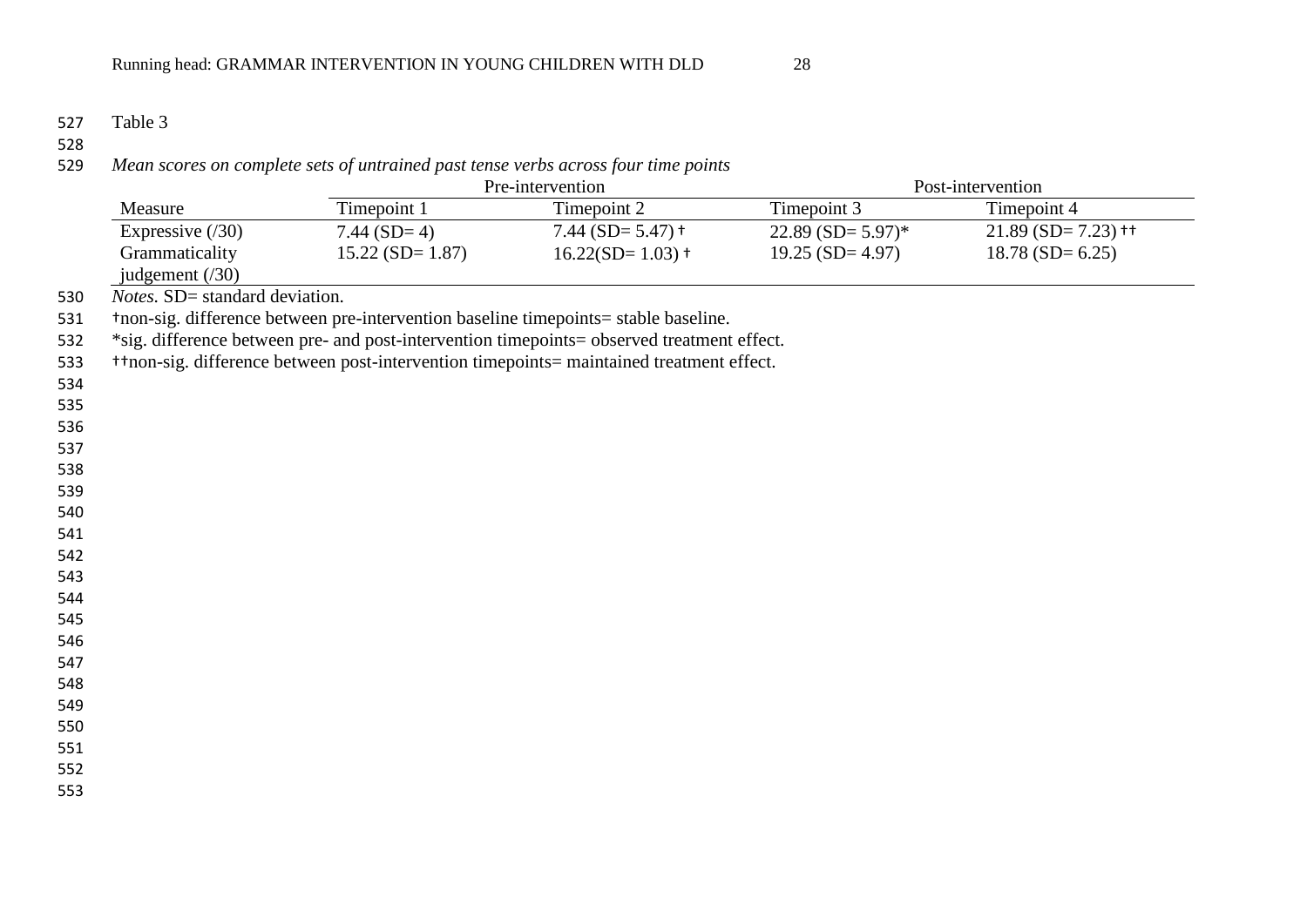528<br>529

*Mean scores on complete sets of untrained past tense verbs across four time points*

|                |                                |                    | Pre-intervention                                                                           |                     | Post-intervention                |
|----------------|--------------------------------|--------------------|--------------------------------------------------------------------------------------------|---------------------|----------------------------------|
|                | Measure                        | Timepoint 1        | Timepoint 2                                                                                | Timepoint 3         | Timepoint 4                      |
|                | Expressive $(30)$              | $7.44$ (SD= 4)     | 7.44 (SD= $5.47$ ) t                                                                       | $22.89$ (SD= 5.97)* | $21.89$ (SD= 7.23) <sup>++</sup> |
|                | Grammaticality                 | $15.22$ (SD= 1.87) | $16.22(SD=1.03)$ +                                                                         | $19.25$ (SD= 4.97)  | $18.78$ (SD= 6.25)               |
|                | judgement $(30)$               |                    |                                                                                            |                     |                                  |
| 530            | Notes. SD= standard deviation. |                    |                                                                                            |                     |                                  |
| 531            |                                |                    | thron-sig. difference between pre-intervention baseline timepoints= stable baseline.       |                     |                                  |
| 532            |                                |                    | *sig. difference between pre- and post-intervention timepoints= observed treatment effect. |                     |                                  |
| 533            |                                |                    | +tnon-sig. difference between post-intervention timepoints= maintained treatment effect.   |                     |                                  |
| 534            |                                |                    |                                                                                            |                     |                                  |
| 535            |                                |                    |                                                                                            |                     |                                  |
| 536            |                                |                    |                                                                                            |                     |                                  |
| 537            |                                |                    |                                                                                            |                     |                                  |
| 538<br>539     |                                |                    |                                                                                            |                     |                                  |
| 540            |                                |                    |                                                                                            |                     |                                  |
| 541            |                                |                    |                                                                                            |                     |                                  |
| 542            |                                |                    |                                                                                            |                     |                                  |
| 543            |                                |                    |                                                                                            |                     |                                  |
| 544            |                                |                    |                                                                                            |                     |                                  |
| 545            |                                |                    |                                                                                            |                     |                                  |
| 546            |                                |                    |                                                                                            |                     |                                  |
| 547            |                                |                    |                                                                                            |                     |                                  |
| 548            |                                |                    |                                                                                            |                     |                                  |
| 549            |                                |                    |                                                                                            |                     |                                  |
| 550            |                                |                    |                                                                                            |                     |                                  |
| 551            |                                |                    |                                                                                            |                     |                                  |
| 552<br>$- - -$ |                                |                    |                                                                                            |                     |                                  |
|                |                                |                    |                                                                                            |                     |                                  |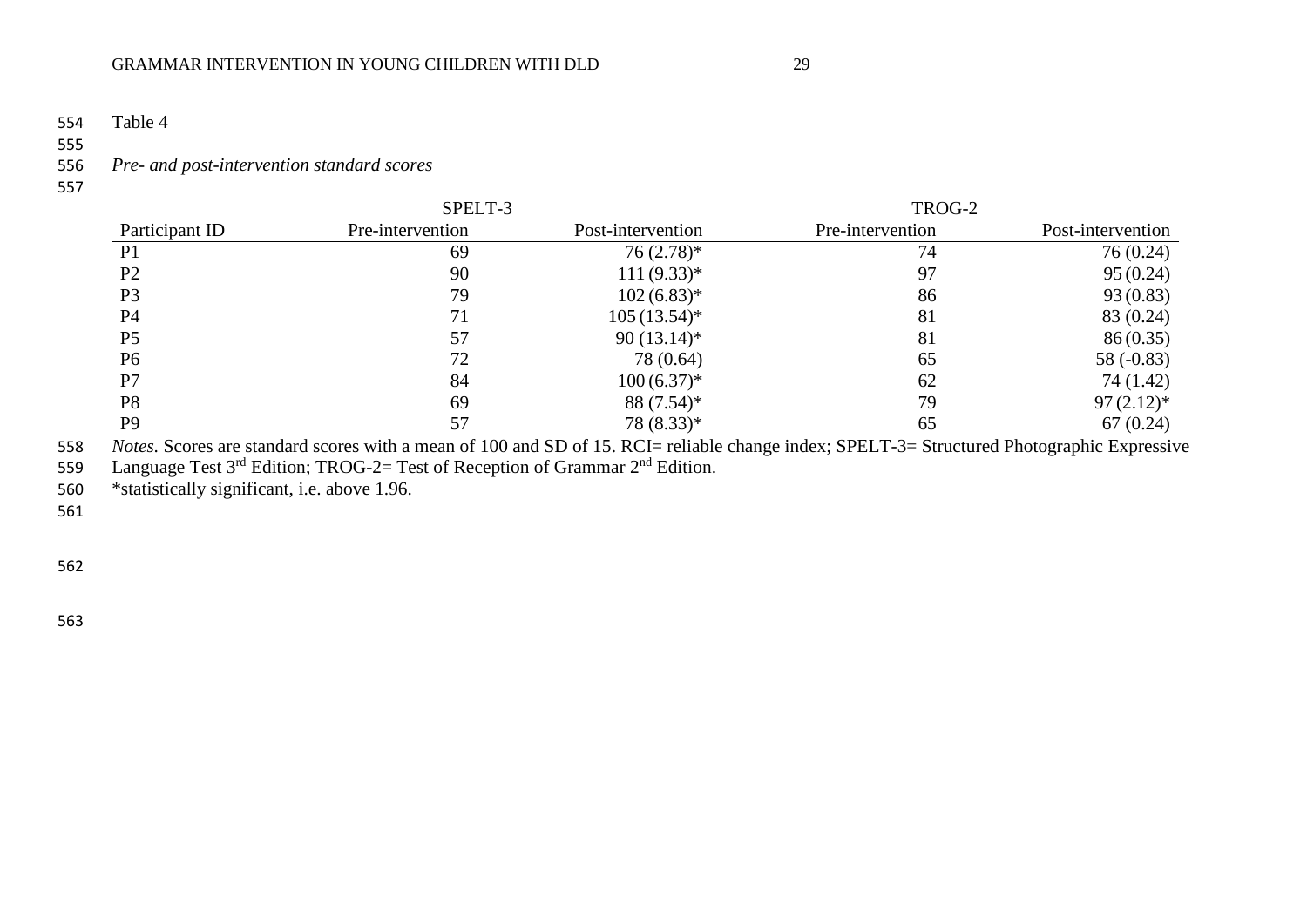554 Table 4

555<br>556

## 556 *Pre- and post-intervention standard scores*

557

|                | SPELT-3          |                   | TROG-2           |                   |
|----------------|------------------|-------------------|------------------|-------------------|
| Participant ID | Pre-intervention | Post-intervention | Pre-intervention | Post-intervention |
| P <sub>1</sub> | 69               | $76(2.78)$ *      | 74               | 76 (0.24)         |
| P <sub>2</sub> | 90               | $111(9.33)*$      | 97               | 95(0.24)          |
| P <sub>3</sub> | 79               | $102(6.83)*$      | 86               | 93(0.83)          |
| P <sub>4</sub> | 71               | $105(13.54)^*$    | 81               | 83 (0.24)         |
| P <sub>5</sub> | 57               | $90(13.14)^*$     | 81               | 86(0.35)          |
| P <sub>6</sub> | 72               | 78 (0.64)         | 65               | 58 $(-0.83)$      |
| P7             | 84               | $100(6.37)^{*}$   | 62               | 74 (1.42)         |
| P <sub>8</sub> | 69               | $88(7.54)^*$      | 79               | $97(2.12)^*$      |
| P <sub>9</sub> | 57               | 78 (8.33)*        | 65               | 67(0.24)          |

558 *Notes*. Scores are standard scores with a mean of 100 and SD of 15. RCI= reliable change index; SPELT-3= Structured Photographic Expressive 559 Language Test  $3<sup>rd</sup>$  Edition; TROG-2= Test of Reception of Grammar  $2<sup>nd</sup>$  Edition.

560 \*statistically significant, i.e. above 1.96.

561

562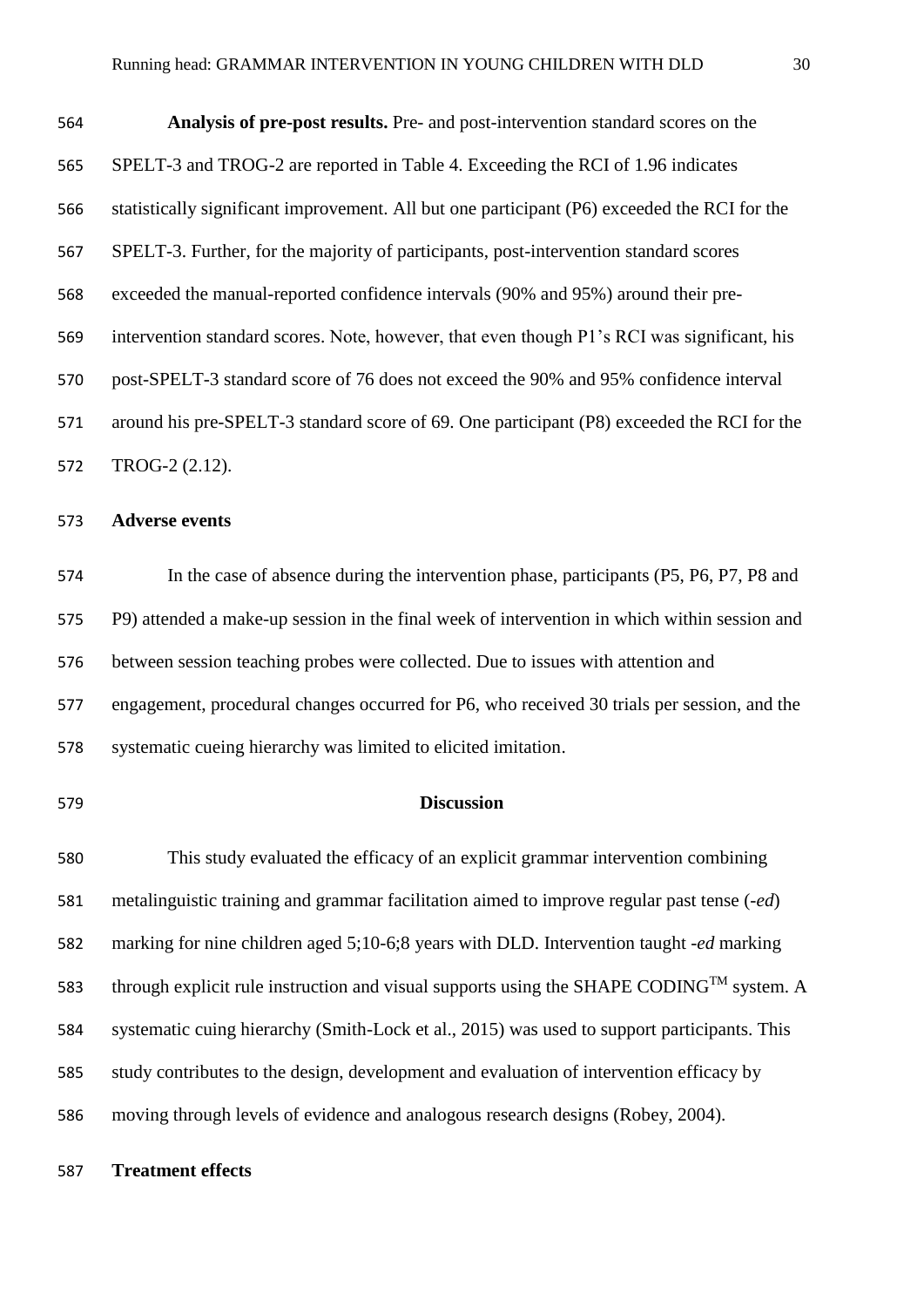| 564 | <b>Analysis of pre-post results.</b> Pre- and post-intervention standard scores on the       |
|-----|----------------------------------------------------------------------------------------------|
| 565 | SPELT-3 and TROG-2 are reported in Table 4. Exceeding the RCI of 1.96 indicates              |
| 566 | statistically significant improvement. All but one participant (P6) exceeded the RCI for the |
| 567 | SPELT-3. Further, for the majority of participants, post-intervention standard scores        |
| 568 | exceeded the manual-reported confidence intervals (90% and 95%) around their pre-            |
| 569 | intervention standard scores. Note, however, that even though P1's RCI was significant, his  |
| 570 | post-SPELT-3 standard score of 76 does not exceed the 90% and 95% confidence interval        |
| 571 | around his pre-SPELT-3 standard score of 69. One participant (P8) exceeded the RCI for the   |
| 572 | TROG-2 (2.12).                                                                               |
| 573 | <b>Adverse events</b>                                                                        |

 In the case of absence during the intervention phase, participants (P5, P6, P7, P8 and P9) attended a make-up session in the final week of intervention in which within session and between session teaching probes were collected. Due to issues with attention and engagement, procedural changes occurred for P6, who received 30 trials per session, and the systematic cueing hierarchy was limited to elicited imitation.

#### **Discussion**

 This study evaluated the efficacy of an explicit grammar intervention combining metalinguistic training and grammar facilitation aimed to improve regular past tense (*-ed*) marking for nine children aged 5;10-6;8 years with DLD. Intervention taught *-ed* marking through explicit rule instruction and visual supports using the SHAPE CODING<sup>TM</sup> system. A systematic cuing hierarchy (Smith-Lock et al., 2015) was used to support participants. This study contributes to the design, development and evaluation of intervention efficacy by moving through levels of evidence and analogous research designs (Robey, 2004).

**Treatment effects**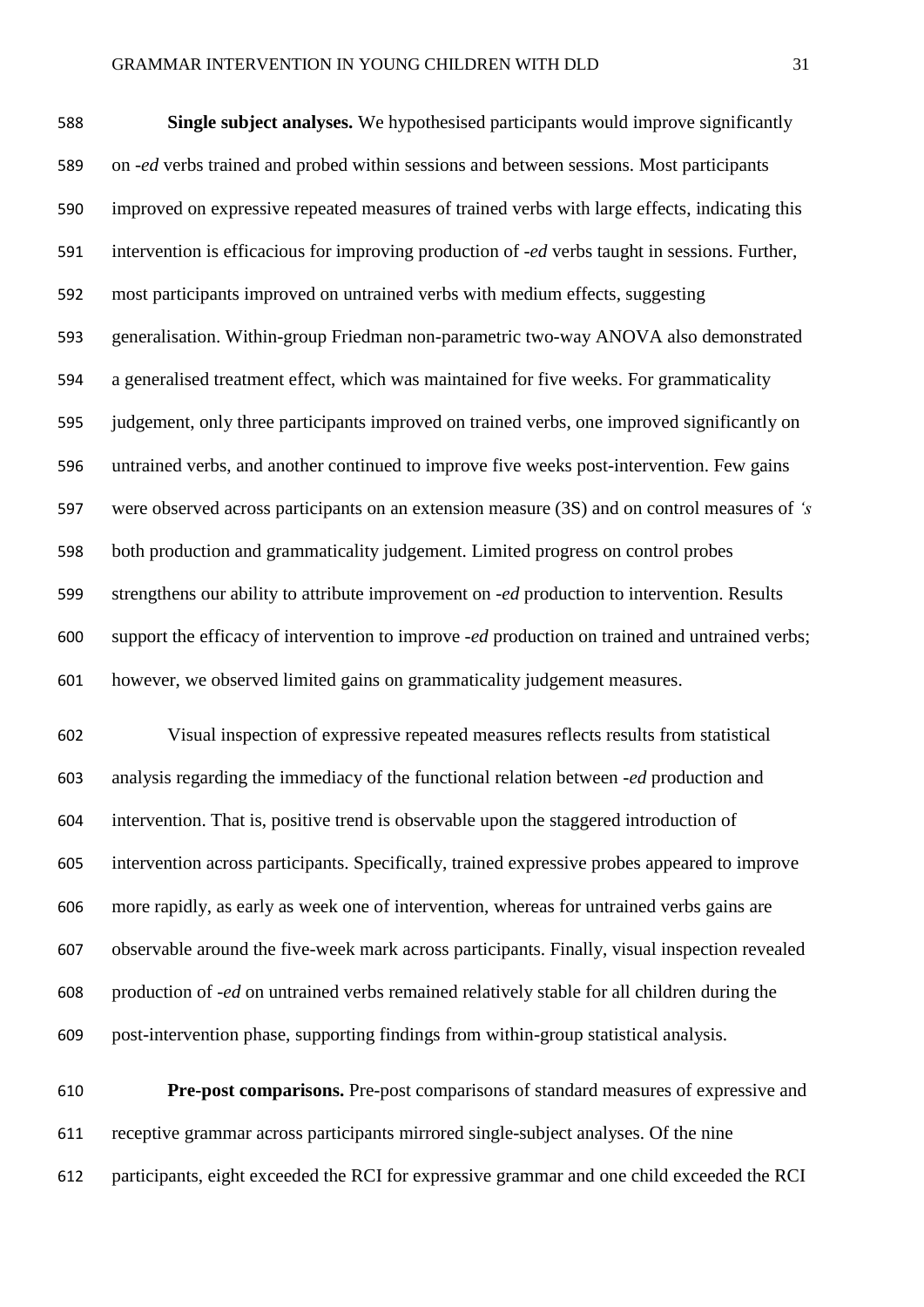**Single subject analyses.** We hypothesised participants would improve significantly on *-ed* verbs trained and probed within sessions and between sessions. Most participants improved on expressive repeated measures of trained verbs with large effects, indicating this intervention is efficacious for improving production of *-ed* verbs taught in sessions. Further, most participants improved on untrained verbs with medium effects, suggesting generalisation. Within-group Friedman non-parametric two-way ANOVA also demonstrated a generalised treatment effect, which was maintained for five weeks. For grammaticality judgement, only three participants improved on trained verbs, one improved significantly on untrained verbs, and another continued to improve five weeks post-intervention. Few gains were observed across participants on an extension measure (3S) and on control measures of *'s* both production and grammaticality judgement. Limited progress on control probes strengthens our ability to attribute improvement on *-ed* production to intervention. Results support the efficacy of intervention to improve *-ed* production on trained and untrained verbs; however, we observed limited gains on grammaticality judgement measures.

 Visual inspection of expressive repeated measures reflects results from statistical analysis regarding the immediacy of the functional relation between *-ed* production and intervention. That is, positive trend is observable upon the staggered introduction of intervention across participants. Specifically, trained expressive probes appeared to improve more rapidly, as early as week one of intervention, whereas for untrained verbs gains are observable around the five-week mark across participants. Finally, visual inspection revealed production of *-ed* on untrained verbs remained relatively stable for all children during the post-intervention phase, supporting findings from within-group statistical analysis.

 **Pre-post comparisons.** Pre-post comparisons of standard measures of expressive and receptive grammar across participants mirrored single-subject analyses. Of the nine participants, eight exceeded the RCI for expressive grammar and one child exceeded the RCI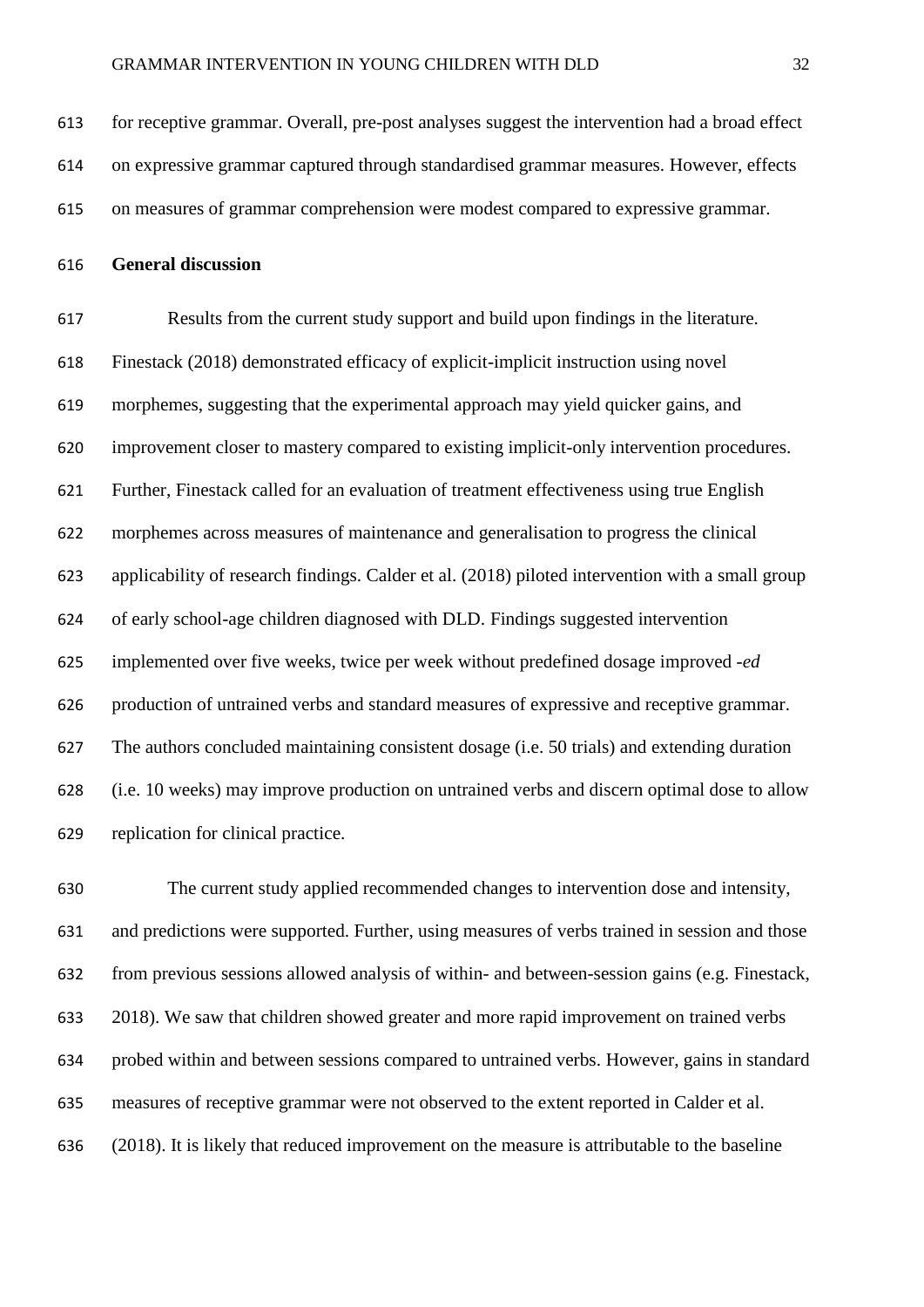for receptive grammar. Overall, pre-post analyses suggest the intervention had a broad effect on expressive grammar captured through standardised grammar measures. However, effects on measures of grammar comprehension were modest compared to expressive grammar.

**General discussion**

 Results from the current study support and build upon findings in the literature. Finestack (2018) demonstrated efficacy of explicit-implicit instruction using novel morphemes, suggesting that the experimental approach may yield quicker gains, and improvement closer to mastery compared to existing implicit-only intervention procedures. Further, Finestack called for an evaluation of treatment effectiveness using true English morphemes across measures of maintenance and generalisation to progress the clinical applicability of research findings. Calder et al. (2018) piloted intervention with a small group of early school-age children diagnosed with DLD. Findings suggested intervention implemented over five weeks, twice per week without predefined dosage improved *-ed* production of untrained verbs and standard measures of expressive and receptive grammar. The authors concluded maintaining consistent dosage (i.e. 50 trials) and extending duration (i.e. 10 weeks) may improve production on untrained verbs and discern optimal dose to allow replication for clinical practice.

 The current study applied recommended changes to intervention dose and intensity, and predictions were supported. Further, using measures of verbs trained in session and those from previous sessions allowed analysis of within- and between-session gains (e.g. Finestack, 2018). We saw that children showed greater and more rapid improvement on trained verbs probed within and between sessions compared to untrained verbs. However, gains in standard measures of receptive grammar were not observed to the extent reported in Calder et al. (2018). It is likely that reduced improvement on the measure is attributable to the baseline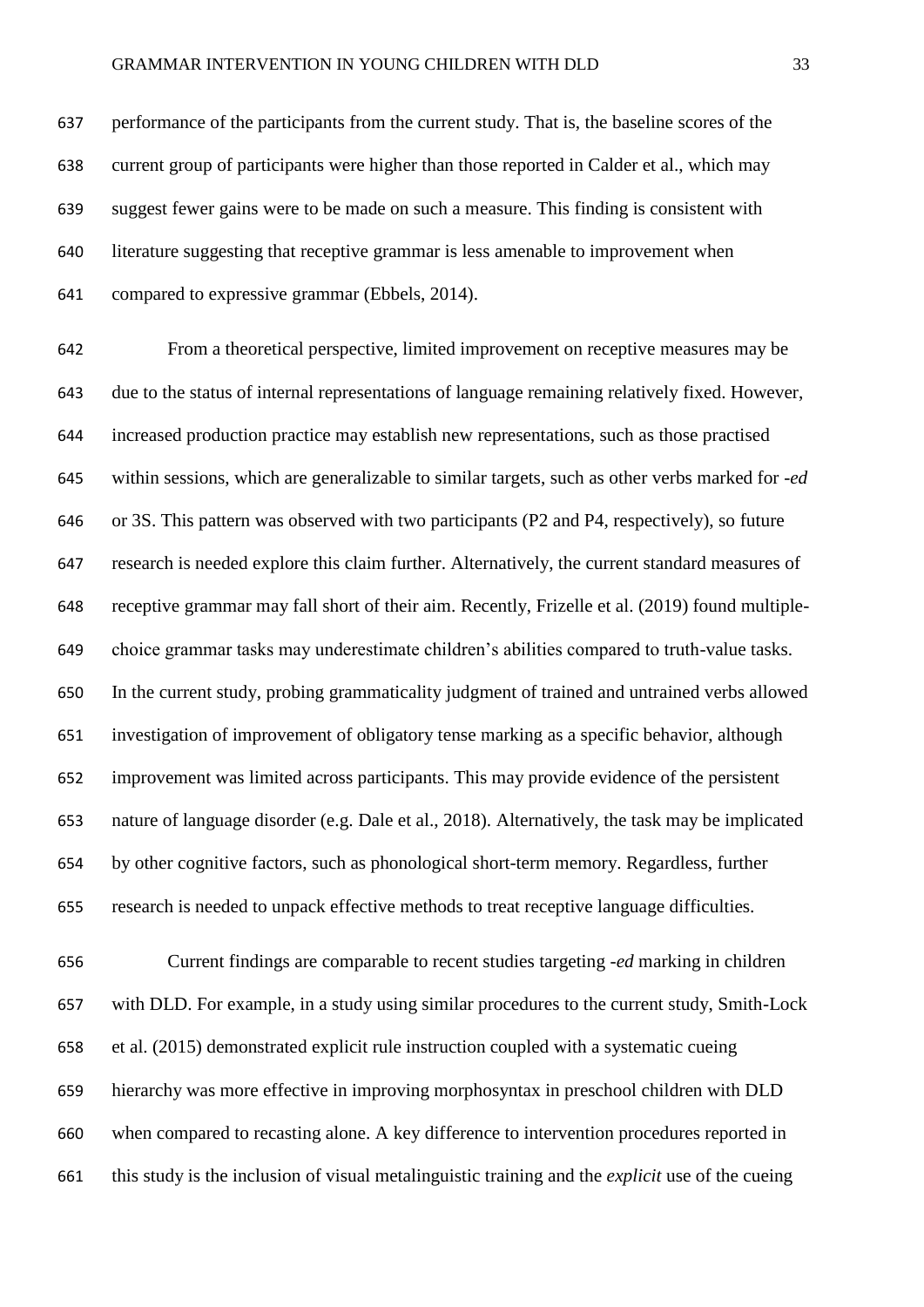performance of the participants from the current study. That is, the baseline scores of the current group of participants were higher than those reported in Calder et al., which may suggest fewer gains were to be made on such a measure. This finding is consistent with literature suggesting that receptive grammar is less amenable to improvement when compared to expressive grammar (Ebbels, 2014).

 From a theoretical perspective, limited improvement on receptive measures may be due to the status of internal representations of language remaining relatively fixed. However, increased production practice may establish new representations, such as those practised within sessions, which are generalizable to similar targets, such as other verbs marked for *-ed* or 3S. This pattern was observed with two participants (P2 and P4, respectively), so future research is needed explore this claim further. Alternatively, the current standard measures of receptive grammar may fall short of their aim. Recently, Frizelle et al. (2019) found multiple- choice grammar tasks may underestimate children's abilities compared to truth-value tasks. In the current study, probing grammaticality judgment of trained and untrained verbs allowed investigation of improvement of obligatory tense marking as a specific behavior, although improvement was limited across participants. This may provide evidence of the persistent nature of language disorder (e.g. Dale et al., 2018). Alternatively, the task may be implicated by other cognitive factors, such as phonological short-term memory. Regardless, further research is needed to unpack effective methods to treat receptive language difficulties.

 Current findings are comparable to recent studies targeting *-ed* marking in children with DLD. For example, in a study using similar procedures to the current study, Smith-Lock et al. (2015) demonstrated explicit rule instruction coupled with a systematic cueing hierarchy was more effective in improving morphosyntax in preschool children with DLD when compared to recasting alone. A key difference to intervention procedures reported in this study is the inclusion of visual metalinguistic training and the *explicit* use of the cueing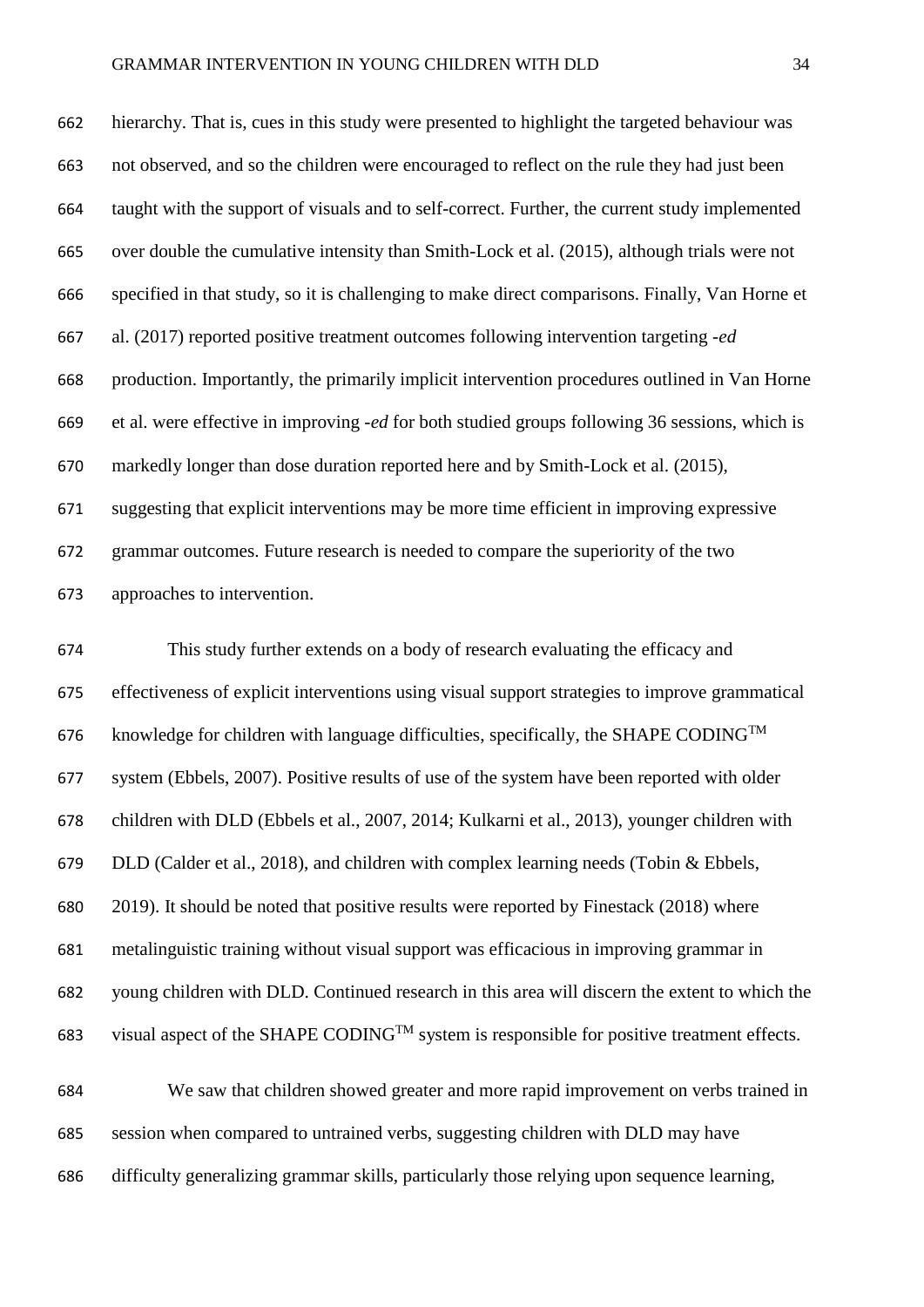#### GRAMMAR INTERVENTION IN YOUNG CHILDREN WITH DLD 34

 hierarchy. That is, cues in this study were presented to highlight the targeted behaviour was not observed, and so the children were encouraged to reflect on the rule they had just been taught with the support of visuals and to self-correct. Further, the current study implemented over double the cumulative intensity than Smith-Lock et al. (2015), although trials were not specified in that study, so it is challenging to make direct comparisons. Finally, Van Horne et al. (2017) reported positive treatment outcomes following intervention targeting *-ed* production. Importantly, the primarily implicit intervention procedures outlined in Van Horne et al. were effective in improving *-ed* for both studied groups following 36 sessions, which is markedly longer than dose duration reported here and by Smith-Lock et al. (2015), suggesting that explicit interventions may be more time efficient in improving expressive grammar outcomes. Future research is needed to compare the superiority of the two approaches to intervention.

 This study further extends on a body of research evaluating the efficacy and effectiveness of explicit interventions using visual support strategies to improve grammatical 676 knowledge for children with language difficulties, specifically, the SHAPE CODING<sup>TM</sup> system (Ebbels, 2007). Positive results of use of the system have been reported with older children with DLD (Ebbels et al., 2007, 2014; Kulkarni et al., 2013), younger children with DLD (Calder et al., 2018), and children with complex learning needs (Tobin & Ebbels, 2019). It should be noted that positive results were reported by Finestack (2018) where metalinguistic training without visual support was efficacious in improving grammar in young children with DLD. Continued research in this area will discern the extent to which the 683 visual aspect of the SHAPE CODING<sup>TM</sup> system is responsible for positive treatment effects.

 We saw that children showed greater and more rapid improvement on verbs trained in session when compared to untrained verbs, suggesting children with DLD may have difficulty generalizing grammar skills, particularly those relying upon sequence learning,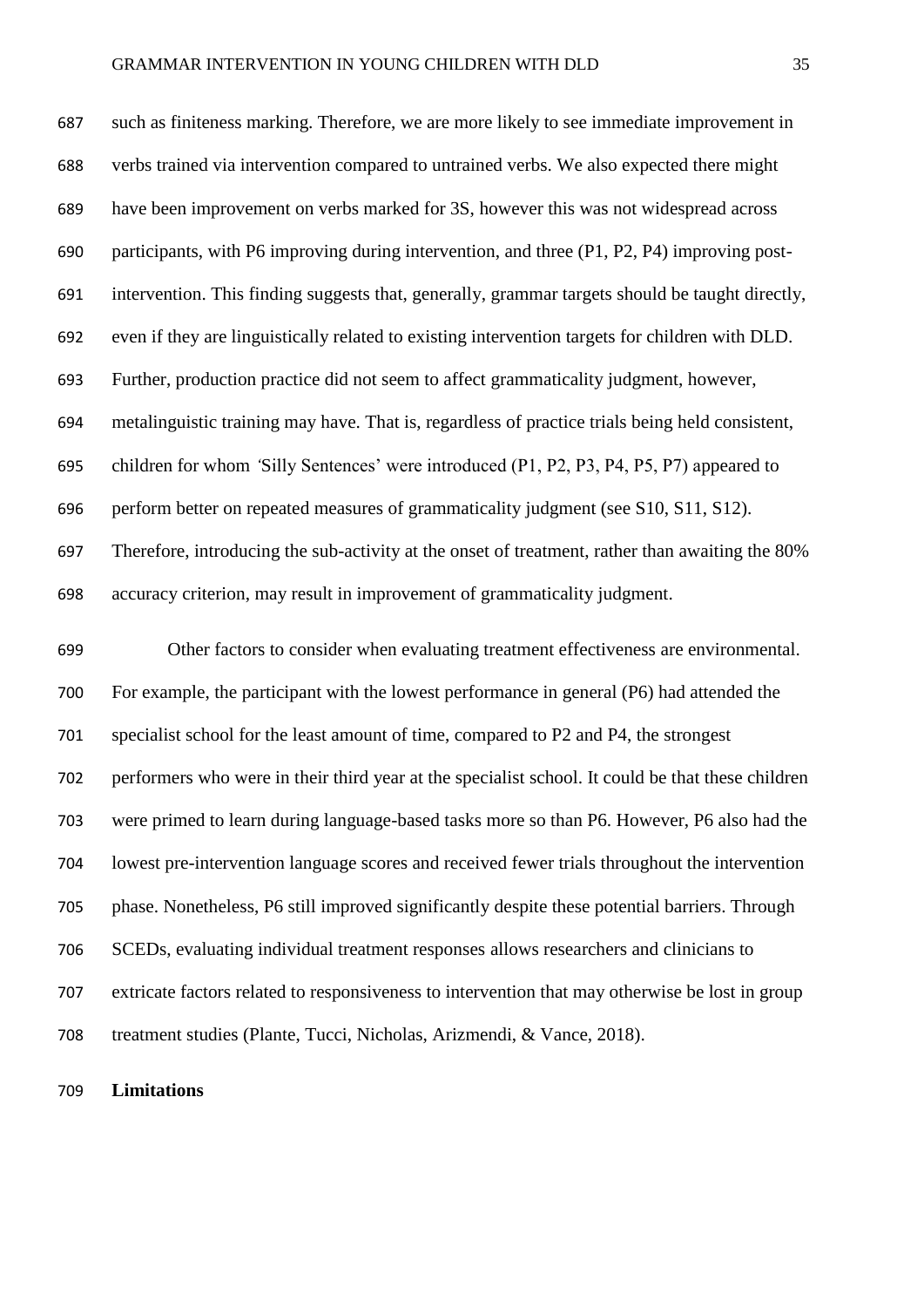such as finiteness marking. Therefore, we are more likely to see immediate improvement in verbs trained via intervention compared to untrained verbs. We also expected there might have been improvement on verbs marked for 3S, however this was not widespread across participants, with P6 improving during intervention, and three (P1, P2, P4) improving post- intervention. This finding suggests that, generally, grammar targets should be taught directly, even if they are linguistically related to existing intervention targets for children with DLD. Further, production practice did not seem to affect grammaticality judgment, however, metalinguistic training may have. That is, regardless of practice trials being held consistent, children for whom *'*Silly Sentences' were introduced (P1, P2, P3, P4, P5, P7) appeared to perform better on repeated measures of grammaticality judgment (see S10, S11, S12). Therefore, introducing the sub-activity at the onset of treatment, rather than awaiting the 80% accuracy criterion, may result in improvement of grammaticality judgment.

 Other factors to consider when evaluating treatment effectiveness are environmental. For example, the participant with the lowest performance in general (P6) had attended the specialist school for the least amount of time, compared to P2 and P4, the strongest performers who were in their third year at the specialist school. It could be that these children were primed to learn during language-based tasks more so than P6. However, P6 also had the lowest pre-intervention language scores and received fewer trials throughout the intervention phase. Nonetheless, P6 still improved significantly despite these potential barriers. Through SCEDs, evaluating individual treatment responses allows researchers and clinicians to extricate factors related to responsiveness to intervention that may otherwise be lost in group treatment studies (Plante, Tucci, Nicholas, Arizmendi, & Vance, 2018).

**Limitations**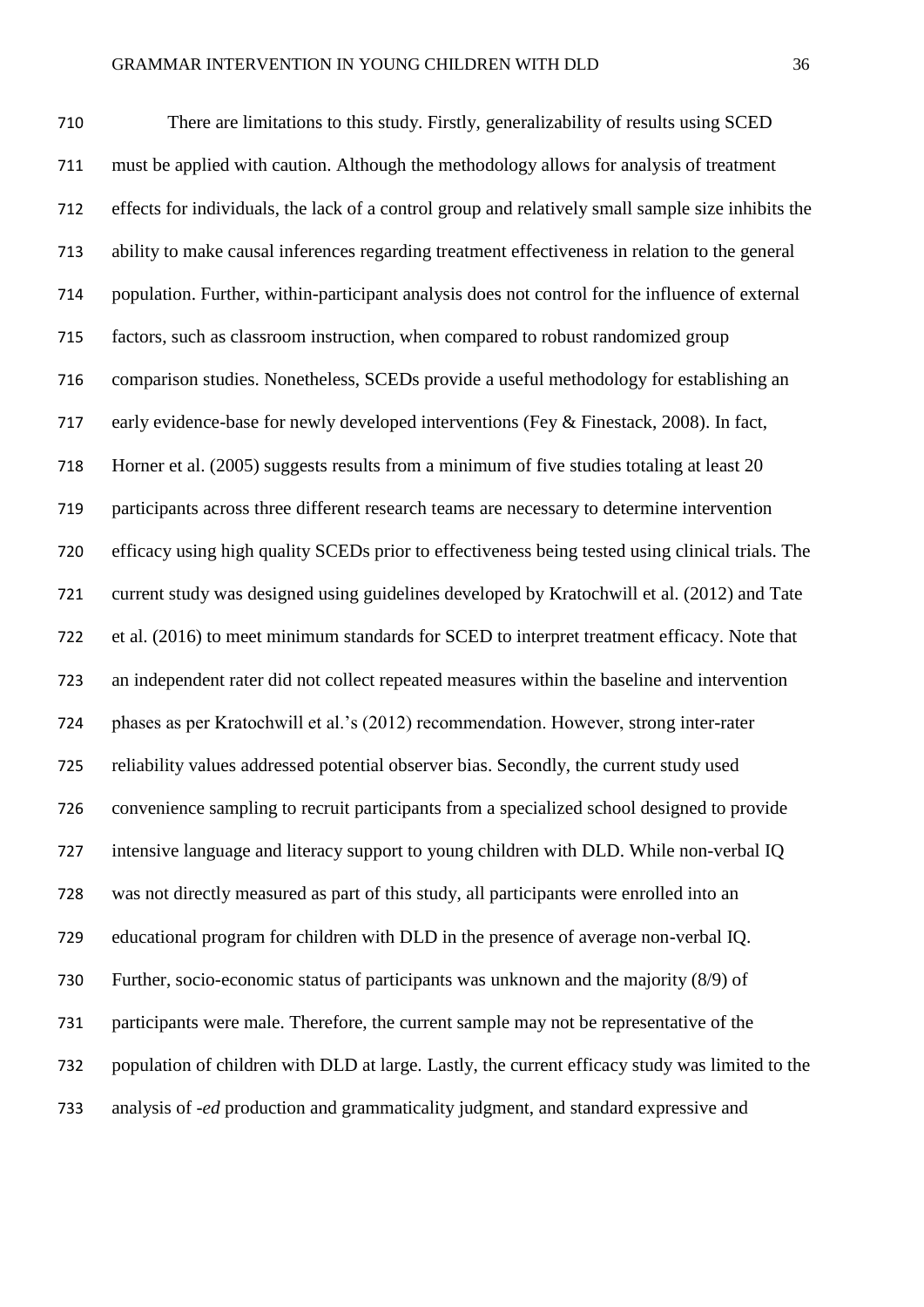There are limitations to this study. Firstly, generalizability of results using SCED must be applied with caution. Although the methodology allows for analysis of treatment effects for individuals, the lack of a control group and relatively small sample size inhibits the ability to make causal inferences regarding treatment effectiveness in relation to the general population. Further, within-participant analysis does not control for the influence of external factors, such as classroom instruction, when compared to robust randomized group comparison studies. Nonetheless, SCEDs provide a useful methodology for establishing an early evidence-base for newly developed interventions (Fey & Finestack, 2008). In fact, Horner et al. (2005) suggests results from a minimum of five studies totaling at least 20 participants across three different research teams are necessary to determine intervention efficacy using high quality SCEDs prior to effectiveness being tested using clinical trials. The current study was designed using guidelines developed by Kratochwill et al. (2012) and Tate et al. (2016) to meet minimum standards for SCED to interpret treatment efficacy. Note that an independent rater did not collect repeated measures within the baseline and intervention phases as per Kratochwill et al.'s (2012) recommendation. However, strong inter-rater reliability values addressed potential observer bias. Secondly, the current study used convenience sampling to recruit participants from a specialized school designed to provide intensive language and literacy support to young children with DLD. While non-verbal IQ was not directly measured as part of this study, all participants were enrolled into an educational program for children with DLD in the presence of average non-verbal IQ. Further, socio-economic status of participants was unknown and the majority (8/9) of participants were male. Therefore, the current sample may not be representative of the population of children with DLD at large. Lastly, the current efficacy study was limited to the analysis of *-ed* production and grammaticality judgment, and standard expressive and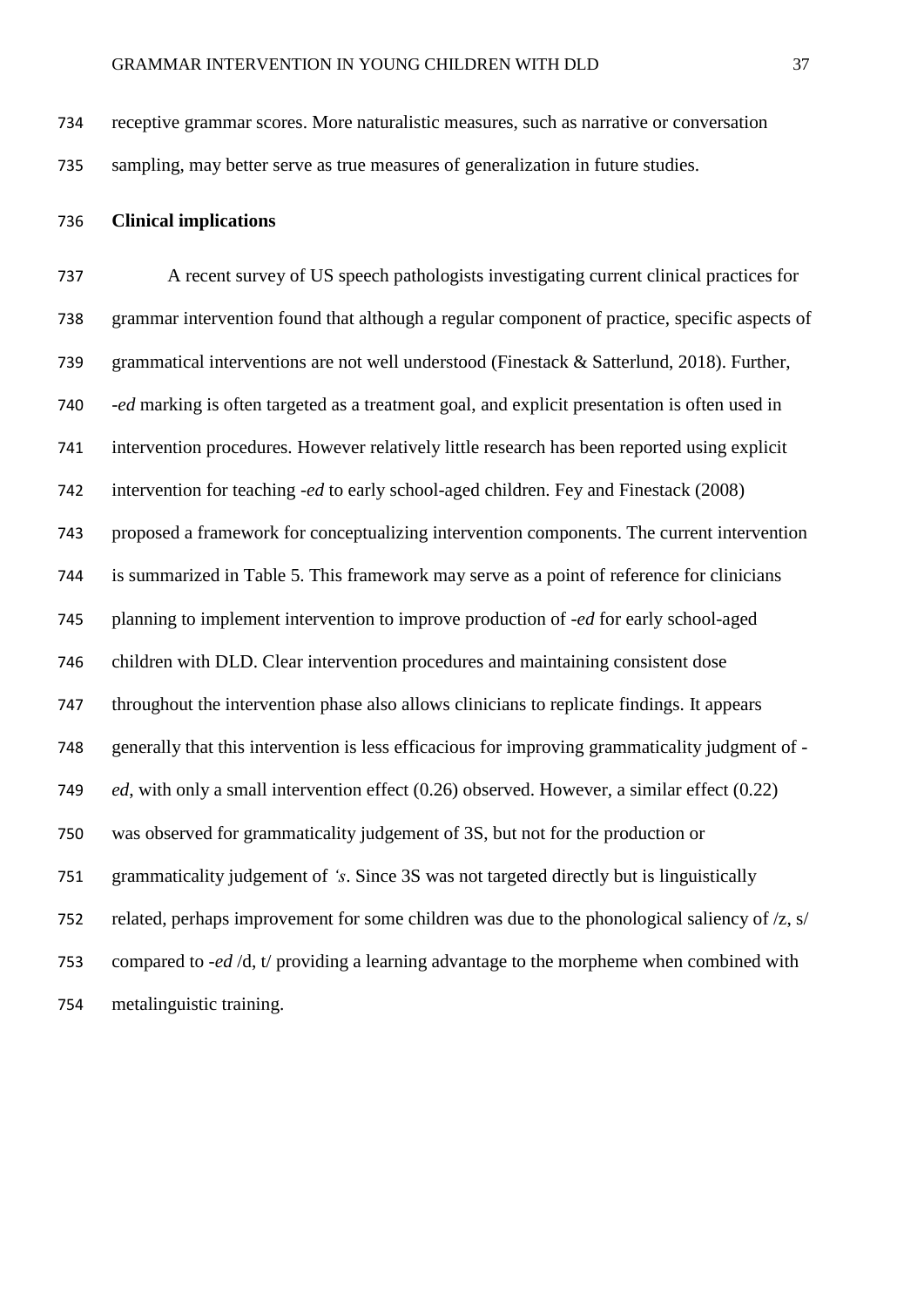receptive grammar scores. More naturalistic measures, such as narrative or conversation sampling, may better serve as true measures of generalization in future studies.

#### **Clinical implications**

 A recent survey of US speech pathologists investigating current clinical practices for grammar intervention found that although a regular component of practice, specific aspects of grammatical interventions are not well understood (Finestack & Satterlund, 2018). Further, *-ed* marking is often targeted as a treatment goal, and explicit presentation is often used in intervention procedures. However relatively little research has been reported using explicit intervention for teaching *-ed* to early school-aged children. Fey and Finestack (2008) proposed a framework for conceptualizing intervention components. The current intervention is summarized in Table 5. This framework may serve as a point of reference for clinicians planning to implement intervention to improve production of *-ed* for early school-aged children with DLD. Clear intervention procedures and maintaining consistent dose throughout the intervention phase also allows clinicians to replicate findings. It appears generally that this intervention is less efficacious for improving grammaticality judgment of *- ed*, with only a small intervention effect (0.26) observed. However, a similar effect (0.22) was observed for grammaticality judgement of 3S, but not for the production or grammaticality judgement of *'s*. Since 3S was not targeted directly but is linguistically related, perhaps improvement for some children was due to the phonological saliency of /z, s/ compared to *-ed* /d, t/ providing a learning advantage to the morpheme when combined with metalinguistic training.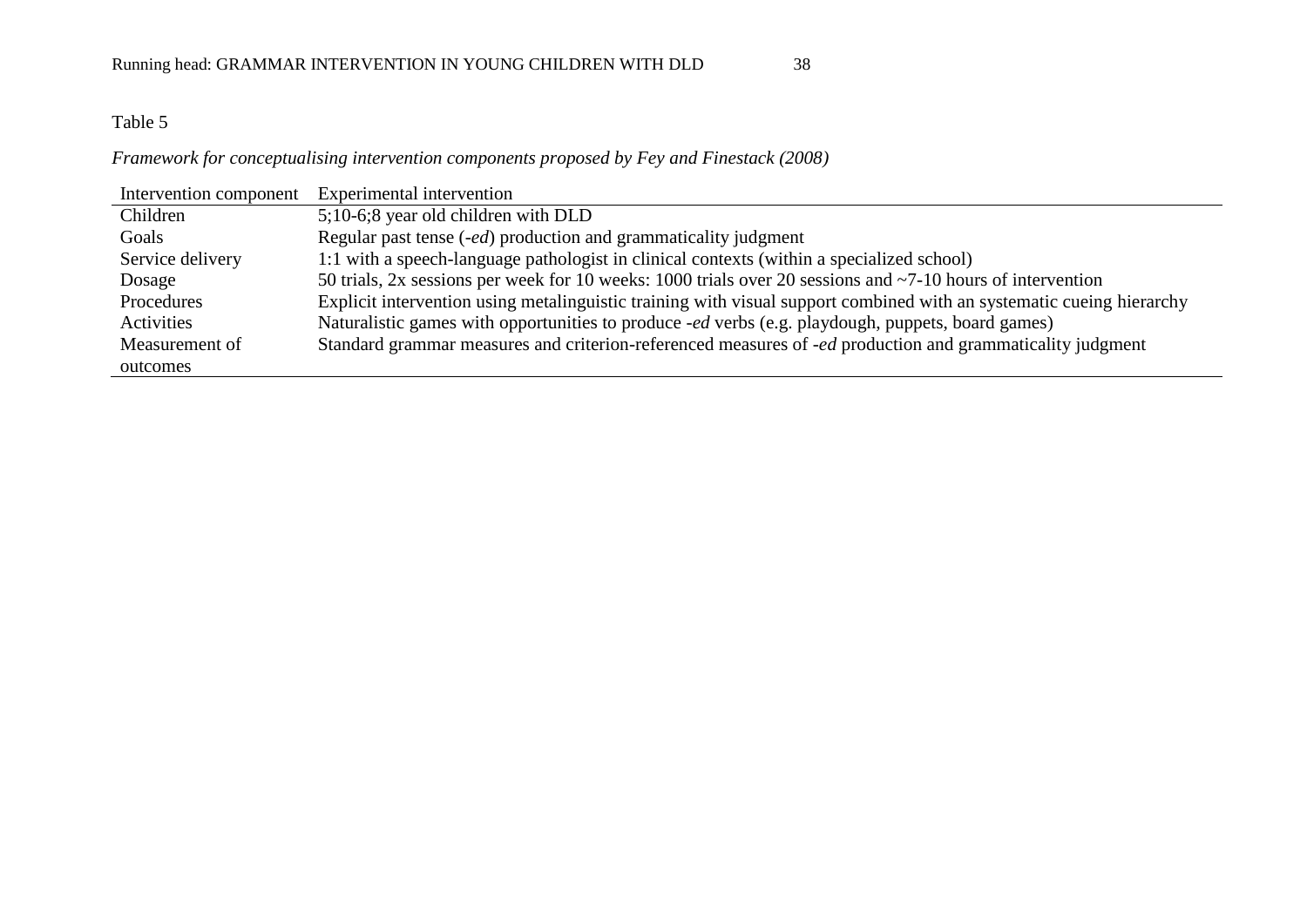# Table 5

## *Framework for conceptualising intervention components proposed by Fey and Finestack (2008)*

| Intervention component | Experimental intervention                                                                                            |
|------------------------|----------------------------------------------------------------------------------------------------------------------|
| Children               | 5;10-6;8 year old children with DLD                                                                                  |
| Goals                  | Regular past tense ( <i>-ed</i> ) production and grammaticality judgment                                             |
| Service delivery       | 1:1 with a speech-language pathologist in clinical contexts (within a specialized school)                            |
| Dosage                 | 50 trials, 2x sessions per week for 10 weeks: 1000 trials over 20 sessions and $\sim$ 7-10 hours of intervention     |
| Procedures             | Explicit intervention using metalinguistic training with visual support combined with an systematic cueing hierarchy |
| Activities             | Naturalistic games with opportunities to produce -ed verbs (e.g. playdough, puppets, board games)                    |
| Measurement of         | Standard grammar measures and criterion-referenced measures of <i>-ed</i> production and grammaticality judgment     |
| outcomes               |                                                                                                                      |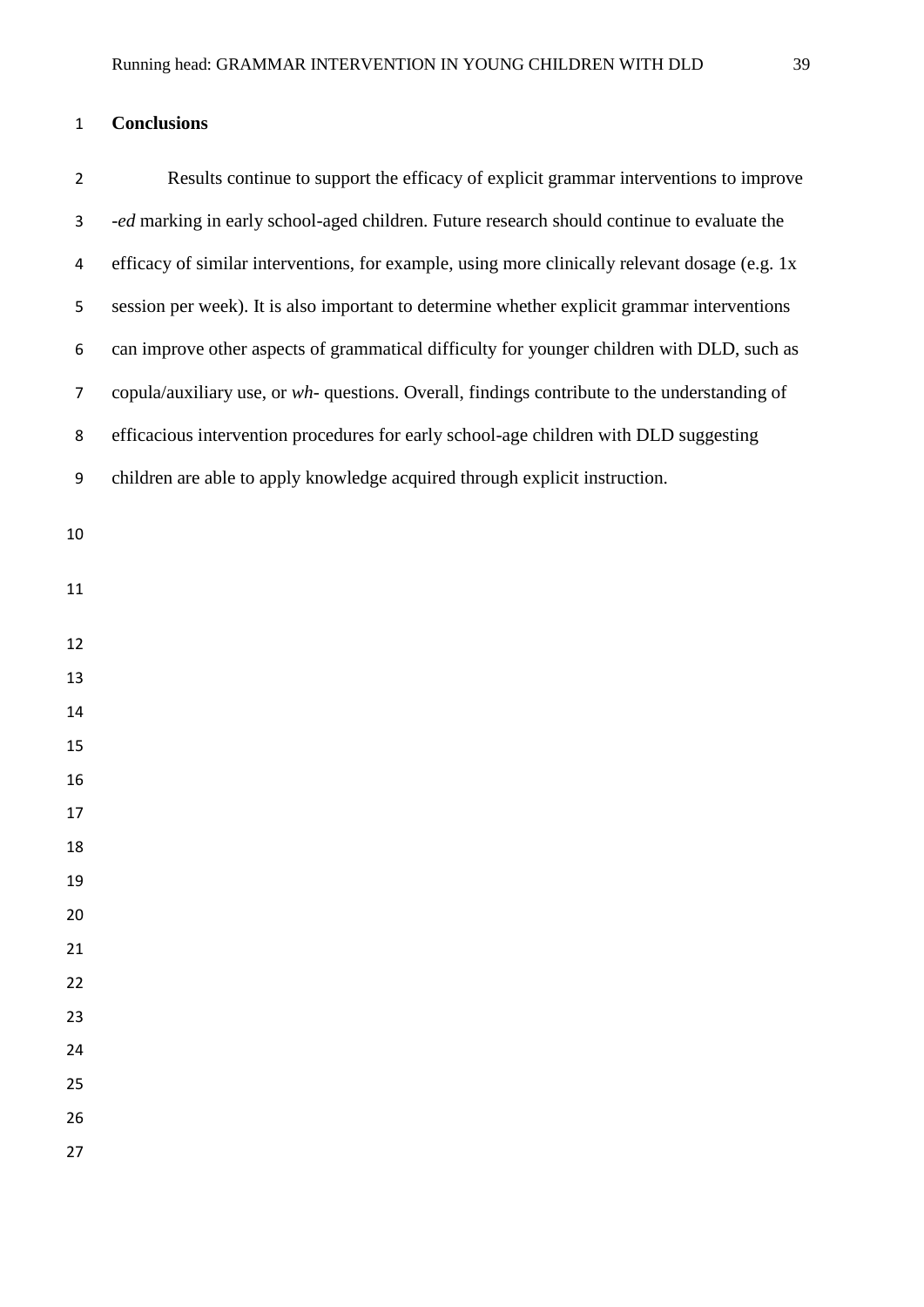# **Conclusions**

| $\overline{2}$ | Results continue to support the efficacy of explicit grammar interventions to improve          |
|----------------|------------------------------------------------------------------------------------------------|
| 3              | -ed marking in early school-aged children. Future research should continue to evaluate the     |
| 4              | efficacy of similar interventions, for example, using more clinically relevant dosage (e.g. 1x |
| 5              | session per week). It is also important to determine whether explicit grammar interventions    |
| 6              | can improve other aspects of grammatical difficulty for younger children with DLD, such as     |
| $\overline{7}$ | copula/auxiliary use, or wh- questions. Overall, findings contribute to the understanding of   |
| 8              | efficacious intervention procedures for early school-age children with DLD suggesting          |
| 9              | children are able to apply knowledge acquired through explicit instruction.                    |
| 10             |                                                                                                |
|                |                                                                                                |
| 11             |                                                                                                |
| 12             |                                                                                                |
| 13             |                                                                                                |
| 14             |                                                                                                |
| 15             |                                                                                                |
| 16             |                                                                                                |
| 17             |                                                                                                |
| 18             |                                                                                                |
| 19             |                                                                                                |
| 20             |                                                                                                |
| 21             |                                                                                                |
| 22             |                                                                                                |
| 23             |                                                                                                |
| 24             |                                                                                                |
| 25             |                                                                                                |
| 26             |                                                                                                |
| 27             |                                                                                                |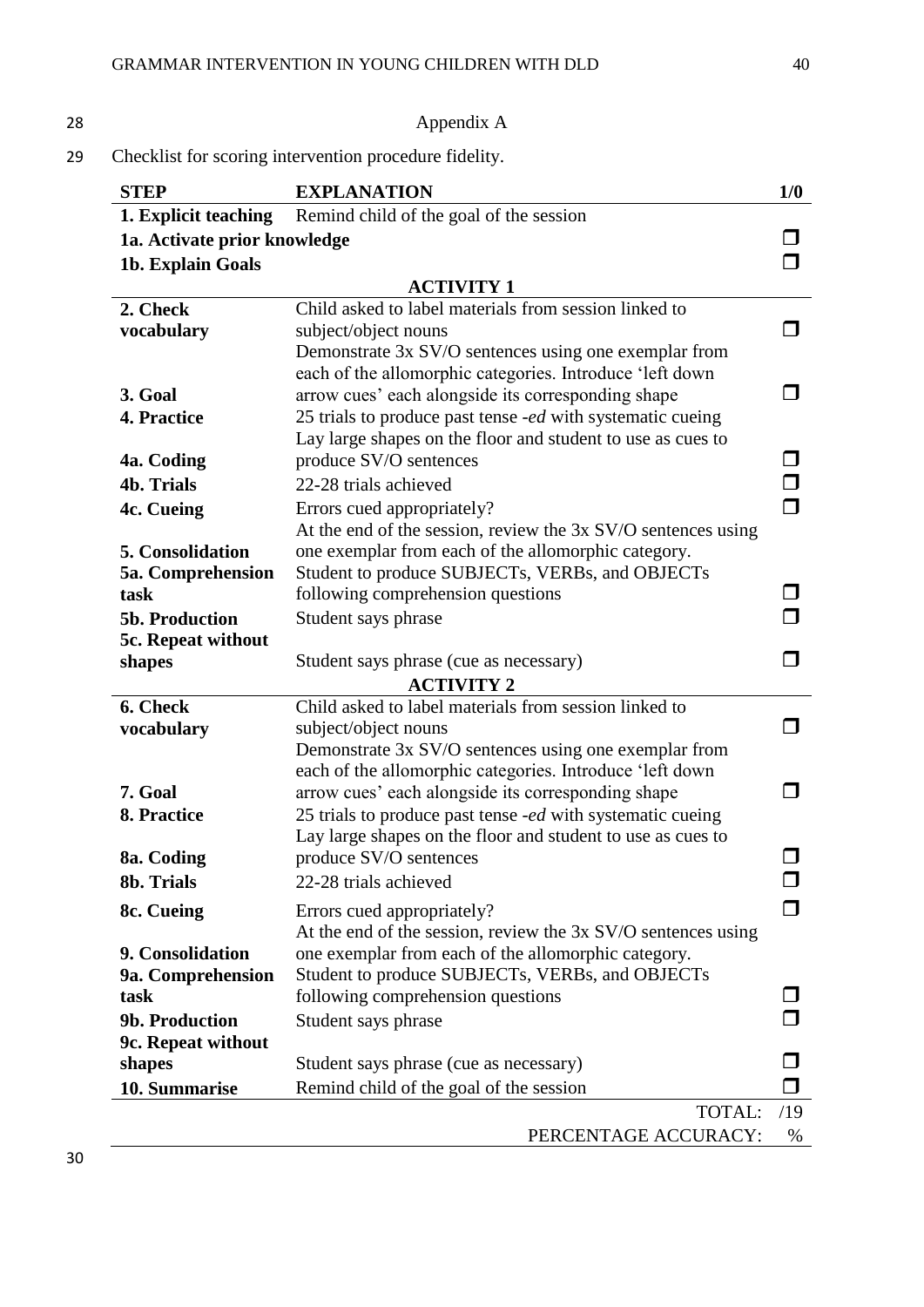# 28 Appendix A

29 Checklist for scoring intervention procedure fidelity.

| <b>STEP</b>                  | <b>EXPLANATION</b>                                                                                             | 1/0 |  |
|------------------------------|----------------------------------------------------------------------------------------------------------------|-----|--|
| 1. Explicit teaching         | Remind child of the goal of the session                                                                        |     |  |
| 1a. Activate prior knowledge |                                                                                                                |     |  |
| 1b. Explain Goals            |                                                                                                                |     |  |
|                              | <b>ACTIVITY 1</b>                                                                                              |     |  |
| 2. Check                     | Child asked to label materials from session linked to                                                          |     |  |
| vocabulary                   | subject/object nouns                                                                                           |     |  |
|                              | Demonstrate 3x SV/O sentences using one exemplar from                                                          |     |  |
|                              | each of the allomorphic categories. Introduce 'left down                                                       |     |  |
| 3. Goal                      | arrow cues' each alongside its corresponding shape                                                             |     |  |
| 4. Practice                  | 25 trials to produce past tense -ed with systematic cueing                                                     |     |  |
| 4a. Coding                   | Lay large shapes on the floor and student to use as cues to<br>produce SV/O sentences                          |     |  |
| <b>4b. Trials</b>            | 22-28 trials achieved                                                                                          |     |  |
| 4c. Cueing                   | Errors cued appropriately?                                                                                     |     |  |
|                              | At the end of the session, review the 3x SV/O sentences using                                                  |     |  |
| 5. Consolidation             | one exemplar from each of the allomorphic category.                                                            |     |  |
| 5a. Comprehension            | Student to produce SUBJECTs, VERBs, and OBJECTs                                                                |     |  |
| task                         | following comprehension questions                                                                              |     |  |
| 5b. Production               | Student says phrase                                                                                            |     |  |
| 5c. Repeat without           |                                                                                                                |     |  |
| shapes                       | Student says phrase (cue as necessary)                                                                         |     |  |
| <b>ACTIVITY 2</b>            |                                                                                                                |     |  |
| 6. Check                     | Child asked to label materials from session linked to                                                          |     |  |
| vocabulary                   | subject/object nouns                                                                                           | n.  |  |
|                              | Demonstrate 3x SV/O sentences using one exemplar from                                                          |     |  |
| 7. Goal                      | each of the allomorphic categories. Introduce 'left down<br>arrow cues' each alongside its corresponding shape |     |  |
| 8. Practice                  | 25 trials to produce past tense -ed with systematic cueing                                                     |     |  |
|                              | Lay large shapes on the floor and student to use as cues to                                                    |     |  |
| 8a. Coding                   | produce SV/O sentences                                                                                         |     |  |
| 8b. Trials                   | 22-28 trials achieved                                                                                          |     |  |
| 8c. Cueing                   | Errors cued appropriately?                                                                                     |     |  |
|                              | At the end of the session, review the $3x$ SV/O sentences using                                                |     |  |
| 9. Consolidation             | one exemplar from each of the allomorphic category.                                                            |     |  |
| 9a. Comprehension            | Student to produce SUBJECTs, VERBs, and OBJECTs                                                                |     |  |
| task                         | following comprehension questions                                                                              |     |  |
| 9b. Production               | Student says phrase                                                                                            |     |  |
| 9c. Repeat without           |                                                                                                                |     |  |
| shapes                       | Student says phrase (cue as necessary)                                                                         |     |  |
| 10. Summarise                | Remind child of the goal of the session                                                                        |     |  |
|                              | TOTAL:                                                                                                         | /19 |  |
|                              | PERCENTAGE ACCURACY:                                                                                           | %   |  |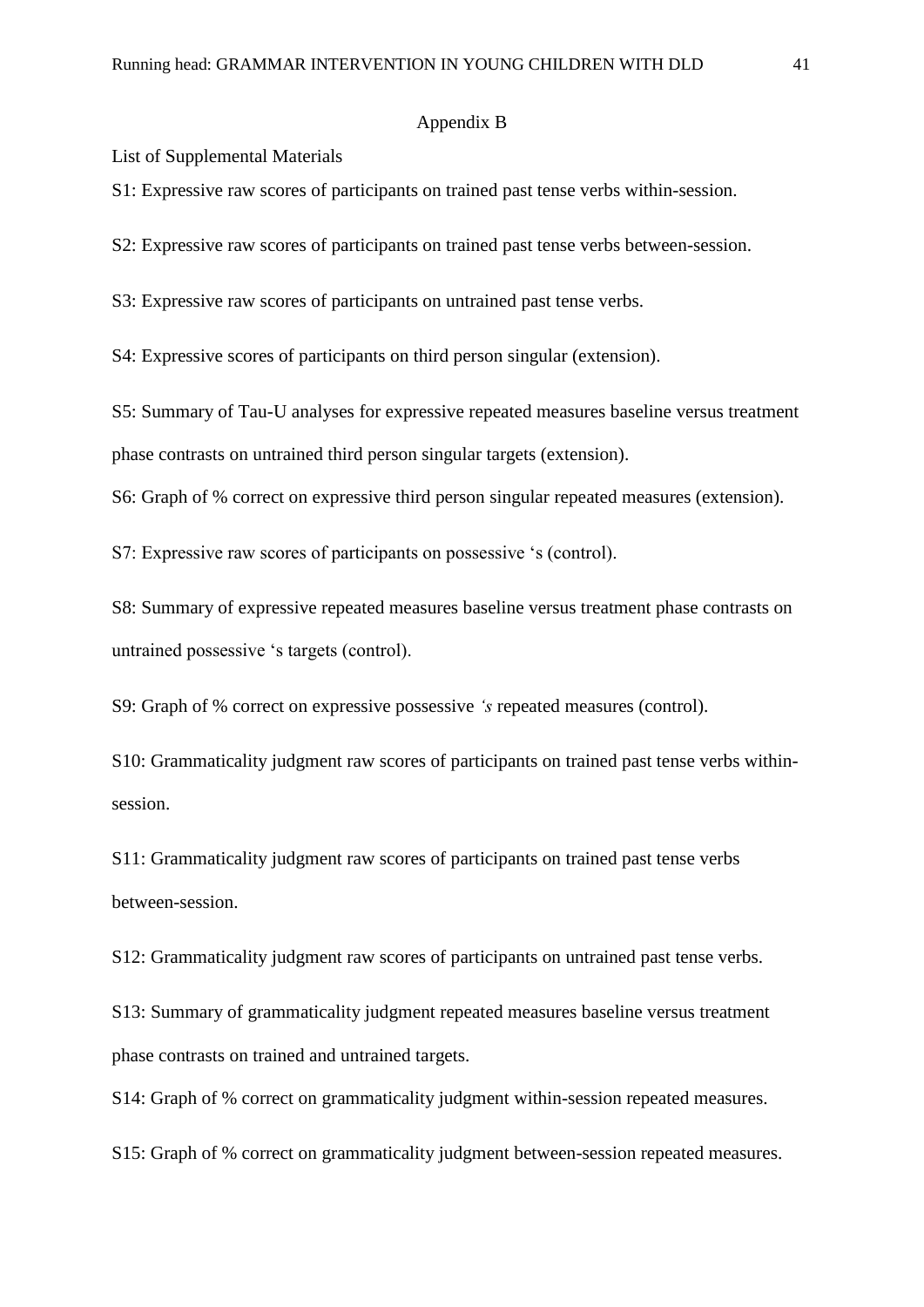#### Appendix B

List of Supplemental Materials

S1: Expressive raw scores of participants on trained past tense verbs within-session.

S2: Expressive raw scores of participants on trained past tense verbs between-session.

S3: Expressive raw scores of participants on untrained past tense verbs.

S4: Expressive scores of participants on third person singular (extension).

S5: Summary of Tau-U analyses for expressive repeated measures baseline versus treatment phase contrasts on untrained third person singular targets (extension).

S6: Graph of % correct on expressive third person singular repeated measures (extension).

S7: Expressive raw scores of participants on possessive 's (control).

S8: Summary of expressive repeated measures baseline versus treatment phase contrasts on untrained possessive 's targets (control).

S9: Graph of % correct on expressive possessive *'s* repeated measures (control).

S10: Grammaticality judgment raw scores of participants on trained past tense verbs withinsession.

S11: Grammaticality judgment raw scores of participants on trained past tense verbs between-session.

S12: Grammaticality judgment raw scores of participants on untrained past tense verbs.

S13: Summary of grammaticality judgment repeated measures baseline versus treatment phase contrasts on trained and untrained targets.

S14: Graph of % correct on grammaticality judgment within-session repeated measures.

S15: Graph of % correct on grammaticality judgment between-session repeated measures.